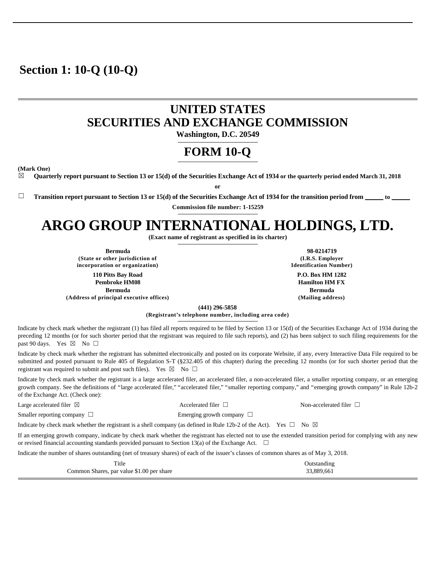## **Section 1: 10-Q (10-Q)**

## **UNITED STATES SECURITIES AND EXCHANGE COMMISSION**

**Washington, D.C. 20549** 

## **FORM 10-Q**

**(Mark One)** 

☒ **Quarterly report pursuant to Section 13 or 15(d) of the Securities Exchange Act of 1934 or the quarterly period ended March 31, 2018**

**or** 

□ Transition report pursuant to Section 13 or 15(d) of the Securities Exchange Act of 1934 for the transition period from \_

**Commission file number: 1-15259** 

# **ARGO GROUP INTERNATIONAL HOLDINGS, LTD.**

**(Exact name of registrant as specified in its charter)** 

**Bermuda 98-0214719 (State or other jurisdiction of incorporation or organization)**

**110 Pitts Bay Road Pembroke HM08 Bermuda (Address of principal executive offices) (Mailing address)**

**(I.R.S. Employer Identification Number) P.O. Box HM 1282 Hamilton HM FX Bermuda**

**(441) 296-5858** 

**(Registrant's telephone number, including area code)** 

Indicate by check mark whether the registrant (1) has filed all reports required to be filed by Section 13 or 15(d) of the Securities Exchange Act of 1934 during the preceding 12 months (or for such shorter period that the registrant was required to file such reports), and (2) has been subject to such filing requirements for the past 90 days. Yes  $\boxtimes$  No  $\Box$ 

Indicate by check mark whether the registrant has submitted electronically and posted on its corporate Website, if any, every Interactive Data File required to be submitted and posted pursuant to Rule 405 of Regulation S-T (§232.405 of this chapter) during the preceding 12 months (or for such shorter period that the registrant was required to submit and post such files). Yes  $\boxtimes$  No  $\Box$ 

Indicate by check mark whether the registrant is a large accelerated filer, an accelerated filer, a non-accelerated filer, a smaller reporting company, or an emerging growth company. See the definitions of "large accelerated filer," "accelerated filer," "smaller reporting company," and "emerging growth company" in Rule 12b-2 of the Exchange Act. (Check one):

Indicate by check mark whether the registrant is a shell company (as defined in Rule 12b-2 of the Act). Yes  $\Box$  No  $\boxtimes$ Large accelerated filer ⊠ Accelerated filer □ Non-accelerated filer □ Smaller reporting company □ Beinging growth company □

If an emerging growth company, indicate by check mark whether the registrant has elected not to use the extended transition period for complying with any new or revised financial accounting standards provided pursuant to Section 13(a) of the Exchange Act.  $\Box$ 

Indicate the number of shares outstanding (net of treasury shares) of each of the issuer's classes of common shares as of May 3, 2018.

| Title                                     | Outstanding |
|-------------------------------------------|-------------|
| Common Shares, par value \$1.00 per share | 33,889,661  |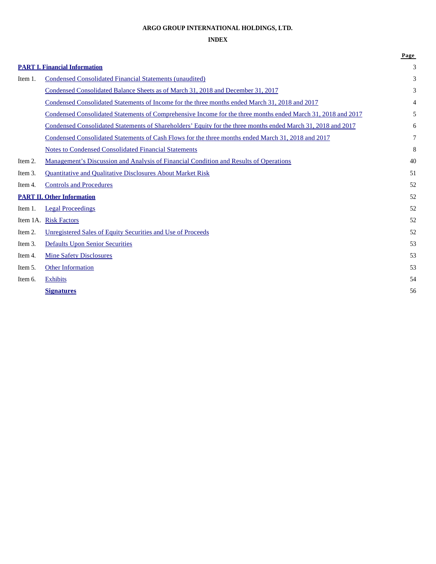## **ARGO GROUP INTERNATIONAL HOLDINGS, LTD.**

## **INDEX**

|         |                                                                                                              | Page   |
|---------|--------------------------------------------------------------------------------------------------------------|--------|
|         | <b>PART I. Financial Information</b>                                                                         | 3      |
| Item 1. | Condensed Consolidated Financial Statements (unaudited)                                                      | 3      |
|         | Condensed Consolidated Balance Sheets as of March 31, 2018 and December 31, 2017                             | 3      |
|         | Condensed Consolidated Statements of Income for the three months ended March 31, 2018 and 2017               | 4      |
|         | Condensed Consolidated Statements of Comprehensive Income for the three months ended March 31, 2018 and 2017 | 5      |
|         | Condensed Consolidated Statements of Shareholders' Equity for the three months ended March 31, 2018 and 2017 | 6      |
|         | Condensed Consolidated Statements of Cash Flows for the three months ended March 31, 2018 and 2017           | $\tau$ |
|         | <b>Notes to Condensed Consolidated Financial Statements</b>                                                  | 8      |
| Item 2. | Management's Discussion and Analysis of Financial Condition and Results of Operations                        | 40     |
| Item 3. | <b>Quantitative and Qualitative Disclosures About Market Risk</b>                                            | 51     |
| Item 4. | <b>Controls and Procedures</b>                                                                               | 52     |
|         | <b>PART II. Other Information</b>                                                                            | 52     |
| Item 1. | <b>Legal Proceedings</b>                                                                                     | 52     |
|         | Item 1A. Risk Factors                                                                                        | 52     |
| Item 2. | Unregistered Sales of Equity Securities and Use of Proceeds                                                  | 52     |
| Item 3. | <b>Defaults Upon Senior Securities</b>                                                                       | 53     |
| Item 4. | <b>Mine Safety Disclosures</b>                                                                               | 53     |
| Item 5. | <b>Other Information</b>                                                                                     | 53     |
| Item 6. | <b>Exhibits</b>                                                                                              | 54     |
|         | <b>Signatures</b>                                                                                            | 56     |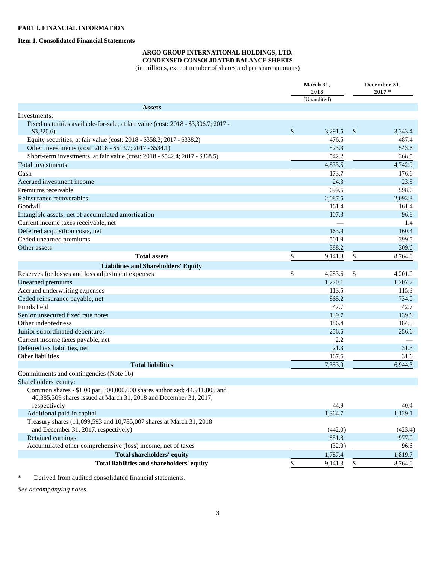#### **Item 1. Consolidated Financial Statements**

#### **ARGO GROUP INTERNATIONAL HOLDINGS, LTD. CONDENSED CONSOLIDATED BALANCE SHEETS**

(in millions, except number of shares and per share amounts)

|                                                                                                                                                | March 31,<br>2018 |               | December 31,<br>$2017 *$ |
|------------------------------------------------------------------------------------------------------------------------------------------------|-------------------|---------------|--------------------------|
|                                                                                                                                                | (Unaudited)       |               |                          |
| <b>Assets</b>                                                                                                                                  |                   |               |                          |
| Investments:                                                                                                                                   |                   |               |                          |
| Fixed maturities available-for-sale, at fair value (cost: 2018 - \$3,306.7; 2017 -<br>\$3,320.6                                                | \$<br>3,291.5     | $\mathcal{S}$ | 3,343.4                  |
| Equity securities, at fair value (cost: 2018 - \$358.3; 2017 - \$338.2)                                                                        | 476.5             |               | 487.4                    |
| Other investments (cost: 2018 - \$513.7; 2017 - \$534.1)                                                                                       | 523.3             |               | 543.6                    |
| Short-term investments, at fair value (cost: 2018 - \$542.4; 2017 - \$368.5)                                                                   | 542.2             |               | 368.5                    |
| Total investments                                                                                                                              | 4,833.5           |               | 4,742.9                  |
| Cash                                                                                                                                           | 173.7             |               | 176.6                    |
| Accrued investment income                                                                                                                      | 24.3              |               | 23.5                     |
| Premiums receivable                                                                                                                            | 699.6             |               | 598.6                    |
| Reinsurance recoverables                                                                                                                       | 2,087.5           |               | 2,093.3                  |
| Goodwill                                                                                                                                       | 161.4             |               | 161.4                    |
| Intangible assets, net of accumulated amortization                                                                                             | 107.3             |               | 96.8                     |
| Current income taxes receivable, net                                                                                                           |                   |               | 1.4                      |
| Deferred acquisition costs, net                                                                                                                | 163.9             |               | 160.4                    |
| Ceded unearned premiums                                                                                                                        | 501.9             |               | 399.5                    |
| Other assets                                                                                                                                   | 388.2             |               | 309.6                    |
| <b>Total assets</b>                                                                                                                            |                   |               |                          |
|                                                                                                                                                | \$<br>9,141.3     | \$            | 8,764.0                  |
| <b>Liabilities and Shareholders' Equity</b>                                                                                                    |                   |               |                          |
| Reserves for losses and loss adjustment expenses                                                                                               | \$<br>4,283.6     | \$            | 4,201.0                  |
| Unearned premiums                                                                                                                              | 1,270.1           |               | 1,207.7                  |
| Accrued underwriting expenses                                                                                                                  | 113.5             |               | 115.3                    |
| Ceded reinsurance payable, net                                                                                                                 | 865.2             |               | 734.0                    |
| Funds held                                                                                                                                     | 47.7              |               | 42.7                     |
| Senior unsecured fixed rate notes                                                                                                              | 139.7             |               | 139.6                    |
| Other indebtedness                                                                                                                             | 186.4             |               | 184.5                    |
| Junior subordinated debentures                                                                                                                 | 256.6             |               | 256.6                    |
| Current income taxes payable, net                                                                                                              | 2.2               |               |                          |
| Deferred tax liabilities, net                                                                                                                  | 21.3              |               | 31.3                     |
| Other liabilities                                                                                                                              | 167.6             |               | 31.6                     |
| <b>Total liabilities</b>                                                                                                                       | 7,353.9           |               | 6,944.3                  |
| Commitments and contingencies (Note 16)                                                                                                        |                   |               |                          |
| Shareholders' equity:                                                                                                                          |                   |               |                          |
| Common shares - \$1.00 par, 500,000,000 shares authorized; 44,911,805 and<br>40,385,309 shares issued at March 31, 2018 and December 31, 2017, |                   |               |                          |
| respectively                                                                                                                                   | 44.9              |               | 40.4                     |
| Additional paid-in capital                                                                                                                     | 1,364.7           |               | 1,129.1                  |
| Treasury shares (11,099,593 and 10,785,007 shares at March 31, 2018<br>and December 31, 2017, respectively)                                    | (442.0)           |               | (423.4)                  |
| Retained earnings                                                                                                                              | 851.8             |               | 977.0                    |
| Accumulated other comprehensive (loss) income, net of taxes                                                                                    | (32.0)            |               | 96.6                     |
| Total shareholders' equity                                                                                                                     | 1,787.4           |               | 1,819.7                  |
| Total liabilities and shareholders' equity                                                                                                     |                   |               |                          |
|                                                                                                                                                | \$<br>9,141.3     | \$            | 8,764.0                  |

\* Derived from audited consolidated financial statements.

*See accompanying notes.*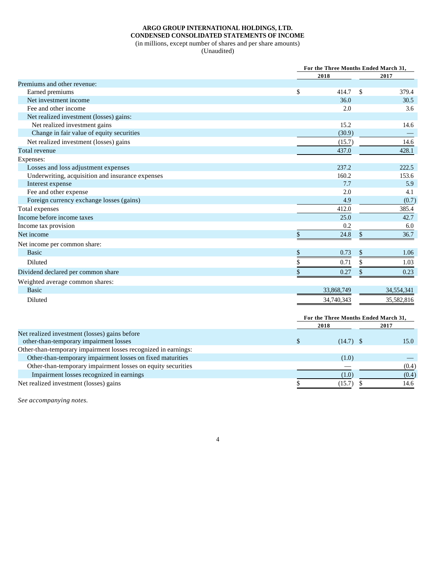## **ARGO GROUP INTERNATIONAL HOLDINGS, LTD. CONDENSED CONSOLIDATED STATEMENTS OF INCOME**

(in millions, except number of shares and per share amounts)

(Unaudited)

|                                                                                         | For the Three Months Ended March 31, |    |            |  |
|-----------------------------------------------------------------------------------------|--------------------------------------|----|------------|--|
|                                                                                         | 2018                                 |    | 2017       |  |
| Premiums and other revenue:                                                             |                                      |    |            |  |
| Earned premiums                                                                         | \$<br>414.7                          | \$ | 379.4      |  |
| Net investment income                                                                   | 36.0                                 |    | 30.5       |  |
| Fee and other income                                                                    | 2.0                                  |    | 3.6        |  |
| Net realized investment (losses) gains:                                                 |                                      |    |            |  |
| Net realized investment gains                                                           | 15.2                                 |    | 14.6       |  |
| Change in fair value of equity securities                                               | (30.9)                               |    |            |  |
| Net realized investment (losses) gains                                                  | (15.7)                               |    | 14.6       |  |
| Total revenue                                                                           | 437.0                                |    | 428.1      |  |
| Expenses:                                                                               |                                      |    |            |  |
| Losses and loss adjustment expenses                                                     | 237.2                                |    | 222.5      |  |
| Underwriting, acquisition and insurance expenses                                        | 160.2                                |    | 153.6      |  |
| Interest expense                                                                        | 7.7                                  |    | 5.9        |  |
| Fee and other expense                                                                   | 2.0                                  |    | 4.1        |  |
| Foreign currency exchange losses (gains)                                                | 4.9                                  |    | (0.7)      |  |
| Total expenses                                                                          | 412.0                                |    | 385.4      |  |
| Income before income taxes                                                              | 25.0                                 |    | 42.7       |  |
| Income tax provision                                                                    | 0.2                                  |    | 6.0        |  |
| Net income                                                                              | \$<br>24.8                           | \$ | 36.7       |  |
| Net income per common share:                                                            |                                      |    |            |  |
| <b>Basic</b>                                                                            | \$<br>0.73                           | \$ | 1.06       |  |
| Diluted                                                                                 | \$<br>0.71                           | \$ | 1.03       |  |
| Dividend declared per common share                                                      | \$<br>0.27                           | \$ | 0.23       |  |
| Weighted average common shares:                                                         |                                      |    |            |  |
| <b>Basic</b>                                                                            | 33,868,749                           |    | 34,554,341 |  |
| Diluted                                                                                 | 34,740,343                           |    | 35,582,816 |  |
|                                                                                         |                                      |    |            |  |
|                                                                                         | For the Three Months Ended March 31, |    |            |  |
|                                                                                         | 2018                                 |    | 2017       |  |
| Net realized investment (losses) gains before<br>other-than-temporary impairment losses | \$<br>$(14.7)$ \$                    |    | 15.0       |  |
| Other-than-temporary impairment losses recognized in earnings:                          |                                      |    |            |  |
| Other-than-temporary impairment losses on fixed maturities                              | (1.0)                                |    |            |  |
| Other-than-temporary impairment losses on equity securities                             |                                      |    | (0.4)      |  |
| Impairment losses recognized in earnings                                                | (1.0)                                |    | (0.4)      |  |

Net realized investment (losses) gains  $\frac{\$}{\$}$  (15.7)  $\frac{\$}{\$}$  14.6

*See accompanying notes.*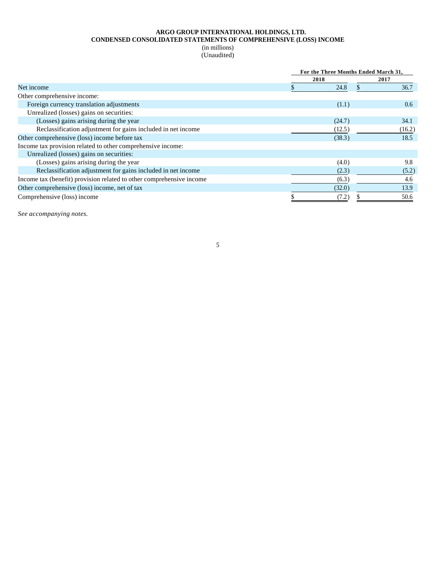#### **ARGO GROUP INTERNATIONAL HOLDINGS, LTD. CONDENSED CONSOLIDATED STATEMENTS OF COMPREHENSIVE (LOSS) INCOME**

(in millions) (Unaudited)

|                                                                      |        | For the Three Months Ended March 31, |        |  |
|----------------------------------------------------------------------|--------|--------------------------------------|--------|--|
|                                                                      | 2018   |                                      | 2017   |  |
| Net income                                                           | 24.8   |                                      | 36.7   |  |
| Other comprehensive income:                                          |        |                                      |        |  |
| Foreign currency translation adjustments                             | (1.1)  |                                      | 0.6    |  |
| Unrealized (losses) gains on securities:                             |        |                                      |        |  |
| (Losses) gains arising during the year                               | (24.7) |                                      | 34.1   |  |
| Reclassification adjustment for gains included in net income         | (12.5) |                                      | (16.2) |  |
| Other comprehensive (loss) income before tax                         | (38.3) |                                      | 18.5   |  |
| Income tax provision related to other comprehensive income:          |        |                                      |        |  |
| Unrealized (losses) gains on securities:                             |        |                                      |        |  |
| (Losses) gains arising during the year                               | (4.0)  |                                      | 9.8    |  |
| Reclassification adjustment for gains included in net income         | (2.3)  |                                      | (5.2)  |  |
| Income tax (benefit) provision related to other comprehensive income | (6.3)  |                                      | 4.6    |  |
| Other comprehensive (loss) income, net of tax                        | (32.0) |                                      | 13.9   |  |
| Comprehensive (loss) income                                          | (7.2)  |                                      | 50.6   |  |

*See accompanying notes.*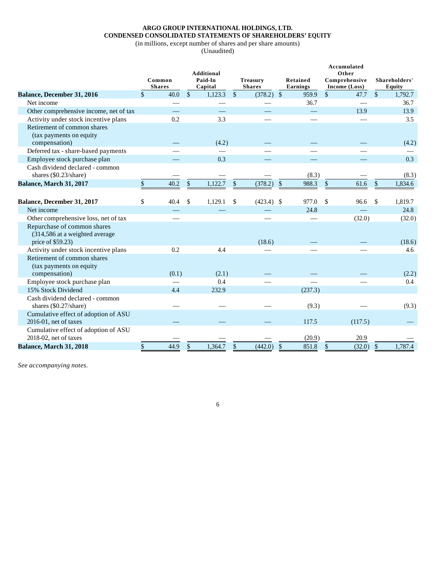## **ARGO GROUP INTERNATIONAL HOLDINGS, LTD. CONDENSED CONSOLIDATED STATEMENTS OF SHAREHOLDERS' EQUITY**

(in millions, except number of shares and per share amounts)

(Unaudited)

|                                        | Common        |       |               | <b>Additional</b><br>Paid-In |               | <b>Treasury</b> |         | Retained |               | Accumulated<br>Other<br>Comprehensive |               | Shareholders' |
|----------------------------------------|---------------|-------|---------------|------------------------------|---------------|-----------------|---------|----------|---------------|---------------------------------------|---------------|---------------|
|                                        | <b>Shares</b> |       |               | Capital                      |               | <b>Shares</b>   |         | Earnings |               | Income (Loss)                         |               | <b>Equity</b> |
| Balance, December 31, 2016             | \$            | 40.0  | $\sqrt{\ }$   | 1,123.3                      | $\sqrt$       | (378.2)         | $\sqrt$ | 959.9    | \$            | 47.7                                  | $\mathbb{S}$  | 1,792.7       |
| Net income                             |               |       |               |                              |               |                 |         | 36.7     |               |                                       |               | 36.7          |
| Other comprehensive income, net of tax |               |       |               |                              |               |                 |         |          |               | 13.9                                  |               | 13.9          |
| Activity under stock incentive plans   |               | 0.2   |               | 3.3                          |               |                 |         |          |               |                                       |               | 3.5           |
| Retirement of common shares            |               |       |               |                              |               |                 |         |          |               |                                       |               |               |
| (tax payments on equity                |               |       |               |                              |               |                 |         |          |               |                                       |               |               |
| compensation)                          |               |       |               | (4.2)                        |               |                 |         |          |               |                                       |               | (4.2)         |
| Deferred tax - share-based payments    |               |       |               |                              |               |                 |         |          |               |                                       |               |               |
| Employee stock purchase plan           |               |       |               | 0.3                          |               |                 |         |          |               |                                       |               | 0.3           |
| Cash dividend declared - common        |               |       |               |                              |               |                 |         |          |               |                                       |               |               |
| shares $(\$0.23/\text{share})$         |               |       |               |                              |               |                 |         | (8.3)    |               |                                       |               | (8.3)         |
| Balance, March 31, 2017                | \$            | 40.2  | $\$$          | 1,122.7                      | \$            | (378.2)         | $\$$    | 988.3    | $\mathcal{S}$ | 61.6                                  | \$            | 1,834.6       |
|                                        |               |       |               |                              |               |                 |         |          |               |                                       |               |               |
| Balance, December 31, 2017             | \$            | 40.4  | \$            | 1,129.1                      | \$            | (423.4)         | \$      | 977.0    | $\mathcal{S}$ | 96.6                                  | \$            | 1,819.7       |
| Net income                             |               |       |               |                              |               |                 |         | 24.8     |               |                                       |               | 24.8          |
| Other comprehensive loss, net of tax   |               |       |               |                              |               |                 |         |          |               | (32.0)                                |               | (32.0)        |
| Repurchase of common shares            |               |       |               |                              |               |                 |         |          |               |                                       |               |               |
| (314,586 at a weighted average         |               |       |               |                              |               |                 |         |          |               |                                       |               |               |
| price of \$59.23)                      |               |       |               |                              |               | (18.6)          |         |          |               |                                       |               | (18.6)        |
| Activity under stock incentive plans   |               | 0.2   |               | 4.4                          |               |                 |         |          |               |                                       |               | 4.6           |
| Retirement of common shares            |               |       |               |                              |               |                 |         |          |               |                                       |               |               |
| (tax payments on equity)               |               |       |               |                              |               |                 |         |          |               |                                       |               |               |
| compensation)                          |               | (0.1) |               | (2.1)                        |               |                 |         |          |               |                                       |               | (2.2)         |
| Employee stock purchase plan           |               |       |               | 0.4                          |               |                 |         |          |               |                                       |               | $0.4\,$       |
| 15% Stock Dividend                     |               | 4.4   |               | 232.9                        |               |                 |         | (237.3)  |               |                                       |               |               |
| Cash dividend declared - common        |               |       |               |                              |               |                 |         |          |               |                                       |               |               |
| shares $(\$0.27/share)$                |               |       |               |                              |               |                 |         | (9.3)    |               |                                       |               | (9.3)         |
| Cumulative effect of adoption of ASU   |               |       |               |                              |               |                 |         |          |               |                                       |               |               |
| $2016-01$ , net of taxes               |               |       |               |                              |               |                 |         | 117.5    |               | (117.5)                               |               |               |
| Cumulative effect of adoption of ASU   |               |       |               |                              |               |                 |         |          |               |                                       |               |               |
| 2018-02, net of taxes                  |               |       |               |                              |               |                 |         | (20.9)   |               | 20.9                                  |               |               |
| Balance, March 31, 2018                | \$            | 44.9  | $\mathcal{S}$ | 1,364.7                      | $\mathcal{S}$ | (442.0)         | \$      | 851.8    | $\mathcal{S}$ | (32.0)                                | $\mathcal{S}$ | 1,787.4       |

6

*See accompanying notes.*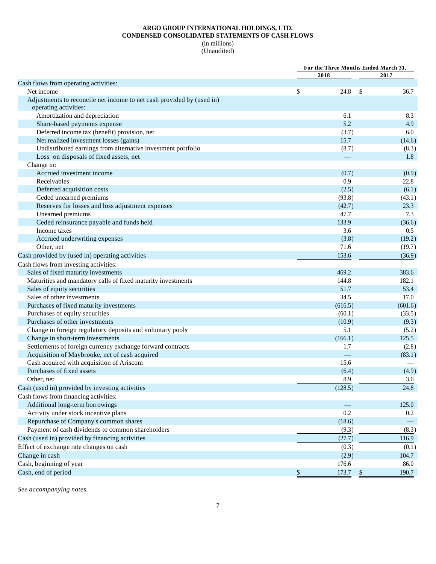## **ARGO GROUP INTERNATIONAL HOLDINGS, LTD. CONDENSED CONSOLIDATED STATEMENTS OF CASH FLOWS**

(in millions) (Unaudited)

|                                                                       | For the Three Months Ended March 31, |               |         |
|-----------------------------------------------------------------------|--------------------------------------|---------------|---------|
|                                                                       | 2018                                 |               | 2017    |
| Cash flows from operating activities:                                 |                                      |               |         |
| Net income                                                            | \$<br>24.8                           | <sup>\$</sup> | 36.7    |
| Adjustments to reconcile net income to net cash provided by (used in) |                                      |               |         |
| operating activities:                                                 |                                      |               |         |
| Amortization and depreciation                                         | 6.1                                  |               | 8.3     |
| Share-based payments expense                                          | 5.2                                  |               | 4.9     |
| Deferred income tax (benefit) provision, net                          | (3.7)                                |               | 6.0     |
| Net realized investment losses (gains)                                | 15.7                                 |               | (14.6)  |
| Undistributed earnings from alternative investment portfolio          | (8.7)                                |               | (8.3)   |
| Loss on disposals of fixed assets, net                                |                                      |               | 1.8     |
| Change in:                                                            |                                      |               |         |
| Accrued investment income                                             | (0.7)                                |               | (0.9)   |
| Receivables                                                           | 0.9                                  |               | 22.8    |
| Deferred acquisition costs                                            | (2.5)                                |               | (6.1)   |
| Ceded unearned premiums                                               | (93.8)                               |               | (43.1)  |
| Reserves for losses and loss adjustment expenses                      | (42.7)                               |               | 23.3    |
| Unearned premiums                                                     | 47.7                                 |               | 7.3     |
| Ceded reinsurance payable and funds held                              | 133.9                                |               | (36.6)  |
| Income taxes                                                          | 3.6                                  |               | 0.5     |
| Accrued underwriting expenses                                         | (3.8)                                |               | (19.2)  |
| Other, net                                                            | 71.6                                 |               | (19.7)  |
| Cash provided by (used in) operating activities                       | 153.6                                |               | (36.9)  |
| Cash flows from investing activities:                                 |                                      |               |         |
| Sales of fixed maturity investments                                   | 469.2                                |               | 383.6   |
| Maturities and mandatory calls of fixed maturity investments          | 144.8                                |               | 182.1   |
| Sales of equity securities                                            | 51.7                                 |               | 53.4    |
| Sales of other investments                                            | 34.5                                 |               | 17.0    |
| Purchases of fixed maturity investments                               | (616.5)                              |               | (601.6) |
| Purchases of equity securities                                        | (60.1)                               |               | (33.5)  |
| Purchases of other investments                                        | (10.9)                               |               | (9.3)   |
| Change in foreign regulatory deposits and voluntary pools             | 5.1                                  |               | (5.2)   |
| Change in short-term investments                                      | (166.1)                              |               | 125.5   |
| Settlements of foreign currency exchange forward contracts            | 1.7                                  |               | (2.8)   |
| Acquisition of Maybrooke, net of cash acquired                        |                                      |               | (83.1)  |
| Cash acquired with acquisition of Ariscom                             | 15.6                                 |               |         |
| Purchases of fixed assets                                             |                                      |               | (4.9)   |
| Other, net                                                            | (6.4)<br>8.9                         |               | 3.6     |
|                                                                       |                                      |               |         |
| Cash (used in) provided by investing activities                       | (128.5)                              |               | 24.8    |
| Cash flows from financing activities:                                 |                                      |               |         |
| Additional long-term borrowings                                       |                                      |               | 125.0   |
| Activity under stock incentive plans                                  | 0.2                                  |               | $0.2\,$ |
| Repurchase of Company's common shares                                 | (18.6)                               |               |         |
| Payment of cash dividends to common shareholders                      | (9.3)                                |               | (8.3)   |
| Cash (used in) provided by financing activities                       | (27.7)                               |               | 116.9   |
| Effect of exchange rate changes on cash                               | (0.3)                                |               | (0.1)   |
| Change in cash                                                        | (2.9)                                |               | 104.7   |
| Cash, beginning of year                                               | 176.6                                |               | 86.0    |
| Cash, end of period                                                   | \$<br>173.7                          | $\mathcal{S}$ | 190.7   |

*See accompanying notes.*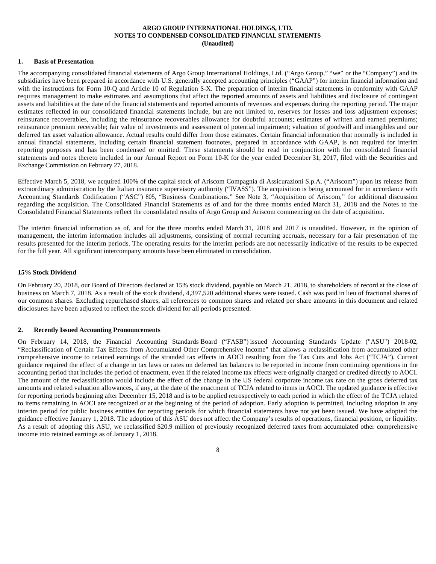#### **ARGO GROUP INTERNATIONAL HOLDINGS, LTD. NOTES TO CONDENSED CONSOLIDATED FINANCIAL STATEMENTS (Unaudited)**

#### **1. Basis of Presentation**

The accompanying consolidated financial statements of Argo Group International Holdings, Ltd. ("Argo Group," "we" or the "Company") and its subsidiaries have been prepared in accordance with U.S. generally accepted accounting principles ("GAAP") for interim financial information and with the instructions for Form 10-Q and Article 10 of Regulation S-X. The preparation of interim financial statements in conformity with GAAP requires management to make estimates and assumptions that affect the reported amounts of assets and liabilities and disclosure of contingent assets and liabilities at the date of the financial statements and reported amounts of revenues and expenses during the reporting period. The major estimates reflected in our consolidated financial statements include, but are not limited to, reserves for losses and loss adjustment expenses; reinsurance recoverables, including the reinsurance recoverables allowance for doubtful accounts; estimates of written and earned premiums; reinsurance premium receivable; fair value of investments and assessment of potential impairment; valuation of goodwill and intangibles and our deferred tax asset valuation allowance. Actual results could differ from those estimates. Certain financial information that normally is included in annual financial statements, including certain financial statement footnotes, prepared in accordance with GAAP, is not required for interim reporting purposes and has been condensed or omitted. These statements should be read in conjunction with the consolidated financial statements and notes thereto included in our Annual Report on Form 10-K for the year ended December 31, 2017, filed with the Securities and Exchange Commission on February 27, 2018.

Effective March 5, 2018, we acquired 100% of the capital stock of Ariscom Compagnia di Assicurazioni S.p.A. ("Ariscom") upon its release from extraordinary administration by the Italian insurance supervisory authority ("IVASS"). The acquisition is being accounted for in accordance with Accounting Standards Codification ("ASC") 805, "Business Combinations." See Note 3, "Acquisition of Ariscom," for additional discussion regarding the acquisition. The Consolidated Financial Statements as of and for the three months ended March 31, 2018 and the Notes to the Consolidated Financial Statements reflect the consolidated results of Argo Group and Ariscom commencing on the date of acquisition.

The interim financial information as of, and for the three months ended March 31, 2018 and 2017 is unaudited. However, in the opinion of management, the interim information includes all adjustments, consisting of normal recurring accruals, necessary for a fair presentation of the results presented for the interim periods. The operating results for the interim periods are not necessarily indicative of the results to be expected for the full year. All significant intercompany amounts have been eliminated in consolidation.

#### **15% Stock Dividend**

On February 20, 2018, our Board of Directors declared at 15% stock dividend, payable on March 21, 2018, to shareholders of record at the close of business on March 7, 2018. As a result of the stock dividend, 4,397,520 additional shares were issued. Cash was paid in lieu of fractional shares of our common shares. Excluding repurchased shares, all references to common shares and related per share amounts in this document and related disclosures have been adjusted to reflect the stock dividend for all periods presented.

#### **2. Recently Issued Accounting Pronouncements**

On February 14, 2018, the Financial Accounting Standards Board ("FASB") issued Accounting Standards Update ("ASU") 2018-02, "Reclassification of Certain Tax Effects from Accumulated Other Comprehensive Income" that allows a reclassification from accumulated other comprehensive income to retained earnings of the stranded tax effects in AOCI resulting from the Tax Cuts and Jobs Act ("TCJA"). Current guidance required the effect of a change in tax laws or rates on deferred tax balances to be reported in income from continuing operations in the accounting period that includes the period of enactment, even if the related income tax effects were originally charged or credited directly to AOCI. The amount of the reclassification would include the effect of the change in the US federal corporate income tax rate on the gross deferred tax amounts and related valuation allowances, if any, at the date of the enactment of TCJA related to items in AOCI. The updated guidance is effective for reporting periods beginning after December 15, 2018 and is to be applied retrospectively to each period in which the effect of the TCJA related to items remaining in AOCI are recognized or at the beginning of the period of adoption. Early adoption is permitted, including adoption in any interim period for public business entities for reporting periods for which financial statements have not yet been issued. We have adopted the guidance effective January 1, 2018. The adoption of this ASU does not affect the Company's results of operations, financial position, or liquidity. As a result of adopting this ASU, we reclassified \$20.9 million of previously recognized deferred taxes from accumulated other comprehensive income into retained earnings as of January 1, 2018.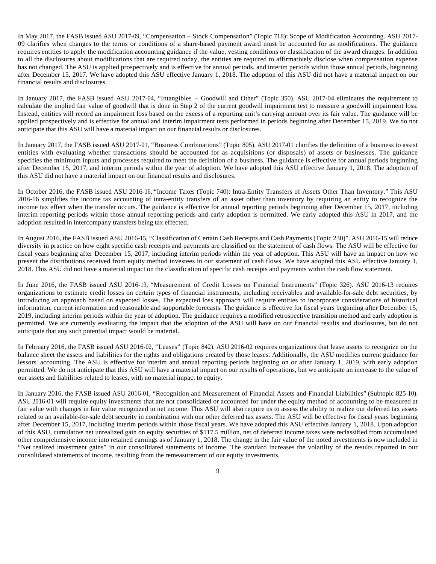In May 2017, the FASB issued ASU 2017-09, "Compensation – Stock Compensation" (Topic 718): Scope of Modification Accounting. ASU 2017- 09 clarifies when changes to the terms or conditions of a share-based payment award must be accounted for as modifications. The guidance requires entities to apply the modification accounting guidance if the value, vesting conditions or classification of the award changes. In addition to all the disclosures about modifications that are required today, the entities are required to affirmatively disclose when compensation expense has not changed. The ASU is applied prospectively and is effective for annual periods, and interim periods within those annual periods, beginning after December 15, 2017. We have adopted this ASU effective January 1, 2018. The adoption of this ASU did not have a material impact on our financial results and disclosures.

In January 2017, the FASB issued ASU 2017-04, "Intangibles – Goodwill and Other" (Topic 350). ASU 2017-04 eliminates the requirement to calculate the implied fair value of goodwill that is done in Step 2 of the current goodwill impairment test to measure a goodwill impairment loss. Instead, entities will record an impairment loss based on the excess of a reporting unit's carrying amount over its fair value. The guidance will be applied prospectively and is effective for annual and interim impairment tests performed in periods beginning after December 15, 2019. We do not anticipate that this ASU will have a material impact on our financial results or disclosures.

In January 2017, the FASB issued ASU 2017-01, "Business Combinations" (Topic 805). ASU 2017-01 clarifies the definition of a business to assist entities with evaluating whether transactions should be accounted for as acquisitions (or disposals) of assets or businesses. The guidance specifies the minimum inputs and processes required to meet the definition of a business. The guidance is effective for annual periods beginning after December 15, 2017, and interim periods within the year of adoption. We have adopted this ASU effective January 1, 2018. The adoption of this ASU did not have a material impact on our financial results and disclosures.

In October 2016, the FASB issued ASU 2016-16, "Income Taxes (Topic 740): Intra-Entity Transfers of Assets Other Than Inventory." This ASU 2016-16 simplifies the income tax accounting of intra-entity transfers of an asset other than inventory by requiring an entity to recognize the income tax effect when the transfer occurs. The guidance is effective for annual reporting periods beginning after December 15, 2017, including interim reporting periods within those annual reporting periods and early adoption is permitted. We early adopted this ASU in 2017, and the adoption resulted in intercompany transfers being tax effected.

In August 2016, the FASB issued ASU 2016-15, "Classification of Certain Cash Receipts and Cash Payments (Topic 230)". ASU 2016-15 will reduce diversity in practice on how eight specific cash receipts and payments are classified on the statement of cash flows. The ASU will be effective for fiscal years beginning after December 15, 2017, including interim periods within the year of adoption. This ASU will have an impact on how we present the distributions received from equity method investees in our statement of cash flows. We have adopted this ASU effective January 1, 2018. This ASU did not have a material impact on the classification of specific cash receipts and payments within the cash flow statement.

In June 2016, the FASB issued ASU 2016-13, "Measurement of Credit Losses on Financial Instruments" (Topic 326). ASU 2016-13 requires organizations to estimate credit losses on certain types of financial instruments, including receivables and available-for-sale debt securities, by introducing an approach based on expected losses. The expected loss approach will require entities to incorporate considerations of historical information, current information and reasonable and supportable forecasts. The guidance is effective for fiscal years beginning after December 15, 2019, including interim periods within the year of adoption. The guidance requires a modified retrospective transition method and early adoption is permitted. We are currently evaluating the impact that the adoption of the ASU will have on our financial results and disclosures, but do not anticipate that any such potential impact would be material.

In February 2016, the FASB issued ASU 2016-02, "Leases" (Topic 842). ASU 2016-02 requires organizations that lease assets to recognize on the balance sheet the assets and liabilities for the rights and obligations created by those leases. Additionally, the ASU modifies current guidance for lessors' accounting. The ASU is effective for interim and annual reporting periods beginning on or after January 1, 2019, with early adoption permitted. We do not anticipate that this ASU will have a material impact on our results of operations, but we anticipate an increase to the value of our assets and liabilities related to leases, with no material impact to equity.

In January 2016, the FASB issued ASU 2016-01, "Recognition and Measurement of Financial Assets and Financial Liabilities" (Subtopic 825-10). ASU 2016-01 will require equity investments that are not consolidated or accounted for under the equity method of accounting to be measured at fair value with changes in fair value recognized in net income. This ASU will also require us to assess the ability to realize our deferred tax assets related to an available-for-sale debt security in combination with our other deferred tax assets. The ASU will be effective for fiscal years beginning after December 15, 2017, including interim periods within those fiscal years. We have adopted this ASU effective January 1, 2018. Upon adoption of this ASU, cumulative net unrealized gain on equity securities of \$117.5 million, net of deferred income taxes were reclassified from accumulated other comprehensive income into retained earnings as of January 1, 2018. The change in the fair value of the noted investments is now included in "Net realized investment gains" in our consolidated statements of income. The standard increases the volatility of the results reported in our consolidated statements of income, resulting from the remeasurement of our equity investments.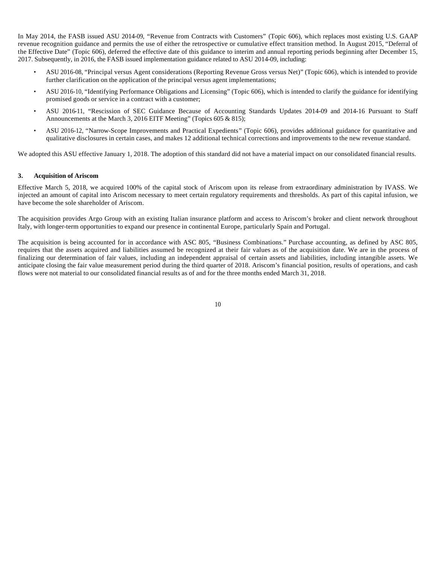In May 2014, the FASB issued ASU 2014-09, "Revenue from Contracts with Customers" (Topic 606), which replaces most existing U.S. GAAP revenue recognition guidance and permits the use of either the retrospective or cumulative effect transition method. In August 2015, "Deferral of the Effective Date" (Topic 606), deferred the effective date of this guidance to interim and annual reporting periods beginning after December 15, 2017. Subsequently, in 2016, the FASB issued implementation guidance related to ASU 2014-09, including:

- ASU 2016-08, "Principal versus Agent considerations (Reporting Revenue Gross versus Net)" (Topic 606), which is intended to provide further clarification on the application of the principal versus agent implementations;
- ASU 2016-10, "Identifying Performance Obligations and Licensing" (Topic 606), which is intended to clarify the guidance for identifying promised goods or service in a contract with a customer;
- ASU 2016-11, "Rescission of SEC Guidance Because of Accounting Standards Updates 2014-09 and 2014-16 Pursuant to Staff Announcements at the March 3, 2016 EITF Meeting" (Topics 605 & 815);
- ASU 2016-12, "Narrow-Scope Improvements and Practical Expedients" (Topic 606), provides additional guidance for quantitative and qualitative disclosures in certain cases, and makes 12 additional technical corrections and improvements to the new revenue standard.

We adopted this ASU effective January 1, 2018. The adoption of this standard did not have a material impact on our consolidated financial results.

#### **3. Acquisition of Ariscom**

Effective March 5, 2018, we acquired 100% of the capital stock of Ariscom upon its release from extraordinary administration by IVASS. We injected an amount of capital into Ariscom necessary to meet certain regulatory requirements and thresholds. As part of this capital infusion, we have become the sole shareholder of Ariscom.

The acquisition provides Argo Group with an existing Italian insurance platform and access to Ariscom's broker and client network throughout Italy, with longer-term opportunities to expand our presence in continental Europe, particularly Spain and Portugal.

The acquisition is being accounted for in accordance with ASC 805, "Business Combinations." Purchase accounting, as defined by ASC 805, requires that the assets acquired and liabilities assumed be recognized at their fair values as of the acquisition date. We are in the process of finalizing our determination of fair values, including an independent appraisal of certain assets and liabilities, including intangible assets. We anticipate closing the fair value measurement period during the third quarter of 2018. Ariscom's financial position, results of operations, and cash flows were not material to our consolidated financial results as of and for the three months ended March 31, 2018.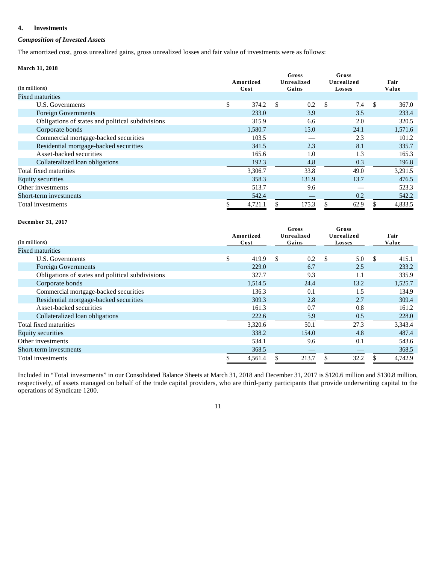## **4. Investments**

## *Composition of Invested Assets*

The amortized cost, gross unrealized gains, gross unrealized losses and fair value of investments were as follows:

## **March 31, 2018**

| (in millions)                                    | Amortized<br>Cost |    | Gross<br>Unrealized<br>Gains |      | Gross<br>Unrealized<br><b>Losses</b> |    | Fair<br>Value |
|--------------------------------------------------|-------------------|----|------------------------------|------|--------------------------------------|----|---------------|
| <b>Fixed maturities</b>                          |                   |    |                              |      |                                      |    |               |
| U.S. Governments                                 | \$<br>374.2       | -S | 0.2                          | - \$ | 7.4                                  | -S | 367.0         |
| <b>Foreign Governments</b>                       | 233.0             |    | 3.9                          |      | 3.5                                  |    | 233.4         |
| Obligations of states and political subdivisions | 315.9             |    | 6.6                          |      | 2.0                                  |    | 320.5         |
| Corporate bonds                                  | 1,580.7           |    | 15.0                         |      | 24.1                                 |    | 1,571.6       |
| Commercial mortgage-backed securities            | 103.5             |    |                              |      | 2.3                                  |    | 101.2         |
| Residential mortgage-backed securities           | 341.5             |    | 2.3                          |      | 8.1                                  |    | 335.7         |
| Asset-backed securities                          | 165.6             |    | 1.0                          |      | 1.3                                  |    | 165.3         |
| Collateralized loan obligations                  | 192.3             |    | 4.8                          |      | 0.3                                  |    | 196.8         |
| Total fixed maturities                           | 3,306.7           |    | 33.8                         |      | 49.0                                 |    | 3,291.5       |
| <b>Equity securities</b>                         | 358.3             |    | 131.9                        |      | 13.7                                 |    | 476.5         |
| Other investments                                | 513.7             |    | 9.6                          |      |                                      |    | 523.3         |
| Short-term investments                           | 542.4             |    |                              |      | 0.2                                  |    | 542.2         |
| Total investments                                | 4,721.1           |    | 175.3                        |      | 62.9                                 |    | 4,833.5       |

#### **December 31, 2017**

| (in millions)                                    |    | Amortized<br>Cost |               | Gross<br>Unrealized<br>Gains |    | Gross<br>Unrealized<br><b>Losses</b> |               | Fair<br>Value |
|--------------------------------------------------|----|-------------------|---------------|------------------------------|----|--------------------------------------|---------------|---------------|
| <b>Fixed maturities</b>                          |    |                   |               |                              |    |                                      |               |               |
| U.S. Governments                                 | \$ | 419.9             | <sup>\$</sup> | 0.2                          | -S | 5.0                                  | <sup>\$</sup> | 415.1         |
| <b>Foreign Governments</b>                       |    | 229.0             |               | 6.7                          |    | 2.5                                  |               | 233.2         |
| Obligations of states and political subdivisions |    | 327.7             |               | 9.3                          |    | 1.1                                  |               | 335.9         |
| Corporate bonds                                  |    | 1,514.5           |               | 24.4                         |    | 13.2                                 |               | 1,525.7       |
| Commercial mortgage-backed securities            |    | 136.3             |               | 0.1                          |    | 1.5                                  |               | 134.9         |
| Residential mortgage-backed securities           |    | 309.3             |               | 2.8                          |    | 2.7                                  |               | 309.4         |
| Asset-backed securities                          |    | 161.3             |               | 0.7                          |    | 0.8                                  |               | 161.2         |
| Collateralized loan obligations                  |    | 222.6             |               | 5.9                          |    | 0.5                                  |               | 228.0         |
| Total fixed maturities                           |    | 3,320.6           |               | 50.1                         |    | 27.3                                 |               | 3,343.4       |
| Equity securities                                |    | 338.2             |               | 154.0                        |    | 4.8                                  |               | 487.4         |
| Other investments                                |    | 534.1             |               | 9.6                          |    | 0.1                                  |               | 543.6         |
| Short-term investments                           |    | 368.5             |               |                              |    |                                      |               | 368.5         |
| Total investments                                | S  | 4,561.4           |               | 213.7                        |    | 32.2                                 |               | 4.742.9       |

Included in "Total investments" in our Consolidated Balance Sheets at March 31, 2018 and December 31, 2017 is \$120.6 million and \$130.8 million, respectively, of assets managed on behalf of the trade capital providers, who are third-party participants that provide underwriting capital to the operations of Syndicate 1200.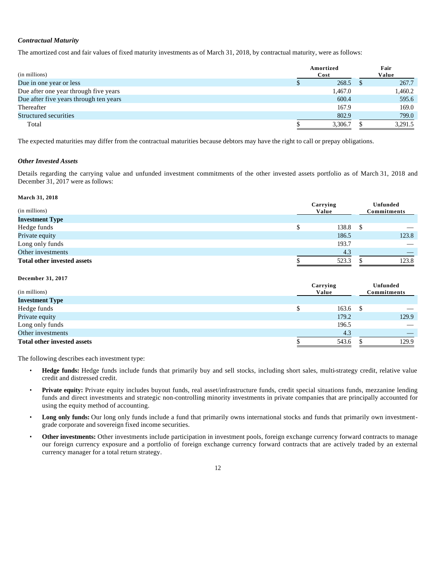## *Contractual Maturity*

The amortized cost and fair values of fixed maturity investments as of March 31, 2018, by contractual maturity, were as follows:

| (in millions)                          | Amortized<br>Cost |         | Fair<br>Value |
|----------------------------------------|-------------------|---------|---------------|
| Due in one year or less                |                   | 268.5   | 267.7         |
| Due after one year through five years  |                   | 1,467.0 | 1,460.2       |
| Due after five years through ten years |                   | 600.4   | 595.6         |
| Thereafter                             |                   | 167.9   | 169.0         |
| Structured securities                  |                   | 802.9   | 799.0         |
| Total                                  |                   | 3.306.7 | 3.291.5       |

The expected maturities may differ from the contractual maturities because debtors may have the right to call or prepay obligations.

## *Other Invested Assets*

Details regarding the carrying value and unfunded investment commitments of the other invested assets portfolio as of March 31, 2018 and December 31, 2017 were as follows:

#### **March 31, 2018**

| (in millions)<br><b>Investment Type</b> | Carrying<br>Value |   | <b>Unfunded</b><br>Commitments |
|-----------------------------------------|-------------------|---|--------------------------------|
|                                         |                   |   |                                |
| Hedge funds                             | 138.8             | S |                                |
| Private equity                          | 186.5             |   | 123.8                          |
| Long only funds                         | 193.7             |   |                                |
| Other investments                       | 4.3               |   |                                |
| <b>Total other invested assets</b>      | 523.3             |   | 123.8                          |

#### **December 31, 2017**

| (in millions)                      | Carrying<br>Value |            | <b>Unfunded</b><br><b>Commitments</b> |                          |  |
|------------------------------------|-------------------|------------|---------------------------------------|--------------------------|--|
| <b>Investment Type</b>             |                   |            |                                       |                          |  |
| Hedge funds                        |                   | $163.6$ \$ |                                       |                          |  |
| Private equity                     |                   | 179.2      |                                       | 129.9                    |  |
| Long only funds                    |                   | 196.5      |                                       | $\overline{\phantom{a}}$ |  |
| Other investments                  |                   | 4.3        |                                       |                          |  |
| <b>Total other invested assets</b> |                   | 543.6      |                                       | 129.9                    |  |

The following describes each investment type:

- **Hedge funds:** Hedge funds include funds that primarily buy and sell stocks, including short sales, multi-strategy credit, relative value credit and distressed credit.
- **Private equity:** Private equity includes buyout funds, real asset/infrastructure funds, credit special situations funds, mezzanine lending funds and direct investments and strategic non-controlling minority investments in private companies that are principally accounted for using the equity method of accounting.
- **Long only funds:** Our long only funds include a fund that primarily owns international stocks and funds that primarily own investmentgrade corporate and sovereign fixed income securities.
- **Other investments:** Other investments include participation in investment pools, foreign exchange currency forward contracts to manage our foreign currency exposure and a portfolio of foreign exchange currency forward contracts that are actively traded by an external currency manager for a total return strategy.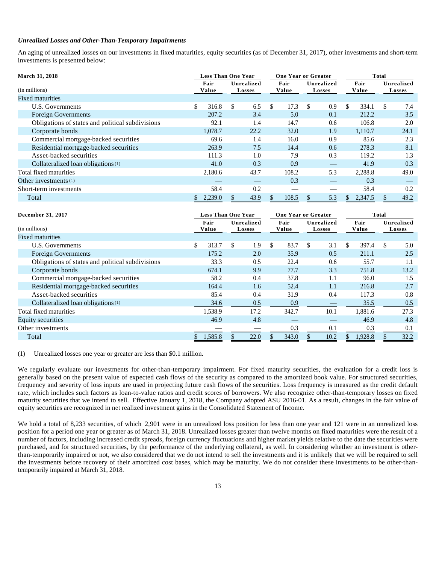#### *Unrealized Losses and Other-Than-Temporary Impairments*

An aging of unrealized losses on our investments in fixed maturities, equity securities (as of December 31, 2017), other investments and short-term investments is presented below:

| <b>March 31, 2018</b>                            |               | <b>Less Than One Year</b>   |                       | <b>One Year or Greater</b>  |               | <b>Total</b>                |
|--------------------------------------------------|---------------|-----------------------------|-----------------------|-----------------------------|---------------|-----------------------------|
| (in millions)                                    | Fair<br>Value | Unrealized<br><b>Losses</b> | Fair<br>Value         | Unrealized<br><b>Losses</b> | Fair<br>Value | Unrealized<br><b>Losses</b> |
| <b>Fixed maturities</b>                          |               |                             |                       |                             |               |                             |
| U.S. Governments                                 | \$<br>316.8   | \$.<br>6.5                  | 17.3<br><sup>\$</sup> | 0.9<br>\$.                  | \$.<br>334.1  | 7.4<br>S.                   |
| <b>Foreign Governments</b>                       | 207.2         | 3.4                         | 5.0                   | 0.1                         | 212.2         | 3.5                         |
| Obligations of states and political subdivisions | 92.1          | 1.4                         | 14.7                  | 0.6                         | 106.8         | 2.0                         |
| Corporate bonds                                  | 1,078.7       | 22.2                        | 32.0                  | 1.9                         | 1,110.7       | 24.1                        |
| Commercial mortgage-backed securities            | 69.6          | 1.4                         | 16.0                  | 0.9                         | 85.6          | 2.3                         |
| Residential mortgage-backed securities           | 263.9         | 7.5                         | 14.4                  | 0.6                         | 278.3         | 8.1                         |
| Asset-backed securities                          | 111.3         | 1.0                         | 7.9                   | 0.3                         | 119.2         | 1.3                         |
| Collateralized loan obligations <sup>(1)</sup>   | 41.0          | 0.3                         | 0.9                   |                             | 41.9          | 0.3                         |
| Total fixed maturities                           | 2,180.6       | 43.7                        | 108.2                 | 5.3                         | 2,288.8       | 49.0                        |
| Other investments $(1)$                          |               |                             | 0.3                   |                             | 0.3           |                             |
| Short-term investments                           | 58.4          | 0.2                         |                       |                             | 58.4          | 0.2                         |
| Total                                            | 2,239.0       | 43.9                        | 108.5                 | 5.3                         | 2,347.5       | 49.2                        |

| December 31, 2017                                |               | <b>Less Than One Year</b> |               | <b>One Year or Greater</b>  |               | <b>Total</b>                |
|--------------------------------------------------|---------------|---------------------------|---------------|-----------------------------|---------------|-----------------------------|
| (in millions)                                    | Fair<br>Value | Unrealized<br>Losses      | Fair<br>Value | Unrealized<br><b>Losses</b> | Fair<br>Value | Unrealized<br><b>Losses</b> |
| <b>Fixed maturities</b>                          |               |                           |               |                             |               |                             |
| U.S. Governments                                 | \$<br>313.7   | \$<br>1.9                 | \$<br>83.7    | \$.<br>3.1                  | \$<br>397.4   | \$<br>5.0                   |
| <b>Foreign Governments</b>                       | 175.2         | 2.0                       | 35.9          | 0.5                         | 211.1         | 2.5                         |
| Obligations of states and political subdivisions | 33.3          | 0.5                       | 22.4          | 0.6                         | 55.7          | 1.1                         |
| Corporate bonds                                  | 674.1         | 9.9                       | 77.7          | 3.3                         | 751.8         | 13.2                        |
| Commercial mortgage-backed securities            | 58.2          | 0.4                       | 37.8          | 1.1                         | 96.0          | 1.5                         |
| Residential mortgage-backed securities           | 164.4         | 1.6                       | 52.4          | 1.1                         | 216.8         | 2.7                         |
| Asset-backed securities                          | 85.4          | 0.4                       | 31.9          | 0.4                         | 117.3         | 0.8                         |
| Collateralized loan obligations (1)              | 34.6          | 0.5                       | 0.9           |                             | 35.5          | 0.5                         |
| Total fixed maturities                           | 1,538.9       | 17.2                      | 342.7         | 10.1                        | 1,881.6       | 27.3                        |
| <b>Equity securities</b>                         | 46.9          | 4.8                       |               |                             | 46.9          | 4.8                         |
| Other investments                                |               |                           | 0.3           | 0.1                         | 0.3           | 0.1                         |
| Total                                            | 1,585.8       | 22.0                      | 343.0         | 10.2                        | 1,928.8       | 32.2                        |

(1) Unrealized losses one year or greater are less than \$0.1 million.

We regularly evaluate our investments for other-than-temporary impairment. For fixed maturity securities, the evaluation for a credit loss is generally based on the present value of expected cash flows of the security as compared to the amortized book value. For structured securities, frequency and severity of loss inputs are used in projecting future cash flows of the securities. Loss frequency is measured as the credit default rate, which includes such factors as loan-to-value ratios and credit scores of borrowers. We also recognize other-than-temporary losses on fixed maturity securities that we intend to sell. Effective January 1, 2018, the Company adopted ASU 2016-01. As a result, changes in the fair value of equity securities are recognized in net realized investment gains in the Consolidated Statement of Income.

We hold a total of 8,233 securities, of which 2,901 were in an unrealized loss position for less than one year and 121 were in an unrealized loss position for a period one year or greater as of March 31, 2018. Unrealized losses greater than twelve months on fixed maturities were the result of a number of factors, including increased credit spreads, foreign currency fluctuations and higher market yields relative to the date the securities were purchased, and for structured securities, by the performance of the underlying collateral, as well. In considering whether an investment is otherthan-temporarily impaired or not, we also considered that we do not intend to sell the investments and it is unlikely that we will be required to sell the investments before recovery of their amortized cost bases, which may be maturity. We do not consider these investments to be other-thantemporarily impaired at March 31, 2018.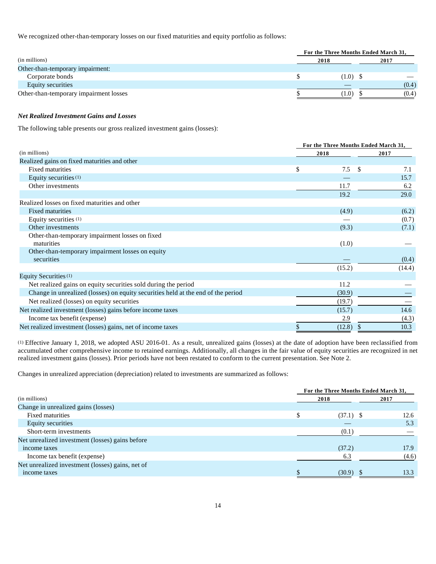We recognized other-than-temporary losses on our fixed maturities and equity portfolio as follows:

|                                        | For the Three Months Ended March 31, |       |  |  |  |
|----------------------------------------|--------------------------------------|-------|--|--|--|
| (in millions)                          | 2018                                 | 2017  |  |  |  |
| Other-than-temporary impairment:       |                                      |       |  |  |  |
| Corporate bonds                        | $(1.0)$ \$                           | __    |  |  |  |
| Equity securities                      |                                      | (0.4) |  |  |  |
| Other-than-temporary impairment losses | (1.0)                                | (0.4) |  |  |  |

#### *Net Realized Investment Gains and Losses*

The following table presents our gross realized investment gains (losses):

|                                                                                  |                  | For the Three Months Ended March 31, |  |  |
|----------------------------------------------------------------------------------|------------------|--------------------------------------|--|--|
| (in millions)                                                                    | 2018             | 2017                                 |  |  |
| Realized gains on fixed maturities and other                                     |                  |                                      |  |  |
| <b>Fixed maturities</b>                                                          | \$<br>7.5<br>-\$ | 7.1                                  |  |  |
| Equity securities (1)                                                            |                  | 15.7                                 |  |  |
| Other investments                                                                | 11.7             | 6.2                                  |  |  |
|                                                                                  | 19.2             | 29.0                                 |  |  |
| Realized losses on fixed maturities and other                                    |                  |                                      |  |  |
| <b>Fixed maturities</b>                                                          | (4.9)            | (6.2)                                |  |  |
| Equity securities (1)                                                            |                  | (0.7)                                |  |  |
| Other investments                                                                | (9.3)            | (7.1)                                |  |  |
| Other-than-temporary impairment losses on fixed<br>maturities                    | (1.0)            |                                      |  |  |
| Other-than-temporary impairment losses on equity<br>securities                   |                  | (0.4)                                |  |  |
|                                                                                  | (15.2)           | (14.4)                               |  |  |
| Equity Securities (1)                                                            |                  |                                      |  |  |
| Net realized gains on equity securities sold during the period                   | 11.2             |                                      |  |  |
| Change in unrealized (losses) on equity securities held at the end of the period | (30.9)           |                                      |  |  |
| Net realized (losses) on equity securities                                       | (19.7)           |                                      |  |  |
| Net realized investment (losses) gains before income taxes                       | (15.7)           | 14.6                                 |  |  |
| Income tax benefit (expense)                                                     | 2.9              | (4.3)                                |  |  |
| Net realized investment (losses) gains, net of income taxes                      | (12.8)           | 10.3                                 |  |  |

(1) Effective January 1, 2018, we adopted ASU 2016-01. As a result, unrealized gains (losses) at the date of adoption have been reclassified from accumulated other comprehensive income to retained earnings. Additionally, all changes in the fair value of equity securities are recognized in net realized investment gains (losses). Prior periods have not been restated to conform to the current presentation. See Note 2.

Changes in unrealized appreciation (depreciation) related to investments are summarized as follows:

|                                                  |  | For the Three Months Ended March 31, |       |
|--------------------------------------------------|--|--------------------------------------|-------|
| (in millions)                                    |  | 2018                                 | 2017  |
| Change in unrealized gains (losses)              |  |                                      |       |
| <b>Fixed maturities</b>                          |  | $(37.1)$ \$                          | 12.6  |
| Equity securities                                |  |                                      | 5.3   |
| Short-term investments                           |  | (0.1)                                |       |
| Net unrealized investment (losses) gains before  |  |                                      |       |
| income taxes                                     |  | (37.2)                               | 17.9  |
| Income tax benefit (expense)                     |  | 6.3                                  | (4.6) |
| Net unrealized investment (losses) gains, net of |  |                                      |       |
| income taxes                                     |  | (30.9)                               | 13.3  |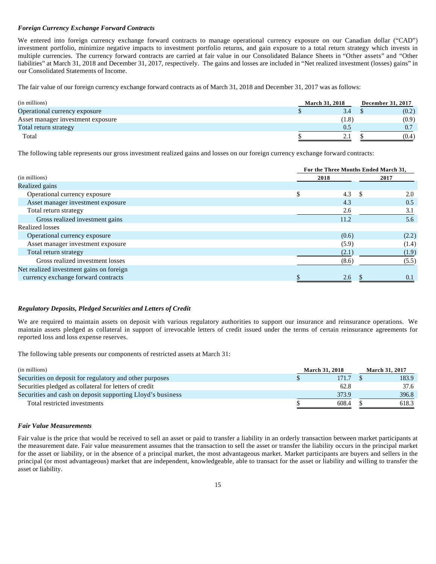#### *Foreign Currency Exchange Forward Contracts*

We entered into foreign currency exchange forward contracts to manage operational currency exposure on our Canadian dollar ("CAD") investment portfolio, minimize negative impacts to investment portfolio returns, and gain exposure to a total return strategy which invests in multiple currencies. The currency forward contracts are carried at fair value in our Consolidated Balance Sheets in "Other assets" and "Other liabilities" at March 31, 2018 and December 31, 2017, respectively. The gains and losses are included in "Net realized investment (losses) gains" in our Consolidated Statements of Income.

The fair value of our foreign currency exchange forward contracts as of March 31, 2018 and December 31, 2017 was as follows:

| (in millions)                     | <b>March 31, 2018</b> |       | December 31, 2017 |       |  |
|-----------------------------------|-----------------------|-------|-------------------|-------|--|
| Operational currency exposure     |                       | 3.4   |                   | (0.2) |  |
| Asset manager investment exposure |                       | (1.8) |                   | (0.9) |  |
| Total return strategy             |                       | 0.5   |                   |       |  |
| Total                             |                       |       |                   | (0.4) |  |

The following table represents our gross investment realized gains and losses on our foreign currency exchange forward contracts:

|                                          |      | For the Three Months Ended March 31, |       |  |  |  |  |  |
|------------------------------------------|------|--------------------------------------|-------|--|--|--|--|--|
| (in millions)                            | 2018 |                                      | 2017  |  |  |  |  |  |
| Realized gains                           |      |                                      |       |  |  |  |  |  |
| Operational currency exposure            | S.   | 4.3<br>-S                            | 2.0   |  |  |  |  |  |
| Asset manager investment exposure        |      | 4.3                                  | 0.5   |  |  |  |  |  |
| Total return strategy                    |      | 2.6                                  | 3.1   |  |  |  |  |  |
| Gross realized investment gains          |      | 11.2                                 | 5.6   |  |  |  |  |  |
| Realized losses                          |      |                                      |       |  |  |  |  |  |
| Operational currency exposure            |      | (0.6)                                | (2.2) |  |  |  |  |  |
| Asset manager investment exposure        |      | (5.9)                                | (1.4) |  |  |  |  |  |
| Total return strategy                    |      | (2.1)                                | (1.9) |  |  |  |  |  |
| Gross realized investment losses         |      | (8.6)                                | (5.5) |  |  |  |  |  |
| Net realized investment gains on foreign |      |                                      |       |  |  |  |  |  |
| currency exchange forward contracts      |      | 2.6                                  | 0.1   |  |  |  |  |  |
|                                          |      |                                      |       |  |  |  |  |  |

#### *Regulatory Deposits, Pledged Securities and Letters of Credit*

We are required to maintain assets on deposit with various regulatory authorities to support our insurance and reinsurance operations. We maintain assets pledged as collateral in support of irrevocable letters of credit issued under the terms of certain reinsurance agreements for reported loss and loss expense reserves.

The following table presents our components of restricted assets at March 31:

| (in millions)                                              | <b>March 31, 2018</b> | <b>March 31, 2017</b> |       |  |
|------------------------------------------------------------|-----------------------|-----------------------|-------|--|
| Securities on deposit for regulatory and other purposes    | 171.7                 |                       | 183.9 |  |
| Securities pledged as collateral for letters of credit     | 62.8                  |                       | 37.6  |  |
| Securities and cash on deposit supporting Lloyd's business | 373.9                 |                       | 396.8 |  |
| Total restricted investments                               | 608.4                 |                       | 618.3 |  |

#### *Fair Value Measurements*

Fair value is the price that would be received to sell an asset or paid to transfer a liability in an orderly transaction between market participants at the measurement date. Fair value measurement assumes that the transaction to sell the asset or transfer the liability occurs in the principal market for the asset or liability, or in the absence of a principal market, the most advantageous market. Market participants are buyers and sellers in the principal (or most advantageous) market that are independent, knowledgeable, able to transact for the asset or liability and willing to transfer the asset or liability.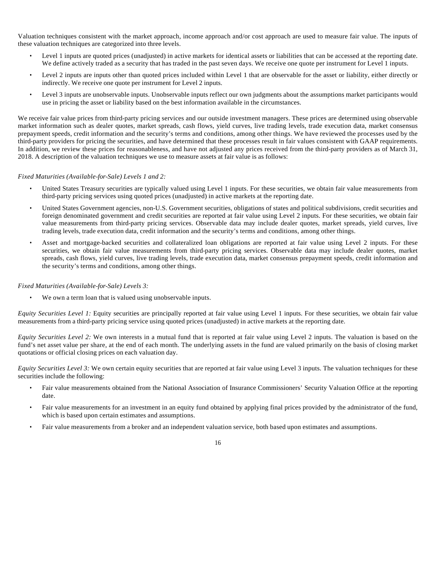Valuation techniques consistent with the market approach, income approach and/or cost approach are used to measure fair value. The inputs of these valuation techniques are categorized into three levels.

- Level 1 inputs are quoted prices (unadjusted) in active markets for identical assets or liabilities that can be accessed at the reporting date. We define actively traded as a security that has traded in the past seven days. We receive one quote per instrument for Level 1 inputs.
- Level 2 inputs are inputs other than quoted prices included within Level 1 that are observable for the asset or liability, either directly or indirectly. We receive one quote per instrument for Level 2 inputs.
- Level 3 inputs are unobservable inputs. Unobservable inputs reflect our own judgments about the assumptions market participants would use in pricing the asset or liability based on the best information available in the circumstances.

We receive fair value prices from third-party pricing services and our outside investment managers. These prices are determined using observable market information such as dealer quotes, market spreads, cash flows, yield curves, live trading levels, trade execution data, market consensus prepayment speeds, credit information and the security's terms and conditions, among other things. We have reviewed the processes used by the third-party providers for pricing the securities, and have determined that these processes result in fair values consistent with GAAP requirements. In addition, we review these prices for reasonableness, and have not adjusted any prices received from the third-party providers as of March 31, 2018. A description of the valuation techniques we use to measure assets at fair value is as follows:

## *Fixed Maturities (Available-for-Sale) Levels 1 and 2:*

- United States Treasury securities are typically valued using Level 1 inputs. For these securities, we obtain fair value measurements from third-party pricing services using quoted prices (unadjusted) in active markets at the reporting date.
- United States Government agencies, non-U.S. Government securities, obligations of states and political subdivisions, credit securities and foreign denominated government and credit securities are reported at fair value using Level 2 inputs. For these securities, we obtain fair value measurements from third-party pricing services. Observable data may include dealer quotes, market spreads, yield curves, live trading levels, trade execution data, credit information and the security's terms and conditions, among other things.
- Asset and mortgage-backed securities and collateralized loan obligations are reported at fair value using Level 2 inputs. For these securities, we obtain fair value measurements from third-party pricing services. Observable data may include dealer quotes, market spreads, cash flows, yield curves, live trading levels, trade execution data, market consensus prepayment speeds, credit information and the security's terms and conditions, among other things.

## *Fixed Maturities (Available-for-Sale) Levels 3:*

We own a term loan that is valued using unobservable inputs.

*Equity Securities Level 1:* Equity securities are principally reported at fair value using Level 1 inputs. For these securities, we obtain fair value measurements from a third-party pricing service using quoted prices (unadjusted) in active markets at the reporting date.

*Equity Securities Level 2:* We own interests in a mutual fund that is reported at fair value using Level 2 inputs. The valuation is based on the fund's net asset value per share, at the end of each month. The underlying assets in the fund are valued primarily on the basis of closing market quotations or official closing prices on each valuation day.

*Equity Securities Level 3:* We own certain equity securities that are reported at fair value using Level 3 inputs. The valuation techniques for these securities include the following:

- Fair value measurements obtained from the National Association of Insurance Commissioners' Security Valuation Office at the reporting date.
- Fair value measurements for an investment in an equity fund obtained by applying final prices provided by the administrator of the fund, which is based upon certain estimates and assumptions.
- Fair value measurements from a broker and an independent valuation service, both based upon estimates and assumptions.

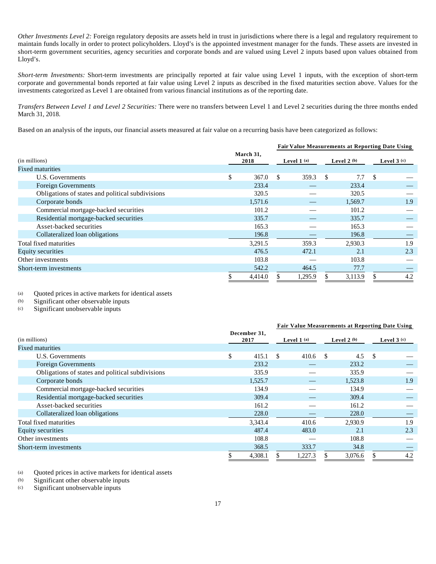*Other Investments Level 2:* Foreign regulatory deposits are assets held in trust in jurisdictions where there is a legal and regulatory requirement to maintain funds locally in order to protect policyholders. Lloyd's is the appointed investment manager for the funds. These assets are invested in short-term government securities, agency securities and corporate bonds and are valued using Level 2 inputs based upon values obtained from Lloyd's.

*Short-term Investments:* Short-term investments are principally reported at fair value using Level 1 inputs, with the exception of short-term corporate and governmental bonds reported at fair value using Level 2 inputs as described in the fixed maturities section above. Values for the investments categorized as Level 1 are obtained from various financial institutions as of the reporting date.

*Transfers Between Level 1 and Level 2 Securities:* There were no transfers between Level 1 and Level 2 securities during the three months ended March 31, 2018.

Based on an analysis of the inputs, our financial assets measured at fair value on a recurring basis have been categorized as follows:

|                                                  |                   | <b>Fair Value Measurements at Reporting Date Using</b> |         |              |         |               |     |  |              |
|--------------------------------------------------|-------------------|--------------------------------------------------------|---------|--------------|---------|---------------|-----|--|--------------|
| (in millions)<br><b>Fixed maturities</b>         | March 31,<br>2018 | Level $1$ (a)                                          |         | Level $2(b)$ |         |               |     |  | Level $3(c)$ |
| U.S. Governments                                 | \$<br>367.0       | -S                                                     | 359.3   | -S           | 7.7     | <sup>\$</sup> |     |  |              |
| <b>Foreign Governments</b>                       | 233.4             |                                                        |         |              | 233.4   |               |     |  |              |
| Obligations of states and political subdivisions | 320.5             |                                                        |         |              | 320.5   |               |     |  |              |
| Corporate bonds                                  | 1,571.6           |                                                        |         |              | 1,569.7 |               | 1.9 |  |              |
| Commercial mortgage-backed securities            | 101.2             |                                                        |         |              | 101.2   |               |     |  |              |
| Residential mortgage-backed securities           | 335.7             |                                                        |         |              | 335.7   |               |     |  |              |
| Asset-backed securities                          | 165.3             |                                                        |         |              | 165.3   |               |     |  |              |
| Collateralized loan obligations                  | 196.8             |                                                        |         |              | 196.8   |               |     |  |              |
| Total fixed maturities                           | 3,291.5           |                                                        | 359.3   |              | 2,930.3 |               | 1.9 |  |              |
| <b>Equity securities</b>                         | 476.5             |                                                        | 472.1   |              | 2.1     |               | 2.3 |  |              |
| Other investments                                | 103.8             |                                                        |         |              | 103.8   |               |     |  |              |
| Short-term investments                           | 542.2             |                                                        | 464.5   |              | 77.7    |               |     |  |              |
|                                                  | 4,414.0           |                                                        | 1,295.9 |              | 3,113.9 |               | 4.2 |  |              |

(a) Quoted prices in active markets for identical assets<br>(b) Significant other observable inputs

(b) Significant other observable inputs<br>  $(c)$  Significant unobservable inputs

Significant unobservable inputs

|                                                  |    |                      | <b>Fair Value Measurements at Reporting Date Using</b> |         |    |         |    |     |  |  |  |  |  |  |  |  |  |  |  |  |  |  |               |  |              |
|--------------------------------------------------|----|----------------------|--------------------------------------------------------|---------|----|---------|----|-----|--|--|--|--|--|--|--|--|--|--|--|--|--|--|---------------|--|--------------|
| (in millions)                                    |    | December 31,<br>2017 | Level $1$ (a)                                          |         |    |         |    |     |  |  |  |  |  |  |  |  |  |  |  |  |  |  | Level 2 $(b)$ |  | Level $3(c)$ |
| <b>Fixed maturities</b>                          |    |                      |                                                        |         |    |         |    |     |  |  |  |  |  |  |  |  |  |  |  |  |  |  |               |  |              |
| U.S. Governments                                 | \$ | 415.1                | -S                                                     | 410.6   | -S | 4.5     | -S |     |  |  |  |  |  |  |  |  |  |  |  |  |  |  |               |  |              |
| <b>Foreign Governments</b>                       |    | 233.2                |                                                        |         |    | 233.2   |    |     |  |  |  |  |  |  |  |  |  |  |  |  |  |  |               |  |              |
| Obligations of states and political subdivisions |    | 335.9                |                                                        |         |    | 335.9   |    |     |  |  |  |  |  |  |  |  |  |  |  |  |  |  |               |  |              |
| Corporate bonds                                  |    | 1,525.7              |                                                        |         |    | 1,523.8 |    | 1.9 |  |  |  |  |  |  |  |  |  |  |  |  |  |  |               |  |              |
| Commercial mortgage-backed securities            |    | 134.9                |                                                        |         |    | 134.9   |    |     |  |  |  |  |  |  |  |  |  |  |  |  |  |  |               |  |              |
| Residential mortgage-backed securities           |    | 309.4                |                                                        |         |    | 309.4   |    |     |  |  |  |  |  |  |  |  |  |  |  |  |  |  |               |  |              |
| Asset-backed securities                          |    | 161.2                |                                                        |         |    | 161.2   |    |     |  |  |  |  |  |  |  |  |  |  |  |  |  |  |               |  |              |
| Collateralized loan obligations                  |    | 228.0                |                                                        |         |    | 228.0   |    |     |  |  |  |  |  |  |  |  |  |  |  |  |  |  |               |  |              |
| Total fixed maturities                           |    | 3,343.4              |                                                        | 410.6   |    | 2,930.9 |    | 1.9 |  |  |  |  |  |  |  |  |  |  |  |  |  |  |               |  |              |
| Equity securities                                |    | 487.4                |                                                        | 483.0   |    | 2.1     |    | 2.3 |  |  |  |  |  |  |  |  |  |  |  |  |  |  |               |  |              |
| Other investments                                |    | 108.8                |                                                        |         |    | 108.8   |    |     |  |  |  |  |  |  |  |  |  |  |  |  |  |  |               |  |              |
| Short-term investments                           |    | 368.5                |                                                        | 333.7   |    | 34.8    |    |     |  |  |  |  |  |  |  |  |  |  |  |  |  |  |               |  |              |
|                                                  | J. | 4,308.1              |                                                        | 1,227.3 |    | 3,076.6 |    | 4.2 |  |  |  |  |  |  |  |  |  |  |  |  |  |  |               |  |              |

(a) Quoted prices in active markets for identical assets

(b) Significant other observable inputs

(c) Significant unobservable inputs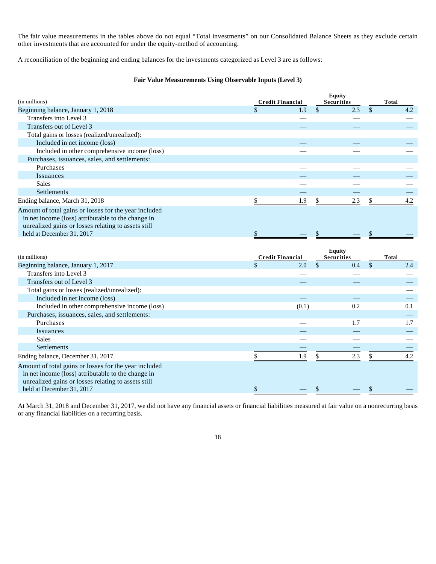The fair value measurements in the tables above do not equal "Total investments" on our Consolidated Balance Sheets as they exclude certain other investments that are accounted for under the equity-method of accounting.

A reconciliation of the beginning and ending balances for the investments categorized as Level 3 are as follows:

## **Fair Value Measurements Using Observable Inputs (Level 3)**

|                                                                                                             |                         |       | <b>Equity</b>     |               |              |
|-------------------------------------------------------------------------------------------------------------|-------------------------|-------|-------------------|---------------|--------------|
| (in millions)                                                                                               | <b>Credit Financial</b> |       | <b>Securities</b> |               | <b>Total</b> |
| Beginning balance, January 1, 2018                                                                          | \$                      | 1.9   | \$<br>2.3         | $\mathcal{S}$ | 4.2          |
| Transfers into Level 3                                                                                      |                         |       |                   |               |              |
| Transfers out of Level 3                                                                                    |                         |       |                   |               |              |
| Total gains or losses (realized/unrealized):                                                                |                         |       |                   |               |              |
| Included in net income (loss)                                                                               |                         |       |                   |               |              |
| Included in other comprehensive income (loss)                                                               |                         |       |                   |               |              |
| Purchases, issuances, sales, and settlements:                                                               |                         |       |                   |               |              |
| Purchases                                                                                                   |                         |       |                   |               |              |
| Issuances                                                                                                   |                         |       |                   |               |              |
| <b>Sales</b>                                                                                                |                         |       |                   |               |              |
| Settlements                                                                                                 |                         |       |                   |               |              |
| Ending balance, March 31, 2018                                                                              | \$                      | 1.9   | \$<br>$2.3\,$     | $\mathbb{S}$  | 4.2          |
| Amount of total gains or losses for the year included                                                       |                         |       |                   |               |              |
| in net income (loss) attributable to the change in                                                          |                         |       |                   |               |              |
| unrealized gains or losses relating to assets still                                                         |                         |       |                   |               |              |
| held at December 31, 2017                                                                                   | \$                      |       | \$                | \$            |              |
|                                                                                                             |                         |       |                   |               |              |
|                                                                                                             |                         |       |                   |               |              |
|                                                                                                             |                         |       | <b>Equity</b>     |               |              |
| (in millions)                                                                                               | <b>Credit Financial</b> |       | <b>Securities</b> |               | <b>Total</b> |
| Beginning balance, January 1, 2017                                                                          | $\mathcal{S}$           | 2.0   | \$<br>0.4         | $\mathbb{S}$  | 2.4          |
| Transfers into Level 3                                                                                      |                         |       |                   |               |              |
| Transfers out of Level 3                                                                                    |                         |       |                   |               |              |
| Total gains or losses (realized/unrealized):                                                                |                         |       |                   |               |              |
| Included in net income (loss)                                                                               |                         |       |                   |               |              |
| Included in other comprehensive income (loss)                                                               |                         | (0.1) | 0.2               |               | 0.1          |
| Purchases, issuances, sales, and settlements:                                                               |                         |       |                   |               |              |
| Purchases                                                                                                   |                         |       | 1.7               |               | 1.7          |
| Issuances                                                                                                   |                         |       |                   |               |              |
| <b>Sales</b>                                                                                                |                         |       |                   |               |              |
| Settlements                                                                                                 |                         |       |                   |               |              |
| Ending balance, December 31, 2017                                                                           | \$                      | 1.9   | \$<br>2.3         | \$            | 4.2          |
|                                                                                                             |                         |       |                   |               |              |
| Amount of total gains or losses for the year included<br>in net income (loss) attributable to the change in |                         |       |                   |               |              |
| unrealized gains or losses relating to assets still                                                         |                         |       |                   |               |              |

At March 31, 2018 and December 31, 2017, we did not have any financial assets or financial liabilities measured at fair value on a nonrecurring basis or any financial liabilities on a recurring basis.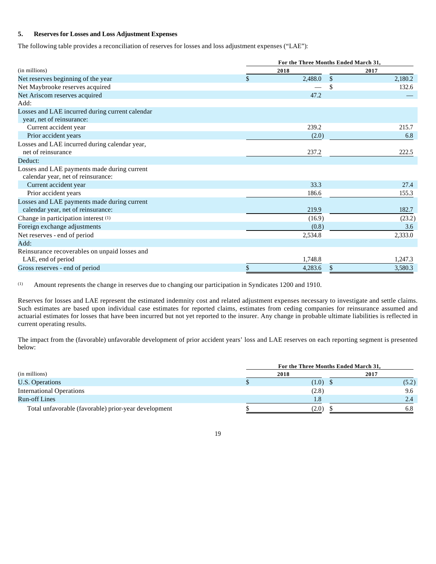## **5. Reserves for Losses and Loss Adjustment Expenses**

The following table provides a reconciliation of reserves for losses and loss adjustment expenses ("LAE"):

|                                                 | For the Three Months Ended March 31, |         |               |         |  |  |  |
|-------------------------------------------------|--------------------------------------|---------|---------------|---------|--|--|--|
| (in millions)                                   |                                      | 2018    | 2017          |         |  |  |  |
| Net reserves beginning of the year              | \$                                   | 2,488.0 | $\mathcal{S}$ | 2,180.2 |  |  |  |
| Net Maybrooke reserves acquired                 |                                      |         | <sup>\$</sup> | 132.6   |  |  |  |
| Net Ariscom reserves acquired                   |                                      | 47.2    |               |         |  |  |  |
| Add:                                            |                                      |         |               |         |  |  |  |
| Losses and LAE incurred during current calendar |                                      |         |               |         |  |  |  |
| year, net of reinsurance:                       |                                      |         |               |         |  |  |  |
| Current accident year                           |                                      | 239.2   |               | 215.7   |  |  |  |
| Prior accident years                            |                                      | (2.0)   |               | 6.8     |  |  |  |
| Losses and LAE incurred during calendar year,   |                                      |         |               |         |  |  |  |
| net of reinsurance                              |                                      | 237.2   |               | 222.5   |  |  |  |
| Deduct:                                         |                                      |         |               |         |  |  |  |
| Losses and LAE payments made during current     |                                      |         |               |         |  |  |  |
| calendar year, net of reinsurance:              |                                      |         |               |         |  |  |  |
| Current accident year                           |                                      | 33.3    |               | 27.4    |  |  |  |
| Prior accident years                            |                                      | 186.6   |               | 155.3   |  |  |  |
| Losses and LAE payments made during current     |                                      |         |               |         |  |  |  |
| calendar year, net of reinsurance:              |                                      | 219.9   |               | 182.7   |  |  |  |
| Change in participation interest (1)            |                                      | (16.9)  |               | (23.2)  |  |  |  |
| Foreign exchange adjustments                    |                                      | (0.8)   |               | 3.6     |  |  |  |
| Net reserves - end of period                    |                                      | 2,534.8 |               | 2,333.0 |  |  |  |
| Add:                                            |                                      |         |               |         |  |  |  |
| Reinsurance recoverables on unpaid losses and   |                                      |         |               |         |  |  |  |
| LAE, end of period                              |                                      | 1,748.8 |               | 1,247.3 |  |  |  |
| Gross reserves - end of period                  |                                      | 4,283.6 |               | 3,580.3 |  |  |  |

(1) Amount represents the change in reserves due to changing our participation in Syndicates 1200 and 1910.

Reserves for losses and LAE represent the estimated indemnity cost and related adjustment expenses necessary to investigate and settle claims. Such estimates are based upon individual case estimates for reported claims, estimates from ceding companies for reinsurance assumed and actuarial estimates for losses that have been incurred but not yet reported to the insurer. Any change in probable ultimate liabilities is reflected in current operating results.

The impact from the (favorable) unfavorable development of prior accident years' loss and LAE reserves on each reporting segment is presented below:

|                                                      | For the Three Months Ended March 31, |       |
|------------------------------------------------------|--------------------------------------|-------|
| (in millions)                                        | 2018                                 | 2017  |
| U.S. Operations                                      | $(1.0)$ \$                           | (5.2) |
| <b>International Operations</b>                      | (2.8)                                | 9.6   |
| <b>Run-off Lines</b>                                 | 1.8                                  | 2.4   |
| Total unfavorable (favorable) prior-year development | (2.0)                                | 6.8   |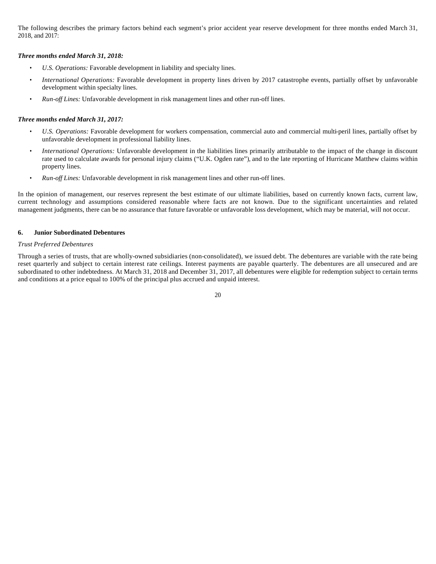The following describes the primary factors behind each segment's prior accident year reserve development for three months ended March 31, 2018, and 2017:

#### *Three months ended March 31, 2018:*

- *U.S. Operations:* Favorable development in liability and specialty lines.
- *International Operations:* Favorable development in property lines driven by 2017 catastrophe events, partially offset by unfavorable development within specialty lines.
- *Run-off Lines:* Unfavorable development in risk management lines and other run-off lines.

#### *Three months ended March 31, 2017:*

- *U.S. Operations:* Favorable development for workers compensation, commercial auto and commercial multi-peril lines, partially offset by unfavorable development in professional liability lines.
- *International Operations:* Unfavorable development in the liabilities lines primarily attributable to the impact of the change in discount rate used to calculate awards for personal injury claims ("U.K. Ogden rate"), and to the late reporting of Hurricane Matthew claims within property lines.
- *Run-off Lines:* Unfavorable development in risk management lines and other run-off lines.

In the opinion of management, our reserves represent the best estimate of our ultimate liabilities, based on currently known facts, current law, current technology and assumptions considered reasonable where facts are not known. Due to the significant uncertainties and related management judgments, there can be no assurance that future favorable or unfavorable loss development, which may be material, will not occur.

#### **6. Junior Subordinated Debentures**

#### *Trust Preferred Debentures*

Through a series of trusts, that are wholly-owned subsidiaries (non-consolidated), we issued debt. The debentures are variable with the rate being reset quarterly and subject to certain interest rate ceilings. Interest payments are payable quarterly. The debentures are all unsecured and are subordinated to other indebtedness. At March 31, 2018 and December 31, 2017, all debentures were eligible for redemption subject to certain terms and conditions at a price equal to 100% of the principal plus accrued and unpaid interest.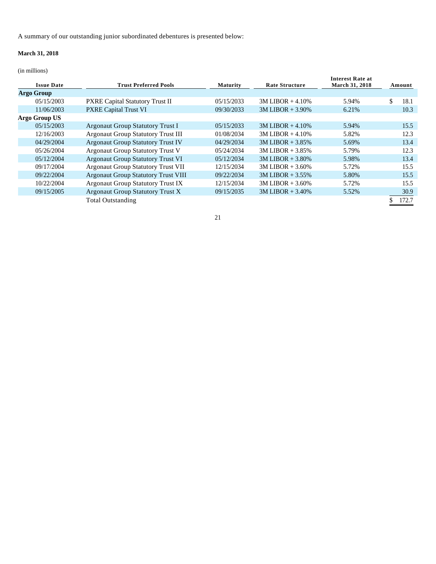A summary of our outstanding junior subordinated debentures is presented below:

## **March 31, 2018**

(in millions)

| <b>Issue Date</b> | <b>Trust Preferred Pools</b>               | <b>Maturity</b> | <b>Rate Structure</b> | <b>Interest Rate at</b><br>March 31, 2018 | Amount     |
|-------------------|--------------------------------------------|-----------------|-----------------------|-------------------------------------------|------------|
| <b>Argo Group</b> |                                            |                 |                       |                                           |            |
| 05/15/2003        | <b>PXRE Capital Statutory Trust II</b>     | 05/15/2033      | $3M LIBOR + 4.10%$    | 5.94%                                     | \$<br>18.1 |
| 11/06/2003        | <b>PXRE Capital Trust VI</b>               | 09/30/2033      | $3M LIBOR + 3.90\%$   | 6.21%                                     | 10.3       |
| Argo Group US     |                                            |                 |                       |                                           |            |
| 05/15/2003        | <b>Argonaut Group Statutory Trust I</b>    | 05/15/2033      | $3M LIBOR + 4.10\%$   | 5.94%                                     | 15.5       |
| 12/16/2003        | <b>Argonaut Group Statutory Trust III</b>  | 01/08/2034      | $3M LIBOR + 4.10%$    | 5.82%                                     | 12.3       |
| 04/29/2004        | <b>Argonaut Group Statutory Trust IV</b>   | 04/29/2034      | $3M LIBOR + 3.85%$    | 5.69%                                     | 13.4       |
| 05/26/2004        | <b>Argonaut Group Statutory Trust V</b>    | 05/24/2034      | $3M LIBOR + 3.85%$    | 5.79%                                     | 12.3       |
| 05/12/2004        | <b>Argonaut Group Statutory Trust VI</b>   | 05/12/2034      | $3M LIBOR + 3.80\%$   | 5.98%                                     | 13.4       |
| 09/17/2004        | <b>Argonaut Group Statutory Trust VII</b>  | 12/15/2034      | $3M LIBOR + 3.60\%$   | 5.72%                                     | 15.5       |
| 09/22/2004        | <b>Argonaut Group Statutory Trust VIII</b> | 09/22/2034      | $3M LIBOR + 3.55\%$   | 5.80%                                     | 15.5       |
| 10/22/2004        | <b>Argonaut Group Statutory Trust IX</b>   | 12/15/2034      | $3M LIBOR + 3.60\%$   | 5.72%                                     | 15.5       |
| 09/15/2005        | <b>Argonaut Group Statutory Trust X</b>    | 09/15/2035      | $3M LIBOR + 3.40\%$   | 5.52%                                     | 30.9       |
|                   | <b>Total Outstanding</b>                   |                 |                       |                                           | 172.7      |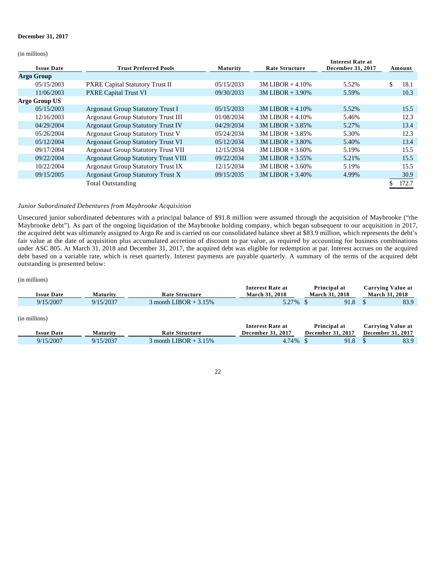#### **December 31, 2017**

(in millions)

| <b>Issue Date</b> | <b>Trust Preferred Pools</b>               | <b>Maturity</b> | <b>Rate Structure</b> | <b>Interest Rate at</b><br>December 31, 2017 | Amount |       |
|-------------------|--------------------------------------------|-----------------|-----------------------|----------------------------------------------|--------|-------|
| <b>Argo Group</b> |                                            |                 |                       |                                              |        |       |
| 05/15/2003        | <b>PXRE Capital Statutory Trust II</b>     | 05/15/2033      | $3M LIBOR + 4.10%$    | 5.52%                                        | \$     | 18.1  |
| 11/06/2003        | <b>PXRE Capital Trust VI</b>               | 09/30/2033      | $3M LIBOR + 3.90\%$   | 5.59%                                        |        | 10.3  |
| Argo Group US     |                                            |                 |                       |                                              |        |       |
| 05/15/2003        | <b>Argonaut Group Statutory Trust I</b>    | 05/15/2033      | $3M LIBOR + 4.10%$    | 5.52%                                        |        | 15.5  |
| 12/16/2003        | <b>Argonaut Group Statutory Trust III</b>  | 01/08/2034      | $3M LIBOR + 4.10%$    | 5.46%                                        |        | 12.3  |
| 04/29/2004        | <b>Argonaut Group Statutory Trust IV</b>   | 04/29/2034      | $3M LIBOR + 3.85%$    | 5.27%                                        |        | 13.4  |
| 05/26/2004        | <b>Argonaut Group Statutory Trust V</b>    | 05/24/2034      | $3M LIBOR + 3.85\%$   | 5.30%                                        |        | 12.3  |
| 05/12/2004        | <b>Argonaut Group Statutory Trust VI</b>   | 05/12/2034      | $3M LIBOR + 3.80\%$   | 5.40%                                        |        | 13.4  |
| 09/17/2004        | <b>Argonaut Group Statutory Trust VII</b>  | 12/15/2034      | $3M LIBOR + 3.60\%$   | 5.19%                                        |        | 15.5  |
| 09/22/2004        | <b>Argonaut Group Statutory Trust VIII</b> | 09/22/2034      | $3M LIBOR + 3.55\%$   | 5.21%                                        |        | 15.5  |
| 10/22/2004        | <b>Argonaut Group Statutory Trust IX</b>   | 12/15/2034      | $3M LIBOR + 3.60\%$   | 5.19%                                        |        | 15.5  |
| 09/15/2005        | <b>Argonaut Group Statutory Trust X</b>    | 09/15/2035      | $3M LIBOR + 3.40\%$   | 4.99%                                        |        | 30.9  |
|                   | <b>Total Outstanding</b>                   |                 |                       |                                              |        | 172.7 |

#### *Junior Subordinated Debentures from Maybrooke Acquisition*

Unsecured junior subordinated debentures with a principal balance of \$91.8 million were assumed through the acquisition of Maybrooke ("the Maybrooke debt"). As part of the ongoing liquidation of the Maybrooke holding company, which began subsequent to our acquisition in 2017, the acquired debt was ultimately assigned to Argo Re and is carried on our consolidated balance sheet at \$83.9 million, which represents the debt's fair value at the date of acquisition plus accumulated accretion of discount to par value, as required by accounting for business combinations under ASC 805. At March 31, 2018 and December 31, 2017, the acquired debt was eligible for redemption at par. Interest accrues on the acquired debt based on a variable rate, which is reset quarterly. Interest payments are payable quarterly. A summary of the terms of the acquired debt outstanding is presented below:

(in millions)

|                   |           |                       | Interest Rate at      | Principal at          | Carrving Value at     |
|-------------------|-----------|-----------------------|-----------------------|-----------------------|-----------------------|
| <b>Issue Date</b> | Maturitv  | Rate Structure        | <b>March 31, 2018</b> | <b>March 31, 2018</b> | <b>March 31, 2018</b> |
| 9/15/2007         | 9/15/2037 | month LIBOR $+3.15\%$ | $1.27\%$<br>J.L       | 91.8                  | 83.9                  |

| (in millions)     |           |                         |                          |                          |                          |
|-------------------|-----------|-------------------------|--------------------------|--------------------------|--------------------------|
|                   |           |                         | Interest Rate at         | Principal at             | <b>Carrying Value at</b> |
| <b>Issue Date</b> | Maturitv  | Rate Structure          | <b>December 31, 2017</b> | <b>December 31, 2017</b> | <b>December 31, 2017</b> |
| 9/15/2007         | 9/15/2037 | 3 month LIBOR $+3.15\%$ | 4.74%                    | 91.8                     | 83.9                     |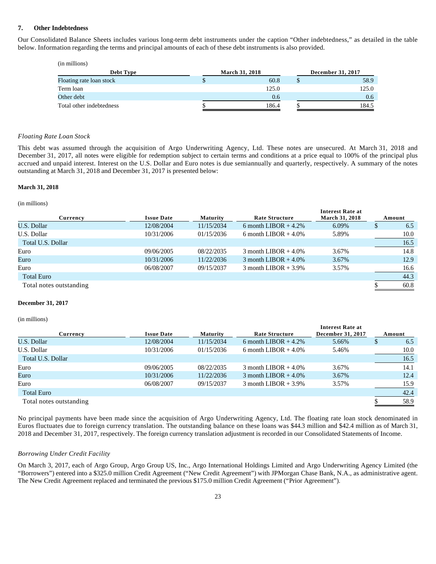#### **7. Other Indebtedness**

Our Consolidated Balance Sheets includes various long-term debt instruments under the caption "Other indebtedness," as detailed in the table below. Information regarding the terms and principal amounts of each of these debt instruments is also provided.

| (in millions)            |   |                       |                   |
|--------------------------|---|-----------------------|-------------------|
| Debt Type                |   | <b>March 31, 2018</b> | December 31, 2017 |
| Floating rate loan stock | S | 60.8                  | 58.9              |
| Term loan                |   | 125.0                 | 125.0             |
| Other debt               |   | 0.6                   | 0.6               |
| Total other indebtedness |   | 186.4                 | 184.5             |

#### *Floating Rate Loan Stock*

This debt was assumed through the acquisition of Argo Underwriting Agency, Ltd. These notes are unsecured. At March 31, 2018 and December 31, 2017, all notes were eligible for redemption subject to certain terms and conditions at a price equal to 100% of the principal plus accrued and unpaid interest. Interest on the U.S. Dollar and Euro notes is due semiannually and quarterly, respectively. A summary of the notes outstanding at March 31, 2018 and December 31, 2017 is presented below:

#### **March 31, 2018**

(in millions)

| Currency                | <b>Issue Date</b> | Maturity   | Rate Structure         | <b>Interest Rate at</b><br><b>March 31, 2018</b> | Amount |
|-------------------------|-------------------|------------|------------------------|--------------------------------------------------|--------|
| U.S. Dollar             | 12/08/2004        | 11/15/2034 | 6 month LIBOR $+4.2\%$ | 6.09%                                            | 6.5    |
| U.S. Dollar             | 10/31/2006        | 01/15/2036 | 6 month LIBOR $+4.0\%$ | 5.89%                                            | 10.0   |
| Total U.S. Dollar       |                   |            |                        |                                                  | 16.5   |
| Euro                    | 09/06/2005        | 08/22/2035 | 3 month LIBOR $+4.0\%$ | 3.67%                                            | 14.8   |
| Euro                    | 10/31/2006        | 11/22/2036 | 3 month LIBOR $+4.0\%$ | 3.67%                                            | 12.9   |
| Euro                    | 06/08/2007        | 09/15/2037 | 3 month LIBOR $+3.9\%$ | 3.57%                                            | 16.6   |
| <b>Total Euro</b>       |                   |            |                        |                                                  | 44.3   |
| Total notes outstanding |                   |            |                        |                                                  | 60.8   |

#### **December 31, 2017**

(in millions)

| Currency                | <b>Issue Date</b> | Maturity   | <b>Rate Structure</b>  | <b>Interest Rate at</b><br>December 31, 2017 | Amount |
|-------------------------|-------------------|------------|------------------------|----------------------------------------------|--------|
| U.S. Dollar             | 12/08/2004        | 11/15/2034 | 6 month LIBOR $+4.2\%$ | 5.66%                                        | 6.5    |
| U.S. Dollar             | 10/31/2006        | 01/15/2036 | 6 month LIBOR $+4.0\%$ | 5.46%                                        | 10.0   |
| Total U.S. Dollar       |                   |            |                        |                                              | 16.5   |
| Euro                    | 09/06/2005        | 08/22/2035 | 3 month LIBOR $+4.0\%$ | 3.67%                                        | 14.1   |
| Euro                    | 10/31/2006        | 11/22/2036 | 3 month LIBOR $+4.0\%$ | 3.67%                                        | 12.4   |
| Euro                    | 06/08/2007        | 09/15/2037 | 3 month LIBOR $+3.9\%$ | 3.57%                                        | 15.9   |
| <b>Total Euro</b>       |                   |            |                        |                                              | 42.4   |
| Total notes outstanding |                   |            |                        |                                              | 58.9   |

No principal payments have been made since the acquisition of Argo Underwriting Agency, Ltd. The floating rate loan stock denominated in Euros fluctuates due to foreign currency translation. The outstanding balance on these loans was \$44.3 million and \$42.4 million as of March 31, 2018 and December 31, 2017, respectively. The foreign currency translation adjustment is recorded in our Consolidated Statements of Income.

#### *Borrowing Under Credit Facility*

On March 3, 2017, each of Argo Group, Argo Group US, Inc., Argo International Holdings Limited and Argo Underwriting Agency Limited (the "Borrowers") entered into a \$325.0 million Credit Agreement ("New Credit Agreement") with JPMorgan Chase Bank, N.A., as administrative agent. The New Credit Agreement replaced and terminated the previous \$175.0 million Credit Agreement ("Prior Agreement").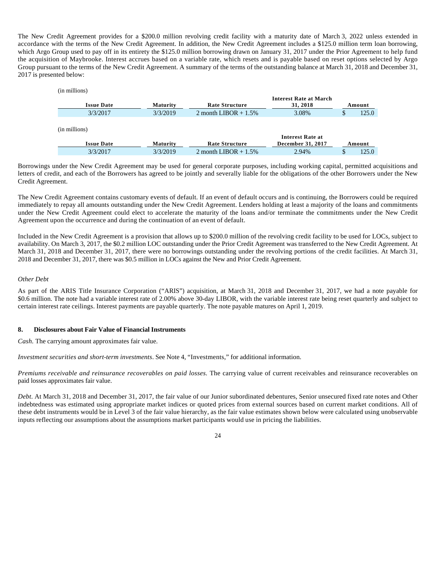The New Credit Agreement provides for a \$200.0 million revolving credit facility with a maturity date of March 3, 2022 unless extended in accordance with the terms of the New Credit Agreement. In addition, the New Credit Agreement includes a \$125.0 million term loan borrowing, which Argo Group used to pay off in its entirety the \$125.0 million borrowing drawn on January 31, 2017 under the Prior Agreement to help fund the acquisition of Maybrooke. Interest accrues based on a variable rate, which resets and is payable based on reset options selected by Argo Group pursuant to the terms of the New Credit Agreement. A summary of the terms of the outstanding balance at March 31, 2018 and December 31, 2017 is presented below:

| (in millions) |                   |                 |                         |                               |        |
|---------------|-------------------|-----------------|-------------------------|-------------------------------|--------|
|               |                   |                 |                         | <b>Interest Rate at March</b> |        |
|               | <b>Issue Date</b> | Maturity        | <b>Rate Structure</b>   | 31, 2018                      | Amount |
|               | 3/3/2017          | 3/3/2019        | 2 month LIBOR + $1.5\%$ | 3.08%                         | 125.0  |
|               |                   |                 |                         |                               |        |
| (in millions) |                   |                 |                         |                               |        |
|               |                   |                 |                         | Interest Rate at              |        |
|               | <b>Issue Date</b> | <b>Maturity</b> | <b>Rate Structure</b>   | December 31, 2017             | Amount |
|               | 3/3/2017          | 3/3/2019        | 2 month LIBOR $+1.5\%$  | 2.94%                         | 125.0  |

Borrowings under the New Credit Agreement may be used for general corporate purposes, including working capital, permitted acquisitions and letters of credit, and each of the Borrowers has agreed to be jointly and severally liable for the obligations of the other Borrowers under the New Credit Agreement.

The New Credit Agreement contains customary events of default. If an event of default occurs and is continuing, the Borrowers could be required immediately to repay all amounts outstanding under the New Credit Agreement. Lenders holding at least a majority of the loans and commitments under the New Credit Agreement could elect to accelerate the maturity of the loans and/or terminate the commitments under the New Credit Agreement upon the occurrence and during the continuation of an event of default.

Included in the New Credit Agreement is a provision that allows up to \$200.0 million of the revolving credit facility to be used for LOCs, subject to availability. On March 3, 2017, the \$0.2 million LOC outstanding under the Prior Credit Agreement was transferred to the New Credit Agreement. At March 31, 2018 and December 31, 2017, there were no borrowings outstanding under the revolving portions of the credit facilities. At March 31, 2018 and December 31, 2017, there was \$0.5 million in LOCs against the New and Prior Credit Agreement.

## *Other Debt*

As part of the ARIS Title Insurance Corporation ("ARIS") acquisition, at March 31, 2018 and December 31, 2017, we had a note payable for \$0.6 million. The note had a variable interest rate of 2.00% above 30-day LIBOR, with the variable interest rate being reset quarterly and subject to certain interest rate ceilings. Interest payments are payable quarterly. The note payable matures on April 1, 2019.

## **8. Disclosures about Fair Value of Financial Instruments**

*Cash.* The carrying amount approximates fair value.

*Investment securities and short-term investments*. See Note 4, "Investments," for additional information.

*Premiums receivable and reinsurance recoverables on paid losses.* The carrying value of current receivables and reinsurance recoverables on paid losses approximates fair value.

*Debt*. At March 31, 2018 and December 31, 2017, the fair value of our Junior subordinated debentures, Senior unsecured fixed rate notes and Other indebtedness was estimated using appropriate market indices or quoted prices from external sources based on current market conditions. All of these debt instruments would be in Level 3 of the fair value hierarchy, as the fair value estimates shown below were calculated using unobservable inputs reflecting our assumptions about the assumptions market participants would use in pricing the liabilities.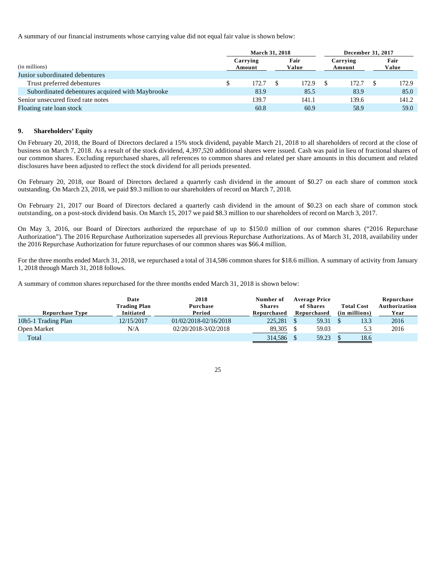A summary of our financial instruments whose carrying value did not equal fair value is shown below:

|                                                 |                    | <b>March 31, 2018</b> |               |       | <b>December 31, 2017</b> |       |               |       |
|-------------------------------------------------|--------------------|-----------------------|---------------|-------|--------------------------|-------|---------------|-------|
| (in millions)                                   | Carrying<br>Amount |                       | Fair<br>Value |       | Carrying<br>Amount       |       | Fair<br>Value |       |
| Junior subordinated debentures                  |                    |                       |               |       |                          |       |               |       |
| Trust preferred debentures                      |                    | 172.7                 |               | 172.9 |                          | 172.7 |               | 172.9 |
| Subordinated debentures acquired with Maybrooke |                    | 83.9                  |               | 85.5  |                          | 83.9  |               | 85.0  |
| Senior unsecured fixed rate notes               |                    | 139.7                 |               | 141.1 |                          | 139.6 |               | 141.2 |
| Floating rate loan stock                        |                    | 60.8                  |               | 60.9  |                          | 58.9  |               | 59.0  |

## **9. Shareholders' Equity**

On February 20, 2018, the Board of Directors declared a 15% stock dividend, payable March 21, 2018 to all shareholders of record at the close of business on March 7, 2018. As a result of the stock dividend, 4,397,520 additional shares were issued. Cash was paid in lieu of fractional shares of our common shares. Excluding repurchased shares, all references to common shares and related per share amounts in this document and related disclosures have been adjusted to reflect the stock dividend for all periods presented.

On February 20, 2018, our Board of Directors declared a quarterly cash dividend in the amount of \$0.27 on each share of common stock outstanding. On March 23, 2018, we paid \$9.3 million to our shareholders of record on March 7, 2018.

On February 21, 2017 our Board of Directors declared a quarterly cash dividend in the amount of \$0.23 on each share of common stock outstanding, on a post-stock dividend basis. On March 15, 2017 we paid \$8.3 million to our shareholders of record on March 3, 2017.

On May 3, 2016, our Board of Directors authorized the repurchase of up to \$150.0 million of our common shares ("2016 Repurchase Authorization"). The 2016 Repurchase Authorization supersedes all previous Repurchase Authorizations. As of March 31, 2018, availability under the 2016 Repurchase Authorization for future repurchases of our common shares was \$66.4 million.

For the three months ended March 31, 2018, we repurchased a total of 314,586 common shares for \$18.6 million. A summary of activity from January 1, 2018 through March 31, 2018 follows.

A summary of common shares repurchased for the three months ended March 31, 2018 is shown below:

| <b>Repurchase Type</b> | Date<br><b>Trading Plan</b><br>Initiated | 2018<br>Purchase<br>Period | Number of<br><b>Shares</b><br>Repurchased | <b>Average Price</b><br>of Shares<br>Repurchased | <b>Total Cost</b><br>(in millions) | Repurchase<br>Authorization<br>Year |
|------------------------|------------------------------------------|----------------------------|-------------------------------------------|--------------------------------------------------|------------------------------------|-------------------------------------|
| 10b5-1 Trading Plan    | 12/15/2017                               | 01/02/2018-02/16/2018      | 225,281                                   | 59.31                                            | 13.3                               | 2016                                |
| Open Market            | N/A                                      | 02/20/2018-3/02/2018       | 89.305                                    | 59.03                                            | 5.3                                | 2016                                |
| Total                  |                                          |                            | 314.586                                   | 59.23                                            | 18.6                               |                                     |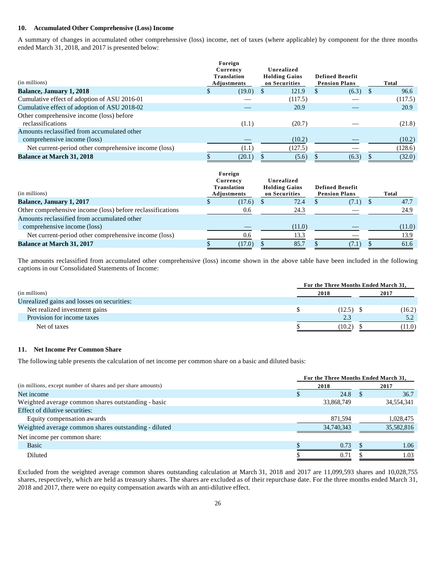#### **10. Accumulated Other Comprehensive (Loss) Income**

A summary of changes in accumulated other comprehensive (loss) income, net of taxes (where applicable) by component for the three months ended March 31, 2018, and 2017 is presented below:

| (in millions)                                                 | Foreign<br>Currency<br><b>Translation</b><br>Adjustments | Unrealized<br><b>Holding Gains</b><br>on Securities | <b>Defined Benefit</b><br><b>Pension Plans</b> | Total        |
|---------------------------------------------------------------|----------------------------------------------------------|-----------------------------------------------------|------------------------------------------------|--------------|
| <b>Balance, January 1, 2018</b>                               | (19.0)                                                   | 121.9                                               | (6.3)                                          | 96.6<br>- \$ |
| Cumulative effect of adoption of ASU 2016-01                  |                                                          | (117.5)                                             |                                                | (117.5)      |
| Cumulative effect of adoption of ASU 2018-02                  |                                                          | 20.9                                                |                                                | 20.9         |
| Other comprehensive income (loss) before<br>reclassifications | (1.1)                                                    | (20.7)                                              |                                                | (21.8)       |
| Amounts reclassified from accumulated other                   |                                                          |                                                     |                                                |              |
| comprehensive income (loss)                                   |                                                          | (10.2)                                              |                                                | (10.2)       |
| Net current-period other comprehensive income (loss)          | (1.1)                                                    | (127.5)                                             |                                                | (128.6)      |
| <b>Balance at March 31, 2018</b>                              | (20.1)                                                   | (5.6)                                               | (6.3)                                          | (32.0)       |

| (in millions)                                                              | Currency | Foreign<br><b>Translation</b><br>Adjustments | Unrealized<br><b>Holding Gains</b><br>on Securities | <b>Defined Benefit</b><br><b>Pension Plans</b> | Total  |
|----------------------------------------------------------------------------|----------|----------------------------------------------|-----------------------------------------------------|------------------------------------------------|--------|
| <b>Balance, January 1, 2017</b>                                            |          | (17.6)                                       | 72.4                                                | (7.1)                                          | 47.7   |
| Other comprehensive income (loss) before reclassifications                 |          | 0.6                                          | 24.3                                                |                                                | 24.9   |
| Amounts reclassified from accumulated other<br>comprehensive income (loss) |          |                                              | (11.0)                                              |                                                | (11.0) |
| Net current-period other comprehensive income (loss)                       |          | 0.6                                          | 13.3                                                |                                                | 13.9   |
| <b>Balance at March 31, 2017</b>                                           |          | (17.0)                                       | 85.7                                                | 7.1                                            | 61.6   |

The amounts reclassified from accumulated other comprehensive (loss) income shown in the above table have been included in the following captions in our Consolidated Statements of Income:

|                                            | For the Three Months Ended March 31, |      |        |  |
|--------------------------------------------|--------------------------------------|------|--------|--|
| (in millions)                              | 2018                                 | 2017 |        |  |
| Unrealized gains and losses on securities: |                                      |      |        |  |
| Net realized investment gains              | $(12.5)$ \$                          |      | (16.2) |  |
| Provision for income taxes                 | 2.3                                  |      | 5.2    |  |
| Net of taxes                               | (10.2)                               |      | (11.0) |  |

#### **11. Net Income Per Common Share**

The following table presents the calculation of net income per common share on a basic and diluted basis:

|                                                              | For the Three Months Ended March 31, |            |  |            |
|--------------------------------------------------------------|--------------------------------------|------------|--|------------|
| (in millions, except number of shares and per share amounts) |                                      | 2018       |  | 2017       |
| Net income                                                   |                                      | 24.8       |  | 36.7       |
| Weighted average common shares outstanding - basic           |                                      | 33,868,749 |  | 34,554,341 |
| Effect of dilutive securities:                               |                                      |            |  |            |
| Equity compensation awards                                   |                                      | 871,594    |  | 1,028,475  |
| Weighted average common shares outstanding - diluted         |                                      | 34,740,343 |  | 35,582,816 |
| Net income per common share:                                 |                                      |            |  |            |
| Basic                                                        |                                      | 0.73       |  | 1.06       |
| Diluted                                                      |                                      | 0.71       |  | 1.03       |

Excluded from the weighted average common shares outstanding calculation at March 31, 2018 and 2017 are 11,099,593 shares and 10,028,755 shares, respectively, which are held as treasury shares. The shares are excluded as of their repurchase date. For the three months ended March 31, 2018 and 2017, there were no equity compensation awards with an anti-dilutive effect.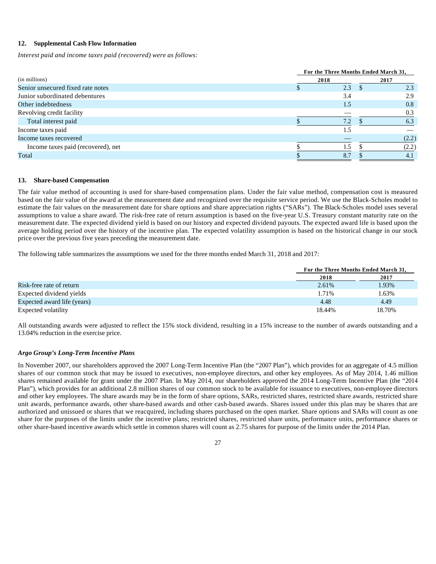## **12. Supplemental Cash Flow Information**

*Interest paid and income taxes paid (recovered) were as follows:*

|                                    | For the Three Months Ended March 31, |       |  |  |  |
|------------------------------------|--------------------------------------|-------|--|--|--|
| (in millions)                      | 2018                                 | 2017  |  |  |  |
| Senior unsecured fixed rate notes  | 2.3                                  | 2.3   |  |  |  |
| Junior subordinated debentures     | 3.4                                  | 2.9   |  |  |  |
| Other indebtedness                 | 1.5                                  | 0.8   |  |  |  |
| Revolving credit facility          |                                      | 0.3   |  |  |  |
| Total interest paid                | 7.2                                  | 6.3   |  |  |  |
| Income taxes paid                  |                                      |       |  |  |  |
| Income taxes recovered             |                                      | (2.2) |  |  |  |
| Income taxes paid (recovered), net | L.5                                  | (2.2) |  |  |  |
| Total                              | 8.7                                  | 4.1   |  |  |  |

#### **13. Share-based Compensation**

The fair value method of accounting is used for share-based compensation plans. Under the fair value method, compensation cost is measured based on the fair value of the award at the measurement date and recognized over the requisite service period. We use the Black-Scholes model to estimate the fair values on the measurement date for share options and share appreciation rights ("SARs"). The Black-Scholes model uses several assumptions to value a share award. The risk-free rate of return assumption is based on the five-year U.S. Treasury constant maturity rate on the measurement date. The expected dividend yield is based on our history and expected dividend payouts. The expected award life is based upon the average holding period over the history of the incentive plan. The expected volatility assumption is based on the historical change in our stock price over the previous five years preceding the measurement date.

The following table summarizes the assumptions we used for the three months ended March 31, 2018 and 2017:

|                             | For the Three Months Ended March 31, |        |
|-----------------------------|--------------------------------------|--------|
|                             | 2018                                 | 2017   |
| Risk-free rate of return    | 2.61%                                | 1.93%  |
| Expected dividend yields    | 1.71%                                | 1.63%  |
| Expected award life (years) | 4.48                                 | 4.49   |
| Expected volatility         | 18.44%                               | 18.70% |

All outstanding awards were adjusted to reflect the 15% stock dividend, resulting in a 15% increase to the number of awards outstanding and a 13.04% reduction in the exercise price.

#### *Argo Group's Long-Term Incentive Plans*

In November 2007, our shareholders approved the 2007 Long-Term Incentive Plan (the "2007 Plan"), which provides for an aggregate of 4.5 million shares of our common stock that may be issued to executives, non-employee directors, and other key employees. As of May 2014, 1.46 million shares remained available for grant under the 2007 Plan. In May 2014, our shareholders approved the 2014 Long-Term Incentive Plan (the "2014 Plan"), which provides for an additional 2.8 million shares of our common stock to be available for issuance to executives, non-employee directors and other key employees. The share awards may be in the form of share options, SARs, restricted shares, restricted share awards, restricted share unit awards, performance awards, other share-based awards and other cash-based awards. Shares issued under this plan may be shares that are authorized and unissued or shares that we reacquired, including shares purchased on the open market. Share options and SARs will count as one share for the purposes of the limits under the incentive plans; restricted shares, restricted share units, performance units, performance shares or other share-based incentive awards which settle in common shares will count as 2.75 shares for purpose of the limits under the 2014 Plan.

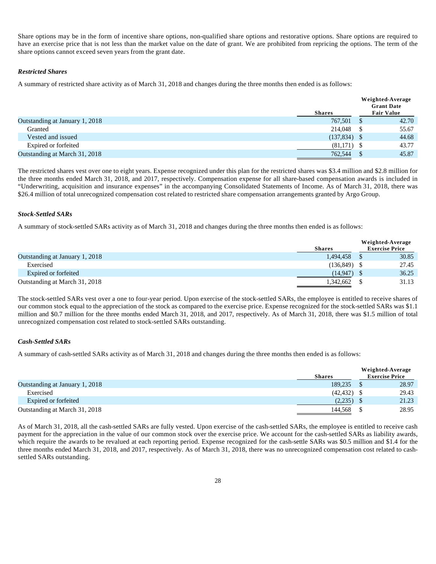Share options may be in the form of incentive share options, non-qualified share options and restorative options. Share options are required to have an exercise price that is not less than the market value on the date of grant. We are prohibited from repricing the options. The term of the share options cannot exceed seven years from the grant date.

#### *Restricted Shares*

A summary of restricted share activity as of March 31, 2018 and changes during the three months then ended is as follows:

|               | Weighted-Average<br><b>Grant Date</b> |
|---------------|---------------------------------------|
| <b>Shares</b> | <b>Fair Value</b>                     |
| 767,501       | 42.70                                 |
| 214,048       | 55.67                                 |
|               | 44.68                                 |
| (81,171)      | 43.77                                 |
| 762,544       | 45.87                                 |
|               | $(137,834)$ \$                        |

The restricted shares vest over one to eight years. Expense recognized under this plan for the restricted shares was \$3.4 million and \$2.8 million for the three months ended March 31, 2018, and 2017, respectively. Compensation expense for all share-based compensation awards is included in "Underwriting, acquisition and insurance expenses" in the accompanying Consolidated Statements of Income. As of March 31, 2018, there was \$26.4 million of total unrecognized compensation cost related to restricted share compensation arrangements granted by Argo Group.

#### *Stock-Settled SARs*

A summary of stock-settled SARs activity as of March 31, 2018 and changes during the three months then ended is as follows:

|                                |               | Weighted-Average      |
|--------------------------------|---------------|-----------------------|
|                                | <b>Shares</b> | <b>Exercise Price</b> |
| Outstanding at January 1, 2018 | 1.494.458     | 30.85                 |
| Exercised                      | (136.849)     | 27.45                 |
| Expired or forfeited           | (14.947)      | 36.25                 |
| Outstanding at March 31, 2018  | 1.342.662     | 31.13                 |

The stock-settled SARs vest over a one to four-year period. Upon exercise of the stock-settled SARs, the employee is entitled to receive shares of our common stock equal to the appreciation of the stock as compared to the exercise price. Expense recognized for the stock-settled SARs was \$1.1 million and \$0.7 million for the three months ended March 31, 2018, and 2017, respectively. As of March 31, 2018, there was \$1.5 million of total unrecognized compensation cost related to stock-settled SARs outstanding.

## *Cash-Settled SARs*

A summary of cash-settled SARs activity as of March 31, 2018 and changes during the three months then ended is as follows:

|                                | <b>Shares</b> | Weighted-Average<br><b>Exercise Price</b> |       |
|--------------------------------|---------------|-------------------------------------------|-------|
| Outstanding at January 1, 2018 | 189,235       |                                           | 28.97 |
| Exercised                      | (42, 432)     |                                           | 29.43 |
| Expired or forfeited           | (2,235)       |                                           | 21.23 |
| Outstanding at March 31, 2018  | 144.568       |                                           | 28.95 |

As of March 31, 2018, all the cash-settled SARs are fully vested. Upon exercise of the cash-settled SARs, the employee is entitled to receive cash payment for the appreciation in the value of our common stock over the exercise price. We account for the cash-settled SARs as liability awards, which require the awards to be revalued at each reporting period. Expense recognized for the cash-settle SARs was \$0.5 million and \$1.4 for the three months ended March 31, 2018, and 2017, respectively. As of March 31, 2018, there was no unrecognized compensation cost related to cashsettled SARs outstanding.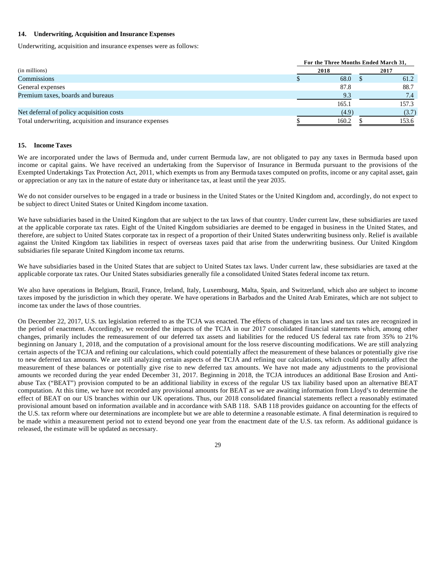#### **14. Underwriting, Acquisition and Insurance Expenses**

Underwriting, acquisition and insurance expenses were as follows:

|                                                        | For the Three Months Ended March 31, |  |       |
|--------------------------------------------------------|--------------------------------------|--|-------|
| (in millions)                                          | 2018                                 |  | 2017  |
| Commissions                                            | 68.0                                 |  | 61.2  |
| General expenses                                       | 87.8                                 |  | 88.7  |
| Premium taxes, boards and bureaus                      | 9.3                                  |  | 7.4   |
|                                                        | 165.1                                |  | 157.3 |
| Net deferral of policy acquisition costs               | (4.9)                                |  | (3.7) |
| Total underwriting, acquisition and insurance expenses | 160.2                                |  | 153.6 |

#### **15. Income Taxes**

We are incorporated under the laws of Bermuda and, under current Bermuda law, are not obligated to pay any taxes in Bermuda based upon income or capital gains. We have received an undertaking from the Supervisor of Insurance in Bermuda pursuant to the provisions of the Exempted Undertakings Tax Protection Act, 2011, which exempts us from any Bermuda taxes computed on profits, income or any capital asset, gain or appreciation or any tax in the nature of estate duty or inheritance tax, at least until the year 2035.

We do not consider ourselves to be engaged in a trade or business in the United States or the United Kingdom and, accordingly, do not expect to be subject to direct United States or United Kingdom income taxation.

We have subsidiaries based in the United Kingdom that are subject to the tax laws of that country. Under current law, these subsidiaries are taxed at the applicable corporate tax rates. Eight of the United Kingdom subsidiaries are deemed to be engaged in business in the United States, and therefore, are subject to United States corporate tax in respect of a proportion of their United States underwriting business only. Relief is available against the United Kingdom tax liabilities in respect of overseas taxes paid that arise from the underwriting business. Our United Kingdom subsidiaries file separate United Kingdom income tax returns.

We have subsidiaries based in the United States that are subject to United States tax laws. Under current law, these subsidiaries are taxed at the applicable corporate tax rates. Our United States subsidiaries generally file a consolidated United States federal income tax return.

We also have operations in Belgium, Brazil, France, Ireland, Italy, Luxembourg, Malta, Spain, and Switzerland, which also are subject to income taxes imposed by the jurisdiction in which they operate. We have operations in Barbados and the United Arab Emirates, which are not subject to income tax under the laws of those countries.

On December 22, 2017, U.S. tax legislation referred to as the TCJA was enacted. The effects of changes in tax laws and tax rates are recognized in the period of enactment. Accordingly, we recorded the impacts of the TCJA in our 2017 consolidated financial statements which, among other changes, primarily includes the remeasurement of our deferred tax assets and liabilities for the reduced US federal tax rate from 35% to 21% beginning on January 1, 2018, and the computation of a provisional amount for the loss reserve discounting modifications. We are still analyzing certain aspects of the TCJA and refining our calculations, which could potentially affect the measurement of these balances or potentially give rise to new deferred tax amounts. We are still analyzing certain aspects of the TCJA and refining our calculations, which could potentially affect the measurement of these balances or potentially give rise to new deferred tax amounts. We have not made any adjustments to the provisional amounts we recorded during the year ended December 31, 2017. Beginning in 2018, the TCJA introduces an additional Base Erosion and Antiabuse Tax ("BEAT") provision computed to be an additional liability in excess of the regular US tax liability based upon an alternative BEAT computation. At this time, we have not recorded any provisional amounts for BEAT as we are awaiting information from Lloyd's to determine the effect of BEAT on our US branches within our UK operations. Thus, our 2018 consolidated financial statements reflect a reasonably estimated provisional amount based on information available and in accordance with SAB 118. SAB 118 provides guidance on accounting for the effects of the U.S. tax reform where our determinations are incomplete but we are able to determine a reasonable estimate. A final determination is required to be made within a measurement period not to extend beyond one year from the enactment date of the U.S. tax reform. As additional guidance is released, the estimate will be updated as necessary.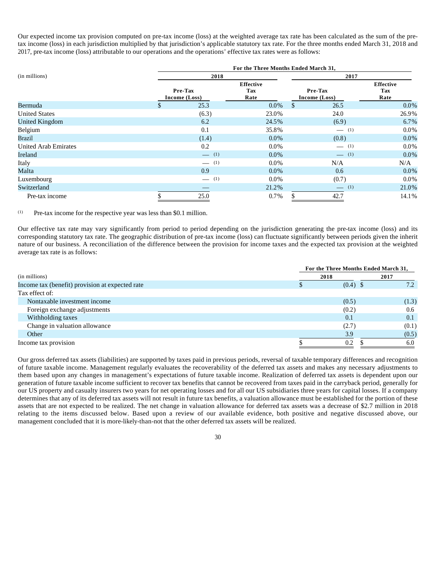Our expected income tax provision computed on pre-tax income (loss) at the weighted average tax rate has been calculated as the sum of the pretax income (loss) in each jurisdiction multiplied by that jurisdiction's applicable statutory tax rate. For the three months ended March 31, 2018 and 2017, pre-tax income (loss) attributable to our operations and the operations' effective tax rates were as follows:

|                             | For the Three Months Ended March 31, |                                 |    |                          |                                 |  |  |
|-----------------------------|--------------------------------------|---------------------------------|----|--------------------------|---------------------------------|--|--|
| (in millions)               | 2018                                 |                                 |    | 2017                     |                                 |  |  |
|                             | Pre-Tax<br>Income (Loss)             | <b>Effective</b><br>Tax<br>Rate |    | Pre-Tax<br>Income (Loss) | <b>Effective</b><br>Tax<br>Rate |  |  |
| Bermuda                     | \$<br>25.3                           | $0.0\%$                         | S. | 26.5                     | $0.0\%$                         |  |  |
| <b>United States</b>        | (6.3)                                | 23.0%                           |    | 24.0                     | 26.9%                           |  |  |
| United Kingdom              | 6.2                                  | 24.5%                           |    | (6.9)                    | 6.7%                            |  |  |
| Belgium                     | 0.1                                  | 35.8%                           |    | $- (1)$                  | $0.0\%$                         |  |  |
| <b>Brazil</b>               | (1.4)                                | $0.0\%$                         |    | (0.8)                    | $0.0\%$                         |  |  |
| <b>United Arab Emirates</b> | 0.2                                  | $0.0\%$                         |    | $- (1)$                  | $0.0\%$                         |  |  |
| Ireland                     | $\qquad \qquad$ (1)                  | $0.0\%$                         |    | $\equiv$ (1)             | $0.0\%$                         |  |  |
| Italy                       | $- (1)$                              | $0.0\%$                         |    | N/A                      | N/A                             |  |  |
| Malta                       | 0.9                                  | $0.0\%$                         |    | 0.6                      | $0.0\%$                         |  |  |
| Luxembourg                  | $- (1)$                              | $0.0\%$                         |    | (0.7)                    | $0.0\%$                         |  |  |
| Switzerland                 |                                      | 21.2%                           |    | $\equiv$ (1)             | 21.0%                           |  |  |
| Pre-tax income              | 25.0                                 | $0.7\%$                         |    | 42.7                     | 14.1%                           |  |  |

(1) Pre-tax income for the respective year was less than \$0.1 million.

Our effective tax rate may vary significantly from period to period depending on the jurisdiction generating the pre-tax income (loss) and its corresponding statutory tax rate. The geographic distribution of pre-tax income (loss) can fluctuate significantly between periods given the inherit nature of our business. A reconciliation of the difference between the provision for income taxes and the expected tax provision at the weighted average tax rate is as follows:

|                                                 |      | For the Three Months Ended March 31, |       |  |
|-------------------------------------------------|------|--------------------------------------|-------|--|
| (in millions)                                   | 2018 |                                      | 2017  |  |
| Income tax (benefit) provision at expected rate |      | $(0.4)$ \$                           | 7.2   |  |
| Tax effect of:                                  |      |                                      |       |  |
| Nontaxable investment income                    |      | (0.5)                                | (1.3) |  |
| Foreign exchange adjustments                    |      | (0.2)                                | 0.6   |  |
| Withholding taxes                               |      | 0.1                                  | 0.1   |  |
| Change in valuation allowance                   |      | (2.7)                                | (0.1) |  |
| Other                                           |      | 3.9                                  | (0.5) |  |
| Income tax provision                            |      | 0.2                                  | 6.0   |  |

Our gross deferred tax assets (liabilities) are supported by taxes paid in previous periods, reversal of taxable temporary differences and recognition of future taxable income. Management regularly evaluates the recoverability of the deferred tax assets and makes any necessary adjustments to them based upon any changes in management's expectations of future taxable income. Realization of deferred tax assets is dependent upon our generation of future taxable income sufficient to recover tax benefits that cannot be recovered from taxes paid in the carryback period, generally for our US property and casualty insurers two years for net operating losses and for all our US subsidiaries three years for capital losses. If a company determines that any of its deferred tax assets will not result in future tax benefits, a valuation allowance must be established for the portion of these assets that are not expected to be realized. The net change in valuation allowance for deferred tax assets was a decrease of \$2.7 million in 2018 relating to the items discussed below. Based upon a review of our available evidence, both positive and negative discussed above, our management concluded that it is more-likely-than-not that the other deferred tax assets will be realized.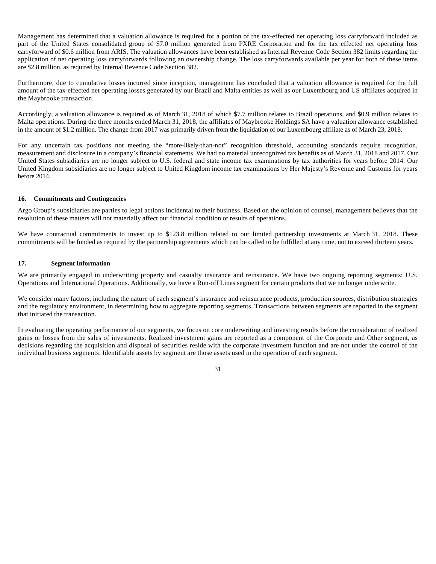Management has determined that a valuation allowance is required for a portion of the tax-effected net operating loss carryforward included as part of the United States consolidated group of \$7.0 million generated from PXRE Corporation and for the tax effected net operating loss carryforward of \$0.6 million from ARIS. The valuation allowances have been established as Internal Revenue Code Section 382 limits regarding the application of net operating loss carryforwards following an ownership change. The loss carryforwards available per year for both of these items are \$2.8 million, as required by Internal Revenue Code Section 382.

Furthermore, due to cumulative losses incurred since inception, management has concluded that a valuation allowance is required for the full amount of the tax-effected net operating losses generated by our Brazil and Malta entities as well as our Luxembourg and US affiliates acquired in the Maybrooke transaction.

Accordingly, a valuation allowance is required as of March 31, 2018 of which \$7.7 million relates to Brazil operations, and \$0.9 million relates to Malta operations. During the three months ended March 31, 2018, the affiliates of Maybrooke Holdings SA have a valuation allowance established in the amount of \$1.2 million. The change from 2017 was primarily driven from the liquidation of our Luxembourg affiliate as of March 23, 2018.

For any uncertain tax positions not meeting the "more-likely-than-not" recognition threshold, accounting standards require recognition, measurement and disclosure in a company's financial statements. We had no material unrecognized tax benefits as of March 31, 2018 and 2017. Our United States subsidiaries are no longer subject to U.S. federal and state income tax examinations by tax authorities for years before 2014. Our United Kingdom subsidiaries are no longer subject to United Kingdom income tax examinations by Her Majesty's Revenue and Customs for years before 2014.

## **16. Commitments and Contingencies**

Argo Group's subsidiaries are parties to legal actions incidental to their business. Based on the opinion of counsel, management believes that the resolution of these matters will not materially affect our financial condition or results of operations.

We have contractual commitments to invest up to \$123.8 million related to our limited partnership investments at March 31, 2018. These commitments will be funded as required by the partnership agreements which can be called to be fulfilled at any time, not to exceed thirteen years.

## **17. Segment Information**

We are primarily engaged in underwriting property and casualty insurance and reinsurance. We have two ongoing reporting segments: U.S. Operations and International Operations. Additionally, we have a Run-off Lines segment for certain products that we no longer underwrite.

We consider many factors, including the nature of each segment's insurance and reinsurance products, production sources, distribution strategies and the regulatory environment, in determining how to aggregate reporting segments. Transactions between segments are reported in the segment that initiated the transaction.

In evaluating the operating performance of our segments, we focus on core underwriting and investing results before the consideration of realized gains or losses from the sales of investments. Realized investment gains are reported as a component of the Corporate and Other segment, as decisions regarding the acquisition and disposal of securities reside with the corporate investment function and are not under the control of the individual business segments. Identifiable assets by segment are those assets used in the operation of each segment.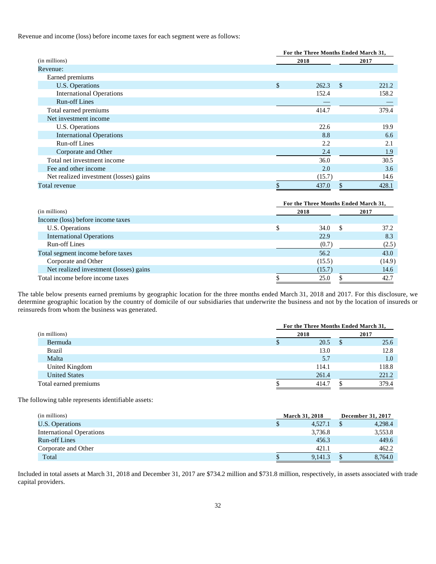Revenue and income (loss) before income taxes for each segment were as follows:

|                                        | For the Three Months Ended March 31, |      |       |  |
|----------------------------------------|--------------------------------------|------|-------|--|
| (in millions)                          | 2018                                 | 2017 |       |  |
| Revenue:                               |                                      |      |       |  |
| Earned premiums                        |                                      |      |       |  |
| U.S. Operations                        | \$<br>262.3                          | -S   | 221.2 |  |
| <b>International Operations</b>        | 152.4                                |      | 158.2 |  |
| Run-off Lines                          |                                      |      |       |  |
| Total earned premiums                  | 414.7                                |      | 379.4 |  |
| Net investment income                  |                                      |      |       |  |
| U.S. Operations                        | 22.6                                 |      | 19.9  |  |
| <b>International Operations</b>        | 8.8                                  |      | 6.6   |  |
| <b>Run-off Lines</b>                   | 2.2                                  |      | 2.1   |  |
| Corporate and Other                    | 2.4                                  |      | 1.9   |  |
| Total net investment income            | 36.0                                 |      | 30.5  |  |
| Fee and other income                   | 2.0                                  |      | 3.6   |  |
| Net realized investment (losses) gains | (15.7)                               |      | 14.6  |  |
| Total revenue                          | 437.0                                |      | 428.1 |  |

|                                        |      | For the Three Months Ended March 31, |        |  |  |  |  |
|----------------------------------------|------|--------------------------------------|--------|--|--|--|--|
| (in millions)                          | 2018 |                                      | 2017   |  |  |  |  |
| Income (loss) before income taxes      |      |                                      |        |  |  |  |  |
| U.S. Operations                        | S    | 34.0<br>S                            | 37.2   |  |  |  |  |
| <b>International Operations</b>        |      | 22.9                                 | 8.3    |  |  |  |  |
| <b>Run-off Lines</b>                   |      | (0.7)                                | (2.5)  |  |  |  |  |
| Total segment income before taxes      |      | 56.2                                 | 43.0   |  |  |  |  |
| Corporate and Other                    |      | (15.5)                               | (14.9) |  |  |  |  |
| Net realized investment (losses) gains |      | (15.7)                               | 14.6   |  |  |  |  |
| Total income before income taxes       |      | 25.0                                 | 42.7   |  |  |  |  |

The table below presents earned premiums by geographic location for the three months ended March 31, 2018 and 2017. For this disclosure, we determine geographic location by the country of domicile of our subsidiaries that underwrite the business and not by the location of insureds or reinsureds from whom the business was generated.

|                       | For the Three Months Ended March 31, |       |  |       |  |  |
|-----------------------|--------------------------------------|-------|--|-------|--|--|
| (in millions)         |                                      | 2018  |  |       |  |  |
| Bermuda               |                                      | 20.5  |  | 25.6  |  |  |
| <b>Brazil</b>         |                                      | 13.0  |  | 12.8  |  |  |
| Malta                 |                                      | 5.7   |  | 1.0   |  |  |
| United Kingdom        |                                      | 114.1 |  | 118.8 |  |  |
| <b>United States</b>  |                                      | 261.4 |  | 221.2 |  |  |
| Total earned premiums |                                      | 414.7 |  | 379.4 |  |  |

The following table represents identifiable assets:

| (in millions)                   | <b>March 31, 2018</b> |  | December 31, 2017 |
|---------------------------------|-----------------------|--|-------------------|
| U.S. Operations                 | 4.527.1               |  | 4,298.4           |
| <b>International Operations</b> | 3,736.8               |  | 3,553.8           |
| <b>Run-off Lines</b>            | 456.3                 |  | 449.6             |
| Corporate and Other             | 421.1                 |  | 462.2             |
| Total                           | 9.141.3               |  | 8.764.0           |

Included in total assets at March 31, 2018 and December 31, 2017 are \$734.2 million and \$731.8 million, respectively, in assets associated with trade capital providers.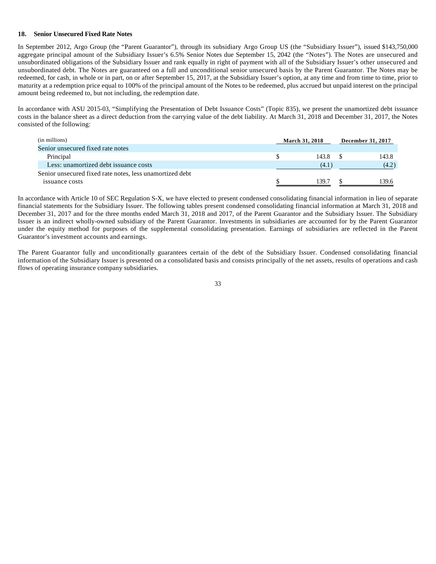#### **18. Senior Unsecured Fixed Rate Notes**

In September 2012, Argo Group (the "Parent Guarantor"), through its subsidiary Argo Group US (the "Subsidiary Issuer"), issued \$143,750,000 aggregate principal amount of the Subsidiary Issuer's 6.5% Senior Notes due September 15, 2042 (the "Notes"). The Notes are unsecured and unsubordinated obligations of the Subsidiary Issuer and rank equally in right of payment with all of the Subsidiary Issuer's other unsecured and unsubordinated debt. The Notes are guaranteed on a full and unconditional senior unsecured basis by the Parent Guarantor. The Notes may be redeemed, for cash, in whole or in part, on or after September 15, 2017, at the Subsidiary Issuer's option, at any time and from time to time, prior to maturity at a redemption price equal to 100% of the principal amount of the Notes to be redeemed, plus accrued but unpaid interest on the principal amount being redeemed to, but not including, the redemption date.

In accordance with ASU 2015-03, "Simplifying the Presentation of Debt Issuance Costs" (Topic 835), we present the unamortized debt issuance costs in the balance sheet as a direct deduction from the carrying value of the debt liability. At March 31, 2018 and December 31, 2017, the Notes consisted of the following:

| (in millions)                                            | <b>March 31, 2018</b> |  | December 31, 2017 |
|----------------------------------------------------------|-----------------------|--|-------------------|
| Senior unsecured fixed rate notes                        |                       |  |                   |
| Principal                                                | 143.8                 |  | 143.8             |
| Less: unamortized debt issuance costs                    | (4.1)                 |  | (4.2)             |
| Senior unsecured fixed rate notes, less unamortized debt |                       |  |                   |
| issuance costs                                           | 139.7                 |  | 139.6             |

In accordance with Article 10 of SEC Regulation S-X, we have elected to present condensed consolidating financial information in lieu of separate financial statements for the Subsidiary Issuer. The following tables present condensed consolidating financial information at March 31, 2018 and December 31, 2017 and for the three months ended March 31, 2018 and 2017, of the Parent Guarantor and the Subsidiary Issuer. The Subsidiary Issuer is an indirect wholly-owned subsidiary of the Parent Guarantor. Investments in subsidiaries are accounted for by the Parent Guarantor under the equity method for purposes of the supplemental consolidating presentation. Earnings of subsidiaries are reflected in the Parent Guarantor's investment accounts and earnings.

The Parent Guarantor fully and unconditionally guarantees certain of the debt of the Subsidiary Issuer. Condensed consolidating financial information of the Subsidiary Issuer is presented on a consolidated basis and consists principally of the net assets, results of operations and cash flows of operating insurance company subsidiaries.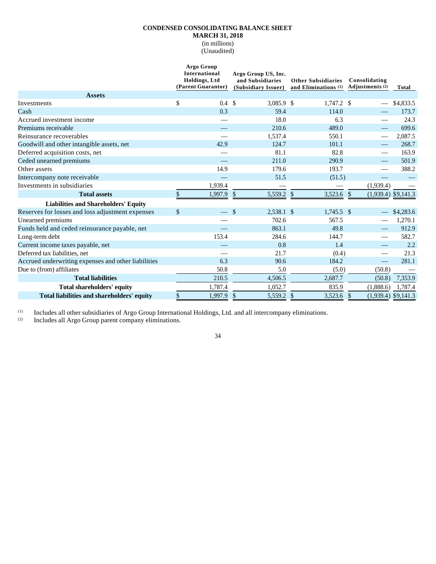## **CONDENSED CONSOLIDATING BALANCE SHEET**

**MARCH 31, 2018**

(in millions)

(Unaudited)

|                                                     | Argo Group<br><b>International</b><br><b>Holdings</b> , Ltd<br>(Parent Guarantor) |                          | Argo Group US, Inc.<br>and Subsidiaries<br>(Subsidiary Issuer) |            | <b>Other Subsidiaries</b><br>and Eliminations (1) | Consolidating<br>Adjustments <sup>(2)</sup> | Total                 |
|-----------------------------------------------------|-----------------------------------------------------------------------------------|--------------------------|----------------------------------------------------------------|------------|---------------------------------------------------|---------------------------------------------|-----------------------|
| <b>Assets</b>                                       |                                                                                   |                          |                                                                |            |                                                   |                                             |                       |
| Investments                                         | \$                                                                                | 0.4 <sup>°</sup>         |                                                                | 3,085.9 \$ | 1,747.2 \$                                        |                                             | \$4,833.5             |
| Cash                                                |                                                                                   | 0.3                      |                                                                | 59.4       | 114.0                                             |                                             | 173.7                 |
| Accrued investment income                           |                                                                                   | —                        |                                                                | 18.0       | 6.3                                               |                                             | 24.3                  |
| Premiums receivable                                 |                                                                                   |                          |                                                                | 210.6      | 489.0                                             |                                             | 699.6                 |
| Reinsurance recoverables                            |                                                                                   |                          |                                                                | 1,537.4    | 550.1                                             |                                             | 2,087.5               |
| Goodwill and other intangible assets, net           |                                                                                   | 42.9                     |                                                                | 124.7      | 101.1                                             |                                             | 268.7                 |
| Deferred acquisition costs, net                     |                                                                                   | $\overline{\phantom{0}}$ |                                                                | 81.1       | 82.8                                              | —                                           | 163.9                 |
| Ceded unearned premiums                             |                                                                                   |                          |                                                                | 211.0      | 290.9                                             |                                             | 501.9                 |
| Other assets                                        |                                                                                   | 14.9                     |                                                                | 179.6      | 193.7                                             |                                             | 388.2                 |
| Intercompany note receivable                        |                                                                                   |                          |                                                                | 51.5       | (51.5)                                            |                                             |                       |
| Investments in subsidiaries                         |                                                                                   | 1,939.4                  |                                                                |            |                                                   | (1,939.4)                                   |                       |
| <b>Total assets</b>                                 | \$                                                                                | 1,997.9                  | $\mathcal{S}$                                                  | 5,559.2 \$ | 3,523.6 \$                                        |                                             | $(1,939.4)$ \$9,141.3 |
| <b>Liabilities and Shareholders' Equity</b>         |                                                                                   |                          |                                                                |            |                                                   |                                             |                       |
| Reserves for losses and loss adjustment expenses    | $\mathcal{S}$                                                                     |                          | $\mathcal{S}$                                                  | 2,538.1 \$ | $1.745.5$ \$                                      |                                             | \$4,283.6             |
| Unearned premiums                                   |                                                                                   |                          |                                                                | 702.6      | 567.5                                             |                                             | 1,270.1               |
| Funds held and ceded reinsurance payable, net       |                                                                                   |                          |                                                                | 863.1      | 49.8                                              |                                             | 912.9                 |
| Long-term debt                                      |                                                                                   | 153.4                    |                                                                | 284.6      | 144.7                                             |                                             | 582.7                 |
| Current income taxes payable, net                   |                                                                                   |                          |                                                                | 0.8        | 1.4                                               |                                             | 2.2                   |
| Deferred tax liabilities, net                       |                                                                                   |                          |                                                                | 21.7       | (0.4)                                             |                                             | 21.3                  |
| Accrued underwriting expenses and other liabilities |                                                                                   | 6.3                      |                                                                | 90.6       | 184.2                                             | $\overbrace{\hspace{25mm}}^{}$              | 281.1                 |
| Due to (from) affiliates                            |                                                                                   | 50.8                     |                                                                | 5.0        | (5.0)                                             | (50.8)                                      |                       |
| <b>Total liabilities</b>                            |                                                                                   | 210.5                    |                                                                | 4,506.5    | 2,687.7                                           | (50.8)                                      | 7,353.9               |
| <b>Total shareholders' equity</b>                   |                                                                                   | 1,787.4                  |                                                                | 1,052.7    | 835.9                                             | (1,888.6)                                   | 1,787.4               |
| Total liabilities and shareholders' equity          | \$                                                                                | 1,997.9                  | $\mathcal{S}$                                                  | 5,559.2    | $\mathcal{S}$<br>3,523.6                          | $\mathcal{S}$                               | $(1,939.4)$ \$9,141.3 |

(1) Includes all other subsidiaries of Argo Group International Holdings, Ltd. and all intercompany eliminations.<br>(2) Includes all Argo Group parent company eliminations.

Includes all Argo Group parent company eliminations.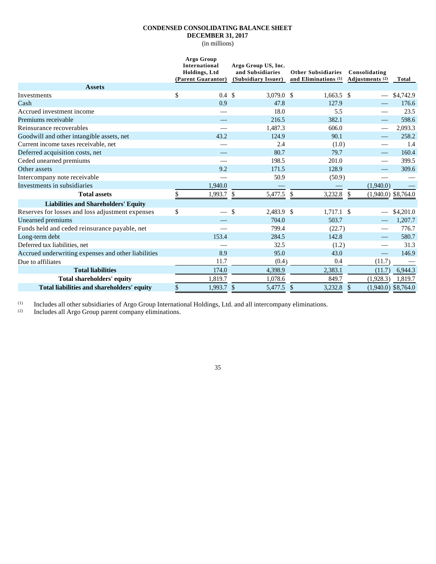## **CONDENSED CONSOLIDATING BALANCE SHEET DECEMBER 31, 2017**

(in millions)

|                                                     | Argo Group<br><b>International</b><br><b>Holdings</b> , Ltd<br>(Parent Guarantor) | Argo Group US, Inc.<br>and Subsidiaries<br>(Subsidiary Issuer) | <b>Other Subsidiaries</b><br>and Eliminations (1) | Consolidating<br>Adiustments (2)       | Total                 |
|-----------------------------------------------------|-----------------------------------------------------------------------------------|----------------------------------------------------------------|---------------------------------------------------|----------------------------------------|-----------------------|
| <b>Assets</b>                                       |                                                                                   |                                                                |                                                   |                                        |                       |
| Investments                                         | \$<br>$0.4 \text{ } $$                                                            | 3,079.0 \$                                                     | $1,663.5$ \$                                      |                                        | \$4,742.9             |
| Cash                                                | 0.9                                                                               | 47.8                                                           | 127.9                                             |                                        | 176.6                 |
| Accrued investment income                           | $\overline{\phantom{0}}$                                                          | 18.0                                                           | 5.5                                               |                                        | 23.5                  |
| Premiums receivable                                 |                                                                                   | 216.5                                                          | 382.1                                             |                                        | 598.6                 |
| Reinsurance recoverables                            |                                                                                   | 1,487.3                                                        | 606.0                                             |                                        | 2,093.3               |
| Goodwill and other intangible assets, net           | 43.2                                                                              | 124.9                                                          | 90.1                                              |                                        | 258.2                 |
| Current income taxes receivable, net                |                                                                                   | 2.4                                                            | (1.0)                                             |                                        | 1.4                   |
| Deferred acquisition costs, net                     |                                                                                   | 80.7                                                           | 79.7                                              |                                        | 160.4                 |
| Ceded unearned premiums                             |                                                                                   | 198.5                                                          | 201.0                                             |                                        | 399.5                 |
| Other assets                                        | 9.2                                                                               | 171.5                                                          | 128.9                                             |                                        | 309.6                 |
| Intercompany note receivable                        |                                                                                   | 50.9                                                           | (50.9)                                            |                                        |                       |
| Investments in subsidiaries                         | 1,940.0                                                                           |                                                                |                                                   | (1,940.0)                              |                       |
| <b>Total assets</b>                                 | 1,993.7<br>\$                                                                     | $\mathcal{S}$<br>5,477.5                                       | 3,232.8<br><sup>\$</sup>                          | <sup>\$</sup><br>$(1,940.0)$ \$8,764.0 |                       |
| <b>Liabilities and Shareholders' Equity</b>         |                                                                                   |                                                                |                                                   |                                        |                       |
| Reserves for losses and loss adjustment expenses    | \$                                                                                | $\mathcal{S}$<br>2.483.9 \$                                    | $1.717.1$ \$                                      |                                        | \$4,201.0             |
| Unearned premiums                                   |                                                                                   | 704.0                                                          | 503.7                                             |                                        | 1.207.7               |
| Funds held and ceded reinsurance payable, net       |                                                                                   | 799.4                                                          | (22.7)                                            |                                        | 776.7                 |
| Long-term debt                                      | 153.4                                                                             | 284.5                                                          | 142.8                                             |                                        | 580.7                 |
| Deferred tax liabilities, net                       |                                                                                   | 32.5                                                           | (1.2)                                             |                                        | 31.3                  |
| Accrued underwriting expenses and other liabilities | 8.9                                                                               | 95.0                                                           | 43.0                                              |                                        | 146.9                 |
| Due to affiliates                                   | 11.7                                                                              | (0.4)                                                          | 0.4                                               | (11.7)                                 |                       |
| <b>Total liabilities</b>                            | 174.0                                                                             | 4,398.9                                                        | 2,383.1                                           | (11.7)                                 | 6,944.3               |
| Total shareholders' equity                          | 1,819.7                                                                           | 1,078.6                                                        | 849.7                                             | (1,928.3)                              | 1,819.7               |
| Total liabilities and shareholders' equity          | \$<br>1,993.7 \$                                                                  | 5,477.5                                                        | 3,232.8<br>$\mathcal{S}$                          | $\mathcal{S}$                          | $(1,940.0)$ \$8,764.0 |

35

(1) Includes all other subsidiaries of Argo Group International Holdings, Ltd. and all intercompany eliminations.

 $\Omega$  Includes all Argo Group parent company eliminations.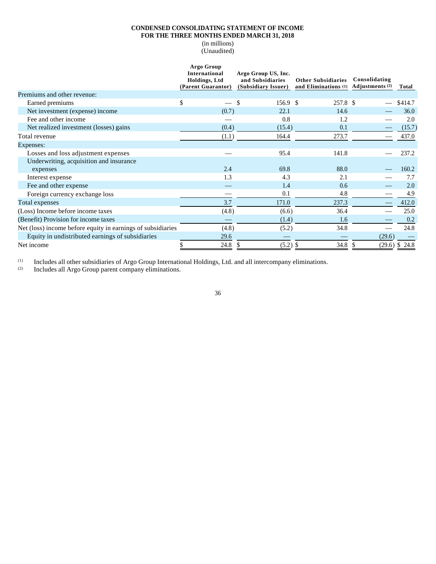## **CONDENSED CONSOLIDATING STATEMENT OF INCOME FOR THE THREE MONTHS ENDED MARCH 31, 2018**

(in millions) (Unaudited)

|                                                             | Argo Group<br>International<br>Holdings, Ltd<br>(Parent Guarantor) | Argo Group US, Inc.<br>and Subsidiaries<br>(Subsidiary Issuer) | <b>Other Subsidiaries</b><br>and Eliminations (1) | Consolidating<br>Adjustments <sup>(2)</sup> | Total       |
|-------------------------------------------------------------|--------------------------------------------------------------------|----------------------------------------------------------------|---------------------------------------------------|---------------------------------------------|-------------|
| Premiums and other revenue:                                 |                                                                    |                                                                |                                                   |                                             |             |
| Earned premiums                                             | \$                                                                 | <sup>\$</sup><br>156.9 \$                                      | 257.8 \$                                          |                                             | $-$ \$414.7 |
| Net investment (expense) income                             | (0.7)                                                              | 22.1                                                           | 14.6                                              |                                             | 36.0        |
| Fee and other income                                        |                                                                    | 0.8                                                            | 1.2                                               |                                             | 2.0         |
| Net realized investment (losses) gains                      | (0.4)                                                              | (15.4)                                                         | 0.1                                               |                                             | (15.7)      |
| Total revenue                                               | (1.1)                                                              | 164.4                                                          | 273.7                                             |                                             | 437.0       |
| Expenses:                                                   |                                                                    |                                                                |                                                   |                                             |             |
| Losses and loss adjustment expenses                         |                                                                    | 95.4                                                           | 141.8                                             |                                             | 237.2       |
| Underwriting, acquisition and insurance                     |                                                                    |                                                                |                                                   |                                             |             |
| expenses                                                    | 2.4                                                                | 69.8                                                           | 88.0                                              |                                             | 160.2       |
| Interest expense                                            | 1.3                                                                | 4.3                                                            | 2.1                                               |                                             | 7.7         |
| Fee and other expense                                       |                                                                    | 1.4                                                            | 0.6                                               |                                             | 2.0         |
| Foreign currency exchange loss                              |                                                                    | 0.1                                                            | 4.8                                               |                                             | 4.9         |
| Total expenses                                              | 3.7                                                                | 171.0                                                          | 237.3                                             |                                             | 412.0       |
| (Loss) Income before income taxes                           | (4.8)                                                              | (6.6)                                                          | 36.4                                              |                                             | 25.0        |
| (Benefit) Provision for income taxes                        |                                                                    | (1.4)                                                          | 1.6                                               |                                             | 0.2         |
| Net (loss) income before equity in earnings of subsidiaries | (4.8)                                                              | (5.2)                                                          | 34.8                                              |                                             | 24.8        |
| Equity in undistributed earnings of subsidiaries            | 29.6                                                               |                                                                |                                                   | (29.6)                                      |             |
| Net income                                                  | 24.8                                                               | $(5.2)$ \$<br>X,                                               | 34.8                                              | $(29.6)$ \$                                 | 24.8        |

(1) Includes all other subsidiaries of Argo Group International Holdings, Ltd. and all intercompany eliminations.<br>(2) Includes all Argo Group parent company eliminations.

Includes all Argo Group parent company eliminations.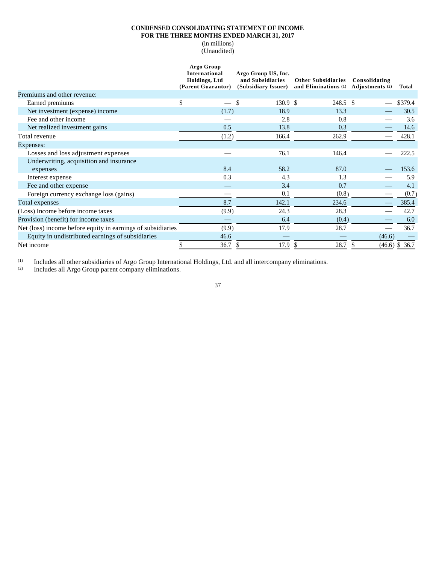## **CONDENSED CONSOLIDATING STATEMENT OF INCOME FOR THE THREE MONTHS ENDED MARCH 31, 2017**

(in millions) (Unaudited)

|                                                             | Argo Group<br>International         | Argo Group US, Inc.                     |                                                   |                                  |                  |
|-------------------------------------------------------------|-------------------------------------|-----------------------------------------|---------------------------------------------------|----------------------------------|------------------|
|                                                             | Holdings, Ltd<br>(Parent Guarantor) | and Subsidiaries<br>(Subsidiary Issuer) | <b>Other Subsidiaries</b><br>and Eliminations (1) | Consolidating<br>Adjustments (2) | Total            |
| Premiums and other revenue:                                 |                                     |                                         |                                                   |                                  |                  |
| Earned premiums                                             | \$<br>$\frac{1}{2}$                 | $\mathbf{\$}$<br>130.9 <sup>°</sup>     | 248.5 \$                                          | $\overline{\phantom{m}}$         | \$379.4          |
| Net investment (expense) income                             | (1.7)                               | 18.9                                    | 13.3                                              |                                  | 30.5             |
| Fee and other income                                        |                                     | 2.8                                     | 0.8                                               |                                  | 3.6              |
| Net realized investment gains                               | 0.5                                 | 13.8                                    | 0.3                                               |                                  | 14.6             |
| Total revenue                                               | (1.2)                               | 166.4                                   | 262.9                                             |                                  | 428.1            |
| Expenses:                                                   |                                     |                                         |                                                   |                                  |                  |
| Losses and loss adjustment expenses                         |                                     | 76.1                                    | 146.4                                             |                                  | 222.5            |
| Underwriting, acquisition and insurance                     |                                     |                                         |                                                   |                                  |                  |
| expenses                                                    | 8.4                                 | 58.2                                    | 87.0                                              |                                  | 153.6            |
| Interest expense                                            | 0.3                                 | 4.3                                     | 1.3                                               |                                  | 5.9              |
| Fee and other expense                                       |                                     | 3.4                                     | 0.7                                               |                                  | 4.1              |
| Foreign currency exchange loss (gains)                      |                                     | 0.1                                     | (0.8)                                             |                                  | (0.7)            |
| Total expenses                                              | 8.7                                 | 142.1                                   | 234.6                                             |                                  | 385.4            |
| (Loss) Income before income taxes                           | (9.9)                               | 24.3                                    | 28.3                                              |                                  | 42.7             |
| Provision (benefit) for income taxes                        |                                     | 6.4                                     | (0.4)                                             |                                  | 6.0              |
| Net (loss) income before equity in earnings of subsidiaries | (9.9)                               | 17.9                                    | 28.7                                              |                                  | 36.7             |
| Equity in undistributed earnings of subsidiaries            | 46.6                                |                                         |                                                   | (46.6)                           |                  |
| Net income                                                  | 36.7                                | 17.9<br>P.                              | 28.7<br>S                                         |                                  | $(46.6)$ \$ 36.7 |

(1) Includes all other subsidiaries of Argo Group International Holdings, Ltd. and all intercompany eliminations.<br>(2) Includes all Argo Group parent company eliminations.

Includes all Argo Group parent company eliminations.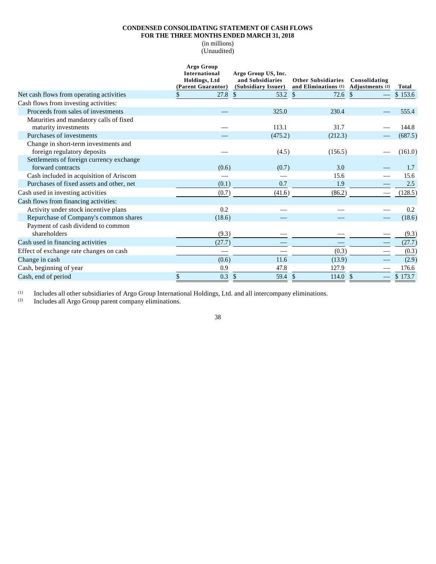## **CONDENSED CONSOLIDATING STATEMENT OF CASH FLOWS** FOR THE THREE MONTHS ENDED MARCH 31, 2018

(in millions)

(Unaudited)

|                                                                     | <b>Argo Group</b><br><b>International</b><br>Holdings, Ltd<br>(Parent Guarantor) | Argo Group US, Inc.<br>and Subsidiaries<br>(Subsidiary Issuer) | <b>Other Subsidiaries</b><br>and Eliminations (1) | Consolidating<br>Adjustments (2) | Total   |
|---------------------------------------------------------------------|----------------------------------------------------------------------------------|----------------------------------------------------------------|---------------------------------------------------|----------------------------------|---------|
| Net cash flows from operating activities                            | \$<br>27.8                                                                       | <sup>\$</sup><br>53.2                                          | 72.6<br>-S                                        | <sup>S</sup>                     | \$153.6 |
| Cash flows from investing activities:                               |                                                                                  |                                                                |                                                   |                                  |         |
| Proceeds from sales of investments                                  |                                                                                  | 325.0                                                          | 230.4                                             |                                  | 555.4   |
| Maturities and mandatory calls of fixed                             |                                                                                  |                                                                |                                                   |                                  |         |
| maturity investments                                                |                                                                                  | 113.1                                                          | 31.7                                              |                                  | 144.8   |
| Purchases of investments                                            |                                                                                  | (475.2)                                                        | (212.3)                                           |                                  | (687.5) |
| Change in short-term investments and<br>foreign regulatory deposits |                                                                                  | (4.5)                                                          | (156.5)                                           |                                  | (161.0) |
| Settlements of foreign currency exchange                            |                                                                                  |                                                                |                                                   |                                  |         |
| forward contracts                                                   | (0.6)                                                                            | (0.7)                                                          | 3.0                                               |                                  | 1.7     |
| Cash included in acquisition of Ariscom                             |                                                                                  |                                                                | 15.6                                              |                                  | 15.6    |
| Purchases of fixed assets and other, net                            | (0.1)                                                                            | 0.7                                                            | 1.9                                               |                                  | 2.5     |
| Cash used in investing activities                                   | (0.7)                                                                            | (41.6)                                                         | (86.2)                                            |                                  | (128.5) |
| Cash flows from financing activities:                               |                                                                                  |                                                                |                                                   |                                  |         |
| Activity under stock incentive plans                                | 0.2                                                                              |                                                                |                                                   |                                  | 0.2     |
| Repurchase of Company's common shares                               | (18.6)                                                                           |                                                                |                                                   |                                  | (18.6)  |
| Payment of cash dividend to common<br>shareholders                  | (9.3)                                                                            |                                                                |                                                   |                                  | (9.3)   |
| Cash used in financing activities                                   | (27.7)                                                                           |                                                                |                                                   |                                  | (27.7)  |
| Effect of exchange rate changes on cash                             |                                                                                  |                                                                | (0.3)                                             |                                  | (0.3)   |
|                                                                     |                                                                                  |                                                                |                                                   |                                  |         |
| Change in cash                                                      | (0.6)                                                                            | 11.6                                                           | (13.9)                                            |                                  | (2.9)   |
| Cash, beginning of year                                             | 0.9                                                                              | 47.8                                                           | 127.9                                             |                                  | 176.6   |
| Cash, end of period                                                 | \$<br>0.3                                                                        | 59.4 \$<br><sup>\$</sup>                                       | 114.0                                             | $\mathcal{S}$                    | \$173.7 |

(1) Includes all other subsidiaries of Argo Group International Holdings, Ltd. and all intercompany eliminations.<br>(2) Includes all Argo Group parent company eliminations.

Includes all Argo Group parent company eliminations.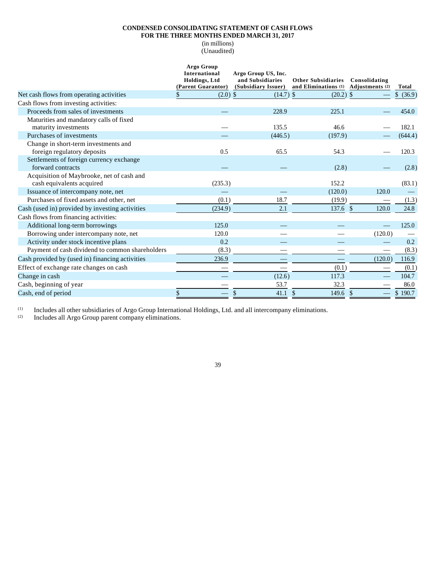## **CONDENSED CONSOLIDATING STATEMENT OF CASH FLOWS**

FOR THE THREE MONTHS ENDED MARCH 31, 2017

(in millions)

(Unaudited)

|                                                                        | Argo Group<br>International<br>Holdings, Ltd<br>(Parent Guarantor) | Argo Group US, Inc.<br>and Subsidiaries<br>(Subsidiary Issuer) | <b>Other Subsidiaries</b><br>and Eliminations (1) | Consolidating<br>Adjustments (2) | Total     |
|------------------------------------------------------------------------|--------------------------------------------------------------------|----------------------------------------------------------------|---------------------------------------------------|----------------------------------|-----------|
| Net cash flows from operating activities                               | $(2.0)$ \$<br>\$                                                   | $(14.7)$ \$                                                    | $(20.2)$ \$                                       |                                  | \$ (36.9) |
| Cash flows from investing activities:                                  |                                                                    |                                                                |                                                   |                                  |           |
| Proceeds from sales of investments                                     |                                                                    | 228.9                                                          | 225.1                                             |                                  | 454.0     |
| Maturities and mandatory calls of fixed                                |                                                                    |                                                                |                                                   |                                  |           |
| maturity investments                                                   |                                                                    | 135.5                                                          | 46.6                                              |                                  | 182.1     |
| Purchases of investments                                               |                                                                    | (446.5)                                                        | (197.9)                                           |                                  | (644.4)   |
| Change in short-term investments and                                   |                                                                    |                                                                |                                                   |                                  |           |
| foreign regulatory deposits                                            | 0.5                                                                | 65.5                                                           | 54.3                                              |                                  | 120.3     |
| Settlements of foreign currency exchange<br>forward contracts          |                                                                    |                                                                | (2.8)                                             |                                  | (2.8)     |
| Acquisition of Maybrooke, net of cash and<br>cash equivalents acquired | (235.3)                                                            |                                                                | 152.2                                             |                                  | (83.1)    |
| Issuance of intercompany note, net                                     |                                                                    |                                                                | (120.0)                                           | 120.0                            |           |
| Purchases of fixed assets and other, net                               | (0.1)                                                              | 18.7                                                           | (19.9)                                            |                                  | (1.3)     |
| Cash (used in) provided by investing activities                        | (234.9)                                                            | 2.1                                                            | $137.6$ \$                                        | 120.0                            | 24.8      |
| Cash flows from financing activities:                                  |                                                                    |                                                                |                                                   |                                  |           |
| Additional long-term borrowings                                        | 125.0                                                              |                                                                |                                                   |                                  | 125.0     |
| Borrowing under intercompany note, net                                 | 120.0                                                              |                                                                |                                                   | (120.0)                          |           |
| Activity under stock incentive plans                                   | 0.2                                                                |                                                                |                                                   |                                  | 0.2       |
| Payment of cash dividend to common shareholders                        | (8.3)                                                              |                                                                |                                                   |                                  | (8.3)     |
| Cash provided by (used in) financing activities                        | 236.9                                                              |                                                                | $\overline{\phantom{0}}$                          | (120.0)                          | 116.9     |
| Effect of exchange rate changes on cash                                |                                                                    |                                                                | (0.1)                                             |                                  | (0.1)     |
| Change in cash                                                         |                                                                    | (12.6)                                                         | 117.3                                             |                                  | 104.7     |
| Cash, beginning of year                                                |                                                                    | 53.7                                                           | 32.3                                              |                                  | 86.0      |
| Cash, end of period                                                    | \$                                                                 | 41.1                                                           | $\mathcal{S}$<br>149.6                            | -\$                              | \$190.7   |

39

(1) Includes all other subsidiaries of Argo Group International Holdings, Ltd. and all intercompany eliminations.

 $(2)$  Includes all Argo Group parent company eliminations.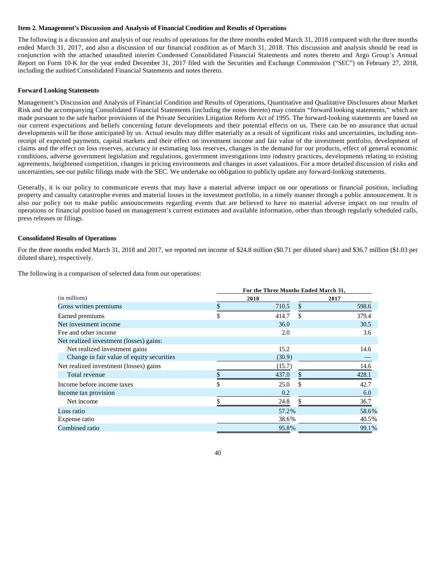#### **Item 2. Management's Discussion and Analysis of Financial Condition and Results of Operations**

The following is a discussion and analysis of our results of operations for the three months ended March 31, 2018 compared with the three months ended March 31, 2017, and also a discussion of our financial condition as of March 31, 2018. This discussion and analysis should be read in conjunction with the attached unaudited interim Condensed Consolidated Financial Statements and notes thereto and Argo Group's Annual Report on Form 10-K for the year ended December 31, 2017 filed with the Securities and Exchange Commission ("SEC") on February 27, 2018, including the audited Consolidated Financial Statements and notes thereto.

#### **Forward Looking Statements**

Management's Discussion and Analysis of Financial Condition and Results of Operations, Quantitative and Qualitative Disclosures about Market Risk and the accompanying Consolidated Financial Statements (including the notes thereto) may contain "forward looking statements," which are made pursuant to the safe harbor provisions of the Private Securities Litigation Reform Act of 1995. The forward-looking statements are based on our current expectations and beliefs concerning future developments and their potential effects on us. There can be no assurance that actual developments will be those anticipated by us. Actual results may differ materially as a result of significant risks and uncertainties, including nonreceipt of expected payments, capital markets and their effect on investment income and fair value of the investment portfolio, development of claims and the effect on loss reserves, accuracy in estimating loss reserves, changes in the demand for our products, effect of general economic conditions, adverse government legislation and regulations, government investigations into industry practices, developments relating to existing agreements, heightened competition, changes in pricing environments and changes in asset valuations. For a more detailed discussion of risks and uncertainties, see our public filings made with the SEC. We undertake no obligation to publicly update any forward-looking statements.

Generally, it is our policy to communicate events that may have a material adverse impact on our operations or financial position, including property and casualty catastrophe events and material losses in the investment portfolio, in a timely manner through a public announcement. It is also our policy not to make public announcements regarding events that are believed to have no material adverse impact on our results of operations or financial position based on management's current estimates and available information, other than through regularly scheduled calls, press releases or filings.

#### **Consolidated Results of Operations**

For the three months ended March 31, 2018 and 2017, we reported net income of \$24.8 million (\$0.71 per diluted share) and \$36.7 million (\$1.03 per diluted share), respectively.

|                                           | For the Three Months Ended March 31, |        |    |       |  |  |
|-------------------------------------------|--------------------------------------|--------|----|-------|--|--|
| (in millions)                             |                                      | 2018   |    | 2017  |  |  |
| Gross written premiums                    |                                      | 710.5  |    | 598.6 |  |  |
| Earned premiums                           | \$                                   | 414.7  | \$ | 379.4 |  |  |
| Net investment income                     |                                      | 36.0   |    | 30.5  |  |  |
| Fee and other income                      |                                      | 2.0    |    | 3.6   |  |  |
| Net realized investment (losses) gains:   |                                      |        |    |       |  |  |
| Net realized investment gains             |                                      | 15.2   |    | 14.6  |  |  |
| Change in fair value of equity securities |                                      | (30.9) |    |       |  |  |
| Net realized investment (losses) gains    |                                      | (15.7) |    | 14.6  |  |  |
| Total revenue                             |                                      | 437.0  |    | 428.1 |  |  |
| Income before income taxes                | \$                                   | 25.0   | \$ | 42.7  |  |  |
| Income tax provision                      |                                      | 0.2    |    | 6.0   |  |  |
| Net income                                |                                      | 24.8   |    | 36.7  |  |  |
| Loss ratio                                |                                      | 57.2%  |    | 58.6% |  |  |
| Expense ratio                             |                                      | 38.6%  |    | 40.5% |  |  |
| Combined ratio                            |                                      | 95.8%  |    | 99.1% |  |  |

The following is a comparison of selected data from our operations: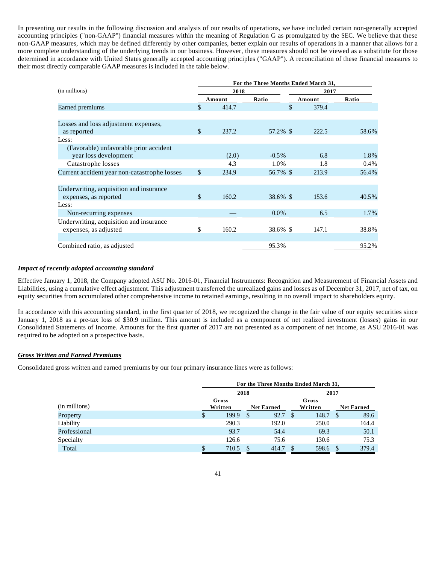In presenting our results in the following discussion and analysis of our results of operations, we have included certain non-generally accepted accounting principles ("non-GAAP") financial measures within the meaning of Regulation G as promulgated by the SEC. We believe that these non-GAAP measures, which may be defined differently by other companies, better explain our results of operations in a manner that allows for a more complete understanding of the underlying trends in our business. However, these measures should not be viewed as a substitute for those determined in accordance with United States generally accepted accounting principles ("GAAP"). A reconciliation of these financial measures to their most directly comparable GAAP measures is included in the table below.

|                                              | For the Three Months Ended March 31, |        |          |    |        |         |  |  |
|----------------------------------------------|--------------------------------------|--------|----------|----|--------|---------|--|--|
| (in millions)                                |                                      | 2018   |          |    | 2017   |         |  |  |
|                                              |                                      | Amount | Ratio    |    | Amount | Ratio   |  |  |
| Earned premiums                              | \$                                   | 414.7  |          | \$ | 379.4  |         |  |  |
|                                              |                                      |        |          |    |        |         |  |  |
| Losses and loss adjustment expenses,         |                                      |        |          |    |        |         |  |  |
| as reported                                  | $\mathcal{S}$                        | 237.2  | 57.2% \$ |    | 222.5  | 58.6%   |  |  |
| Less:                                        |                                      |        |          |    |        |         |  |  |
| (Favorable) unfavorable prior accident       |                                      |        |          |    |        |         |  |  |
| year loss development                        |                                      | (2.0)  | $-0.5\%$ |    | 6.8    | 1.8%    |  |  |
| Catastrophe losses                           |                                      | 4.3    | 1.0%     |    | 1.8    | $0.4\%$ |  |  |
| Current accident year non-catastrophe losses | \$                                   | 234.9  | 56.7% \$ |    | 213.9  | 56.4%   |  |  |
| Underwriting, acquisition and insurance      |                                      |        |          |    |        |         |  |  |
| expenses, as reported                        | $\mathcal{S}$                        | 160.2  | 38.6% \$ |    | 153.6  | 40.5%   |  |  |
| Less:                                        |                                      |        |          |    |        |         |  |  |
| Non-recurring expenses                       |                                      |        | $0.0\%$  |    | 6.5    | 1.7%    |  |  |
| Underwriting, acquisition and insurance      |                                      |        |          |    |        |         |  |  |
| expenses, as adjusted                        | \$                                   | 160.2  | 38.6% \$ |    | 147.1  | 38.8%   |  |  |
|                                              |                                      |        |          |    |        |         |  |  |
| Combined ratio, as adjusted                  |                                      |        | 95.3%    |    |        | 95.2%   |  |  |

## *Impact of recently adopted accounting standard*

Effective January 1, 2018, the Company adopted ASU No. 2016-01, Financial Instruments: Recognition and Measurement of Financial Assets and Liabilities, using a cumulative effect adjustment. This adjustment transferred the unrealized gains and losses as of December 31, 2017, net of tax, on equity securities from accumulated other comprehensive income to retained earnings, resulting in no overall impact to shareholders equity.

In accordance with this accounting standard, in the first quarter of 2018, we recognized the change in the fair value of our equity securities since January 1, 2018 as a pre-tax loss of \$30.9 million. This amount is included as a component of net realized investment (losses) gains in our Consolidated Statements of Income. Amounts for the first quarter of 2017 are not presented as a component of net income, as ASU 2016-01 was required to be adopted on a prospective basis.

## *Gross Written and Earned Premiums*

Consolidated gross written and earned premiums by our four primary insurance lines were as follows:

|               |    | For the Three Months Ended March 31, |              |                   |   |         |      |                   |
|---------------|----|--------------------------------------|--------------|-------------------|---|---------|------|-------------------|
|               |    |                                      | 2018         |                   |   | 2017    |      |                   |
|               |    | Gross                                |              |                   |   | Gross   |      |                   |
| (in millions) |    | Written                              |              | <b>Net Earned</b> |   | Written |      | <b>Net Earned</b> |
| Property      | \$ | 199.9                                | $\mathbb{S}$ | 92.7              | S | 148.7   | - \$ | 89.6              |
| Liability     |    | 290.3                                |              | 192.0             |   | 250.0   |      | 164.4             |
| Professional  |    | 93.7                                 |              | 54.4              |   | 69.3    |      | 50.1              |
| Specialty     |    | 126.6                                |              | 75.6              |   | 130.6   |      | 75.3              |
| Total         |    | 710.5                                |              | 414.7             |   | 598.6   |      | 379.4             |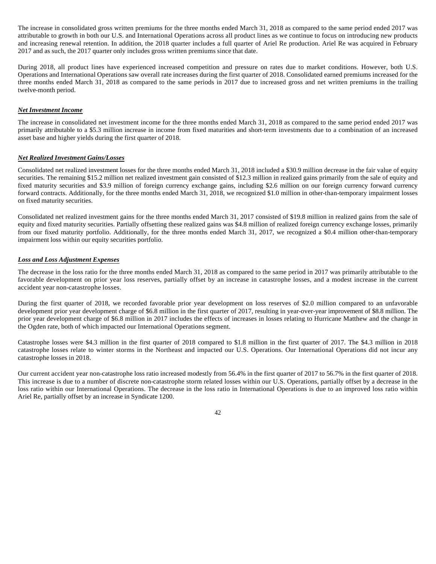The increase in consolidated gross written premiums for the three months ended March 31, 2018 as compared to the same period ended 2017 was attributable to growth in both our U.S. and International Operations across all product lines as we continue to focus on introducing new products and increasing renewal retention. In addition, the 2018 quarter includes a full quarter of Ariel Re production. Ariel Re was acquired in February 2017 and as such, the 2017 quarter only includes gross written premiums since that date.

During 2018, all product lines have experienced increased competition and pressure on rates due to market conditions. However, both U.S. Operations and International Operations saw overall rate increases during the first quarter of 2018. Consolidated earned premiums increased for the three months ended March 31, 2018 as compared to the same periods in 2017 due to increased gross and net written premiums in the trailing twelve-month period.

## *Net Investment Income*

The increase in consolidated net investment income for the three months ended March 31, 2018 as compared to the same period ended 2017 was primarily attributable to a \$5.3 million increase in income from fixed maturities and short-term investments due to a combination of an increased asset base and higher yields during the first quarter of 2018.

## *Net Realized Investment Gains/Losses*

Consolidated net realized investment losses for the three months ended March 31, 2018 included a \$30.9 million decrease in the fair value of equity securities. The remaining \$15.2 million net realized investment gain consisted of \$12.3 million in realized gains primarily from the sale of equity and fixed maturity securities and \$3.9 million of foreign currency exchange gains, including \$2.6 million on our foreign currency forward currency forward contracts. Additionally, for the three months ended March 31, 2018, we recognized \$1.0 million in other-than-temporary impairment losses on fixed maturity securities.

Consolidated net realized investment gains for the three months ended March 31, 2017 consisted of \$19.8 million in realized gains from the sale of equity and fixed maturity securities. Partially offsetting these realized gains was \$4.8 million of realized foreign currency exchange losses, primarily from our fixed maturity portfolio. Additionally, for the three months ended March 31, 2017, we recognized a \$0.4 million other-than-temporary impairment loss within our equity securities portfolio.

## *Loss and Loss Adjustment Expenses*

The decrease in the loss ratio for the three months ended March 31, 2018 as compared to the same period in 2017 was primarily attributable to the favorable development on prior year loss reserves, partially offset by an increase in catastrophe losses, and a modest increase in the current accident year non-catastrophe losses.

During the first quarter of 2018, we recorded favorable prior year development on loss reserves of \$2.0 million compared to an unfavorable development prior year development charge of \$6.8 million in the first quarter of 2017, resulting in year-over-year improvement of \$8.8 million. The prior year development charge of \$6.8 million in 2017 includes the effects of increases in losses relating to Hurricane Matthew and the change in the Ogden rate, both of which impacted our International Operations segment.

Catastrophe losses were \$4.3 million in the first quarter of 2018 compared to \$1.8 million in the first quarter of 2017. The \$4.3 million in 2018 catastrophe losses relate to winter storms in the Northeast and impacted our U.S. Operations. Our International Operations did not incur any catastrophe losses in 2018.

Our current accident year non-catastrophe loss ratio increased modestly from 56.4% in the first quarter of 2017 to 56.7% in the first quarter of 2018. This increase is due to a number of discrete non-catastrophe storm related losses within our U.S. Operations, partially offset by a decrease in the loss ratio within our International Operations. The decrease in the loss ratio in International Operations is due to an improved loss ratio within Ariel Re, partially offset by an increase in Syndicate 1200.

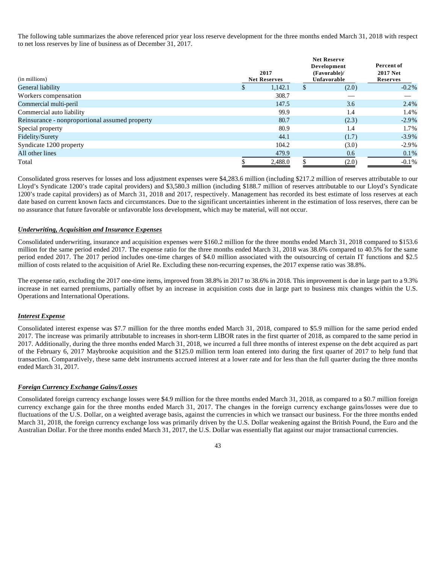The following table summarizes the above referenced prior year loss reserve development for the three months ended March 31, 2018 with respect to net loss reserves by line of business as of December 31, 2017.

| (in millions)                                  |  | 2017<br><b>Net Reserves</b> | <b>Net Reserve</b><br>Development<br>(Favorable)/<br>Unfavorable | Percent of<br><b>2017 Net</b><br>Reserves |  |
|------------------------------------------------|--|-----------------------------|------------------------------------------------------------------|-------------------------------------------|--|
| General liability                              |  | 1,142.1                     | (2.0)                                                            | $-0.2\%$                                  |  |
| Workers compensation                           |  | 308.7                       |                                                                  |                                           |  |
| Commercial multi-peril                         |  | 147.5                       | 3.6                                                              | 2.4%                                      |  |
| Commercial auto liability                      |  | 99.9                        | 1.4                                                              | 1.4%                                      |  |
| Reinsurance - nonproportional assumed property |  | 80.7                        | (2.3)                                                            | $-2.9\%$                                  |  |
| Special property                               |  | 80.9                        | 1.4                                                              | 1.7%                                      |  |
| Fidelity/Surety                                |  | 44.1                        | (1.7)                                                            | $-3.9\%$                                  |  |
| Syndicate 1200 property                        |  | 104.2                       | (3.0)                                                            | $-2.9\%$                                  |  |
| All other lines                                |  | 479.9                       | 0.6                                                              | 0.1%                                      |  |
| Total                                          |  | 2,488.0                     | (2.0)                                                            | $-0.1\%$                                  |  |

Consolidated gross reserves for losses and loss adjustment expenses were \$4,283.6 million (including \$217.2 million of reserves attributable to our Lloyd's Syndicate 1200's trade capital providers) and \$3,580.3 million (including \$188.7 million of reserves attributable to our Lloyd's Syndicate 1200's trade capital providers) as of March 31, 2018 and 2017, respectively. Management has recorded its best estimate of loss reserves at each date based on current known facts and circumstances. Due to the significant uncertainties inherent in the estimation of loss reserves, there can be no assurance that future favorable or unfavorable loss development, which may be material, will not occur.

## *Underwriting, Acquisition and Insurance Expenses*

Consolidated underwriting, insurance and acquisition expenses were \$160.2 million for the three months ended March 31, 2018 compared to \$153.6 million for the same period ended 2017. The expense ratio for the three months ended March 31, 2018 was 38.6% compared to 40.5% for the same period ended 2017. The 2017 period includes one-time charges of \$4.0 million associated with the outsourcing of certain IT functions and \$2.5 million of costs related to the acquisition of Ariel Re. Excluding these non-recurring expenses, the 2017 expense ratio was 38.8%.

The expense ratio, excluding the 2017 one-time items, improved from 38.8% in 2017 to 38.6% in 2018. This improvement is due in large part to a 9.3% increase in net earned premiums, partially offset by an increase in acquisition costs due in large part to business mix changes within the U.S. Operations and International Operations.

## *Interest Expense*

Consolidated interest expense was \$7.7 million for the three months ended March 31, 2018, compared to \$5.9 million for the same period ended 2017. The increase was primarily attributable to increases in short-term LIBOR rates in the first quarter of 2018, as compared to the same period in 2017. Additionally, during the three months ended March 31, 2018, we incurred a full three months of interest expense on the debt acquired as part of the February 6, 2017 Maybrooke acquisition and the \$125.0 million term loan entered into during the first quarter of 2017 to help fund that transaction. Comparatively, these same debt instruments accrued interest at a lower rate and for less than the full quarter during the three months ended March 31, 2017.

#### *Foreign Currency Exchange Gains/Losses*

Consolidated foreign currency exchange losses were \$4.9 million for the three months ended March 31, 2018, as compared to a \$0.7 million foreign currency exchange gain for the three months ended March 31, 2017. The changes in the foreign currency exchange gains/losses were due to fluctuations of the U.S. Dollar, on a weighted average basis, against the currencies in which we transact our business. For the three months ended March 31, 2018, the foreign currency exchange loss was primarily driven by the U.S. Dollar weakening against the British Pound, the Euro and the Australian Dollar. For the three months ended March 31, 2017, the U.S. Dollar was essentially flat against our major transactional currencies.

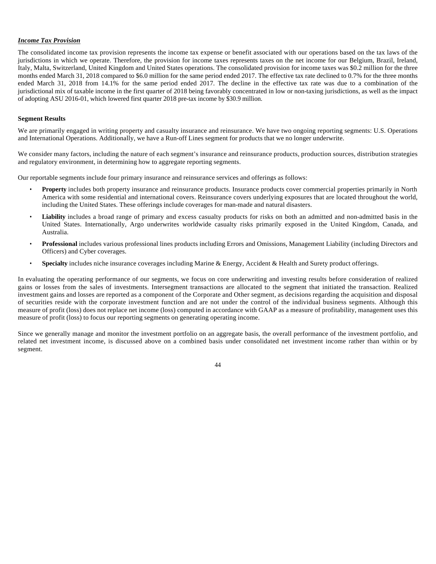## *Income Tax Provision*

The consolidated income tax provision represents the income tax expense or benefit associated with our operations based on the tax laws of the jurisdictions in which we operate. Therefore, the provision for income taxes represents taxes on the net income for our Belgium, Brazil, Ireland, Italy, Malta, Switzerland, United Kingdom and United States operations. The consolidated provision for income taxes was \$0.2 million for the three months ended March 31, 2018 compared to \$6.0 million for the same period ended 2017. The effective tax rate declined to 0.7% for the three months ended March 31, 2018 from 14.1% for the same period ended 2017. The decline in the effective tax rate was due to a combination of the jurisdictional mix of taxable income in the first quarter of 2018 being favorably concentrated in low or non-taxing jurisdictions, as well as the impact of adopting ASU 2016-01, which lowered first quarter 2018 pre-tax income by \$30.9 million.

#### **Segment Results**

We are primarily engaged in writing property and casualty insurance and reinsurance. We have two ongoing reporting segments: U.S. Operations and International Operations. Additionally, we have a Run-off Lines segment for products that we no longer underwrite.

We consider many factors, including the nature of each segment's insurance and reinsurance products, production sources, distribution strategies and regulatory environment, in determining how to aggregate reporting segments.

Our reportable segments include four primary insurance and reinsurance services and offerings as follows:

- **Property** includes both property insurance and reinsurance products. Insurance products cover commercial properties primarily in North America with some residential and international covers. Reinsurance covers underlying exposures that are located throughout the world, including the United States. These offerings include coverages for man-made and natural disasters.
- Liability includes a broad range of primary and excess casualty products for risks on both an admitted and non-admitted basis in the United States. Internationally, Argo underwrites worldwide casualty risks primarily exposed in the United Kingdom, Canada, and Australia.
- **Professional** includes various professional lines products including Errors and Omissions, Management Liability (including Directors and Officers) and Cyber coverages.
- **Specialty** includes niche insurance coverages including Marine & Energy, Accident & Health and Surety product offerings.

In evaluating the operating performance of our segments, we focus on core underwriting and investing results before consideration of realized gains or losses from the sales of investments. Intersegment transactions are allocated to the segment that initiated the transaction. Realized investment gains and losses are reported as a component of the Corporate and Other segment, as decisions regarding the acquisition and disposal of securities reside with the corporate investment function and are not under the control of the individual business segments. Although this measure of profit (loss) does not replace net income (loss) computed in accordance with GAAP as a measure of profitability, management uses this measure of profit (loss) to focus our reporting segments on generating operating income.

Since we generally manage and monitor the investment portfolio on an aggregate basis, the overall performance of the investment portfolio, and related net investment income, is discussed above on a combined basis under consolidated net investment income rather than within or by segment.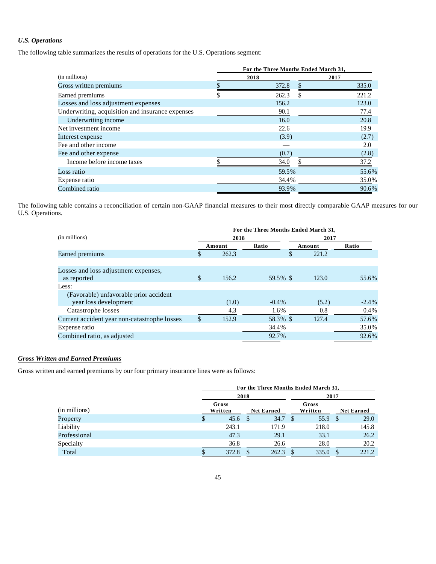## *U.S. Operations*

The following table summarizes the results of operations for the U.S. Operations segment:

|                                                  | For the Three Months Ended March 31, |       |      |       |  |  |  |  |
|--------------------------------------------------|--------------------------------------|-------|------|-------|--|--|--|--|
| (in millions)                                    |                                      | 2018  | 2017 |       |  |  |  |  |
| Gross written premiums                           |                                      | 372.8 |      | 335.0 |  |  |  |  |
| Earned premiums                                  |                                      | 262.3 | \$   | 221.2 |  |  |  |  |
| Losses and loss adjustment expenses              |                                      | 156.2 |      | 123.0 |  |  |  |  |
| Underwriting, acquisition and insurance expenses |                                      | 90.1  |      | 77.4  |  |  |  |  |
| Underwriting income                              |                                      | 16.0  |      | 20.8  |  |  |  |  |
| Net investment income                            |                                      | 22.6  |      | 19.9  |  |  |  |  |
| Interest expense                                 |                                      | (3.9) |      | (2.7) |  |  |  |  |
| Fee and other income                             |                                      |       |      | 2.0   |  |  |  |  |
| Fee and other expense                            |                                      | (0.7) |      | (2.8) |  |  |  |  |
| Income before income taxes                       |                                      | 34.0  |      | 37.2  |  |  |  |  |
| Loss ratio                                       |                                      | 59.5% |      | 55.6% |  |  |  |  |
| Expense ratio                                    |                                      | 34.4% |      | 35.0% |  |  |  |  |
| Combined ratio                                   |                                      | 93.9% |      | 90.6% |  |  |  |  |

The following table contains a reconciliation of certain non-GAAP financial measures to their most directly comparable GAAP measures for our U.S. Operations.

|                                              | For the Three Months Ended March 31, |        |          |      |        |         |  |  |  |
|----------------------------------------------|--------------------------------------|--------|----------|------|--------|---------|--|--|--|
| (in millions)                                |                                      | 2018   |          | 2017 |        |         |  |  |  |
|                                              |                                      | Amount | Ratio    |      | Amount | Ratio   |  |  |  |
| Earned premiums                              | \$                                   | 262.3  |          | \$   | 221.2  |         |  |  |  |
|                                              |                                      |        |          |      |        |         |  |  |  |
| Losses and loss adjustment expenses,         |                                      |        |          |      |        |         |  |  |  |
| as reported                                  | \$                                   | 156.2  | 59.5% \$ |      | 123.0  | 55.6%   |  |  |  |
| Less:                                        |                                      |        |          |      |        |         |  |  |  |
| (Favorable) unfavorable prior accident       |                                      |        |          |      |        |         |  |  |  |
| year loss development                        |                                      | (1.0)  | $-0.4\%$ |      | (5.2)  | $-2.4%$ |  |  |  |
| Catastrophe losses                           |                                      | 4.3    | 1.6%     |      | 0.8    | $0.4\%$ |  |  |  |
| Current accident year non-catastrophe losses | \$                                   | 152.9  | 58.3% \$ |      | 127.4  | 57.6%   |  |  |  |
| Expense ratio                                |                                      |        | 34.4%    |      |        | 35.0%   |  |  |  |
| Combined ratio, as adjusted                  |                                      |        | 92.7%    |      |        | 92.6%   |  |  |  |
|                                              |                                      |        |          |      |        |         |  |  |  |

## *Gross Written and Earned Premiums*

Gross written and earned premiums by our four primary insurance lines were as follows:

|               | For the Three Months Ended March 31, |                  |                   |       |   |                  |      |                   |  |
|---------------|--------------------------------------|------------------|-------------------|-------|---|------------------|------|-------------------|--|
|               |                                      | 2018             |                   |       |   |                  | 2017 |                   |  |
| (in millions) |                                      | Gross<br>Written | <b>Net Earned</b> |       |   | Gross<br>Written |      | <b>Net Earned</b> |  |
| Property      | \$                                   | 45.6             | - \$              | 34.7  | S | 55.9             | -S   | 29.0              |  |
| Liability     |                                      | 243.1            |                   | 171.9 |   | 218.0            |      | 145.8             |  |
| Professional  |                                      | 47.3             |                   | 29.1  |   | 33.1             |      | 26.2              |  |
| Specialty     |                                      | 36.8             |                   | 26.6  |   | 28.0             |      | 20.2              |  |
| Total         |                                      | 372.8            |                   | 262.3 |   | 335.0            |      | 221.2             |  |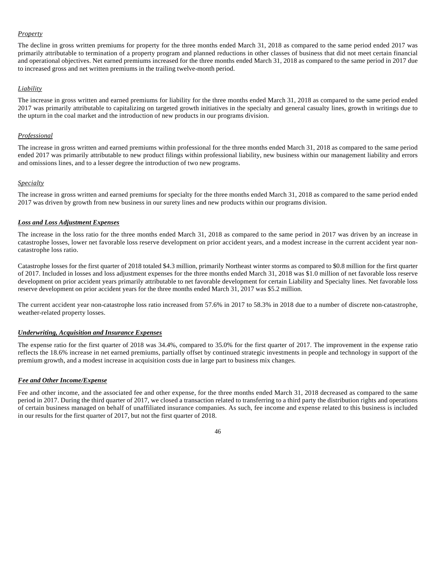## *Property*

The decline in gross written premiums for property for the three months ended March 31, 2018 as compared to the same period ended 2017 was primarily attributable to termination of a property program and planned reductions in other classes of business that did not meet certain financial and operational objectives. Net earned premiums increased for the three months ended March 31, 2018 as compared to the same period in 2017 due to increased gross and net written premiums in the trailing twelve-month period.

## *Liability*

The increase in gross written and earned premiums for liability for the three months ended March 31, 2018 as compared to the same period ended 2017 was primarily attributable to capitalizing on targeted growth initiatives in the specialty and general casualty lines, growth in writings due to the upturn in the coal market and the introduction of new products in our programs division.

## *Professional*

The increase in gross written and earned premiums within professional for the three months ended March 31, 2018 as compared to the same period ended 2017 was primarily attributable to new product filings within professional liability, new business within our management liability and errors and omissions lines, and to a lesser degree the introduction of two new programs.

## *Specialty*

The increase in gross written and earned premiums for specialty for the three months ended March 31, 2018 as compared to the same period ended 2017 was driven by growth from new business in our surety lines and new products within our programs division.

## *Loss and Loss Adjustment Expenses*

The increase in the loss ratio for the three months ended March 31, 2018 as compared to the same period in 2017 was driven by an increase in catastrophe losses, lower net favorable loss reserve development on prior accident years, and a modest increase in the current accident year noncatastrophe loss ratio.

Catastrophe losses for the first quarter of 2018 totaled \$4.3 million, primarily Northeast winter storms as compared to \$0.8 million for the first quarter of 2017. Included in losses and loss adjustment expenses for the three months ended March 31, 2018 was \$1.0 million of net favorable loss reserve development on prior accident years primarily attributable to net favorable development for certain Liability and Specialty lines. Net favorable loss reserve development on prior accident years for the three months ended March 31, 2017 was \$5.2 million.

The current accident year non-catastrophe loss ratio increased from 57.6% in 2017 to 58.3% in 2018 due to a number of discrete non-catastrophe, weather-related property losses.

## *Underwriting, Acquisition and Insurance Expenses*

The expense ratio for the first quarter of 2018 was 34.4%, compared to 35.0% for the first quarter of 2017. The improvement in the expense ratio reflects the 18.6% increase in net earned premiums, partially offset by continued strategic investments in people and technology in support of the premium growth, and a modest increase in acquisition costs due in large part to business mix changes.

## *Fee and Other Income/Expense*

Fee and other income, and the associated fee and other expense, for the three months ended March 31, 2018 decreased as compared to the same period in 2017. During the third quarter of 2017, we closed a transaction related to transferring to a third party the distribution rights and operations of certain business managed on behalf of unaffiliated insurance companies. As such, fee income and expense related to this business is included in our results for the first quarter of 2017, but not the first quarter of 2018.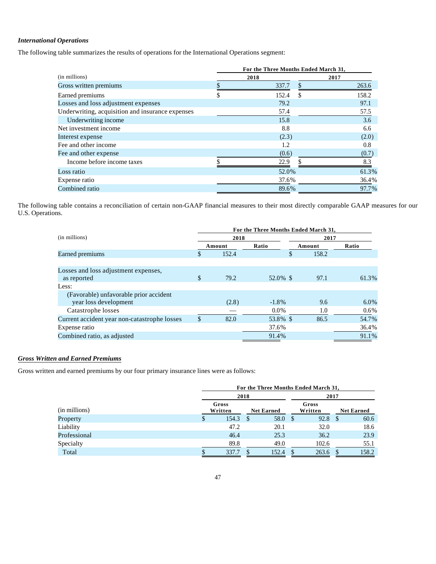## *International Operations*

The following table summarizes the results of operations for the International Operations segment:

|                                                  | For the Three Months Ended March 31, |       |      |       |  |  |  |  |  |
|--------------------------------------------------|--------------------------------------|-------|------|-------|--|--|--|--|--|
| (in millions)                                    |                                      | 2018  | 2017 |       |  |  |  |  |  |
| Gross written premiums                           |                                      | 337.7 |      | 263.6 |  |  |  |  |  |
| Earned premiums                                  |                                      | 152.4 | S    | 158.2 |  |  |  |  |  |
| Losses and loss adjustment expenses              |                                      | 79.2  |      | 97.1  |  |  |  |  |  |
| Underwriting, acquisition and insurance expenses |                                      | 57.4  |      | 57.5  |  |  |  |  |  |
| Underwriting income                              |                                      | 15.8  |      | 3.6   |  |  |  |  |  |
| Net investment income                            |                                      | 8.8   |      | 6.6   |  |  |  |  |  |
| Interest expense                                 |                                      | (2.3) |      | (2.0) |  |  |  |  |  |
| Fee and other income                             |                                      | 1.2   |      | 0.8   |  |  |  |  |  |
| Fee and other expense                            |                                      | (0.6) |      | (0.7) |  |  |  |  |  |
| Income before income taxes                       |                                      | 22.9  |      | 8.3   |  |  |  |  |  |
| Loss ratio                                       |                                      | 52.0% |      | 61.3% |  |  |  |  |  |
| Expense ratio                                    |                                      | 37.6% |      | 36.4% |  |  |  |  |  |
| Combined ratio                                   |                                      | 89.6% |      | 97.7% |  |  |  |  |  |

The following table contains a reconciliation of certain non-GAAP financial measures to their most directly comparable GAAP measures for our U.S. Operations.

|                                              | For the Three Months Ended March 31, |        |                 |      |       |         |  |  |  |
|----------------------------------------------|--------------------------------------|--------|-----------------|------|-------|---------|--|--|--|
| (in millions)                                |                                      | 2018   |                 | 2017 |       |         |  |  |  |
|                                              |                                      | Amount | Ratio<br>Amount |      |       | Ratio   |  |  |  |
| Earned premiums                              |                                      | 152.4  |                 | \$   | 158.2 |         |  |  |  |
|                                              |                                      |        |                 |      |       |         |  |  |  |
| Losses and loss adjustment expenses,         |                                      |        |                 |      |       |         |  |  |  |
| as reported                                  | \$                                   | 79.2   | 52.0% \$        |      | 97.1  | 61.3%   |  |  |  |
| Less:                                        |                                      |        |                 |      |       |         |  |  |  |
| (Favorable) unfavorable prior accident       |                                      |        |                 |      |       |         |  |  |  |
| year loss development                        |                                      | (2.8)  | $-1.8\%$        |      | 9.6   | 6.0%    |  |  |  |
| Catastrophe losses                           |                                      |        | $0.0\%$         |      | 1.0   | $0.6\%$ |  |  |  |
| Current accident year non-catastrophe losses | \$                                   | 82.0   | 53.8% \$        |      | 86.5  | 54.7%   |  |  |  |
| Expense ratio                                |                                      |        | 37.6%           |      |       | 36.4%   |  |  |  |
| Combined ratio, as adjusted                  |                                      |        | 91.4%           |      |       | 91.1%   |  |  |  |
|                                              |                                      |        |                 |      |       |         |  |  |  |

## *Gross Written and Earned Premiums*

Gross written and earned premiums by our four primary insurance lines were as follows:

|               | For the Three Months Ended March 31, |                  |      |                   |   |                  |      |                   |
|---------------|--------------------------------------|------------------|------|-------------------|---|------------------|------|-------------------|
|               |                                      |                  | 2018 |                   |   | 2017             |      |                   |
| (in millions) |                                      | Gross<br>Written |      | <b>Net Earned</b> |   | Gross<br>Written |      | <b>Net Earned</b> |
| Property      | \$                                   | 154.3            |      | 58.0              | S | 92.8             | - \$ | 60.6              |
| Liability     |                                      | 47.2             |      | 20.1              |   | 32.0             |      | 18.6              |
| Professional  |                                      | 46.4             |      | 25.3              |   | 36.2             |      | 23.9              |
| Specialty     |                                      | 89.8             |      | 49.0              |   | 102.6            |      | 55.1              |
| Total         |                                      | 337.7            |      | 152.4             |   | 263.6            |      | 158.2             |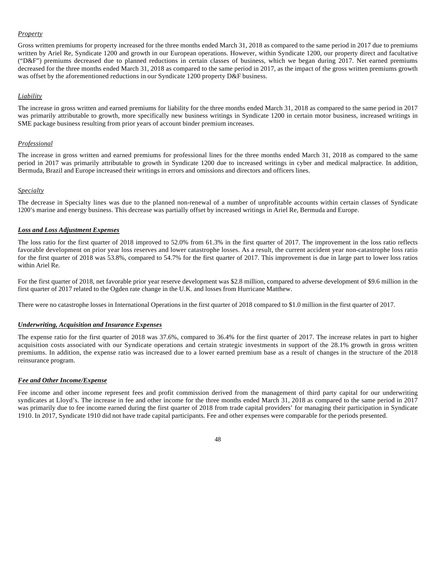## *Property*

Gross written premiums for property increased for the three months ended March 31, 2018 as compared to the same period in 2017 due to premiums written by Ariel Re, Syndicate 1200 and growth in our European operations. However, within Syndicate 1200, our property direct and facultative ("D&F") premiums decreased due to planned reductions in certain classes of business, which we began during 2017. Net earned premiums decreased for the three months ended March 31, 2018 as compared to the same period in 2017, as the impact of the gross written premiums growth was offset by the aforementioned reductions in our Syndicate 1200 property D&F business.

## *Liability*

The increase in gross written and earned premiums for liability for the three months ended March 31, 2018 as compared to the same period in 2017 was primarily attributable to growth, more specifically new business writings in Syndicate 1200 in certain motor business, increased writings in SME package business resulting from prior years of account binder premium increases.

## *Professional*

The increase in gross written and earned premiums for professional lines for the three months ended March 31, 2018 as compared to the same period in 2017 was primarily attributable to growth in Syndicate 1200 due to increased writings in cyber and medical malpractice. In addition, Bermuda, Brazil and Europe increased their writings in errors and omissions and directors and officers lines.

## *Specialty*

The decrease in Specialty lines was due to the planned non-renewal of a number of unprofitable accounts within certain classes of Syndicate 1200's marine and energy business. This decrease was partially offset by increased writings in Ariel Re, Bermuda and Europe.

## *Loss and Loss Adjustment Expenses*

The loss ratio for the first quarter of 2018 improved to 52.0% from 61.3% in the first quarter of 2017. The improvement in the loss ratio reflects favorable development on prior year loss reserves and lower catastrophe losses. As a result, the current accident year non-catastrophe loss ratio for the first quarter of 2018 was 53.8%, compared to 54.7% for the first quarter of 2017. This improvement is due in large part to lower loss ratios within Ariel Re.

For the first quarter of 2018, net favorable prior year reserve development was \$2.8 million, compared to adverse development of \$9.6 million in the first quarter of 2017 related to the Ogden rate change in the U.K. and losses from Hurricane Matthew.

There were no catastrophe losses in International Operations in the first quarter of 2018 compared to \$1.0 million in the first quarter of 2017.

## *Underwriting, Acquisition and Insurance Expenses*

The expense ratio for the first quarter of 2018 was 37.6%, compared to 36.4% for the first quarter of 2017. The increase relates in part to higher acquisition costs associated with our Syndicate operations and certain strategic investments in support of the 28.1% growth in gross written premiums. In addition, the expense ratio was increased due to a lower earned premium base as a result of changes in the structure of the 2018 reinsurance program.

## *Fee and Other Income/Expense*

Fee income and other income represent fees and profit commission derived from the management of third party capital for our underwriting syndicates at Lloyd's. The increase in fee and other income for the three months ended March 31, 2018 as compared to the same period in 2017 was primarily due to fee income earned during the first quarter of 2018 from trade capital providers' for managing their participation in Syndicate 1910. In 2017, Syndicate 1910 did not have trade capital participants. Fee and other expenses were comparable for the periods presented.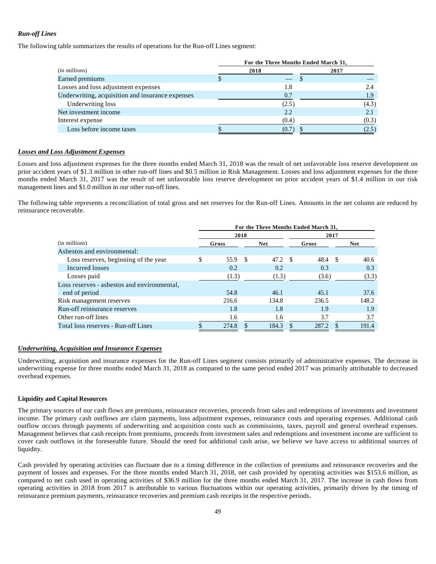## *Run-off Lines*

The following table summarizes the results of operations for the Run-off Lines segment:

|                                                  | For the Three Months Ended March 31, |       |       |  |  |  |  |  |
|--------------------------------------------------|--------------------------------------|-------|-------|--|--|--|--|--|
| (in millions)                                    |                                      | 2018  | 2017  |  |  |  |  |  |
| Earned premiums                                  |                                      |       |       |  |  |  |  |  |
| Losses and loss adjustment expenses              |                                      | 1.8   | 2.4   |  |  |  |  |  |
| Underwriting, acquisition and insurance expenses |                                      | 0.7   | 1.9   |  |  |  |  |  |
| Underwriting loss                                |                                      | (2.5) | (4.3) |  |  |  |  |  |
| Net investment income                            |                                      | 2.2   |       |  |  |  |  |  |
| Interest expense                                 |                                      | (0.4) | (0.3) |  |  |  |  |  |
| Loss before income taxes                         |                                      | (0.7) | (2.5) |  |  |  |  |  |

## *Losses and Loss Adjustment Expenses*

Losses and loss adjustment expenses for the three months ended March 31, 2018 was the result of net unfavorable loss reserve development on prior accident years of \$1.3 million in other run-off lines and \$0.5 million in Risk Management. Losses and loss adjustment expenses for the three months ended March 31, 2017 was the result of net unfavorable loss reserve development on prior accident years of \$1.4 million in our risk management lines and \$1.0 million in our other run-off lines.

The following table represents a reconciliation of total gross and net reserves for the Run-off Lines. Amounts in the net column are reduced by reinsurance recoverable.

|                                             | For the Three Months Ended March 31, |         |  |            |     |       |    |            |  |  |
|---------------------------------------------|--------------------------------------|---------|--|------------|-----|-------|----|------------|--|--|
|                                             |                                      | 2018    |  |            |     | 2017  |    |            |  |  |
| (in millions)                               |                                      | Gross   |  | <b>Net</b> |     | Gross |    | <b>Net</b> |  |  |
| Asbestos and environmental:                 |                                      |         |  |            |     |       |    |            |  |  |
| Loss reserves, beginning of the year        | \$                                   | 55.9 \$ |  | 47.2       | - S | 48.4  | -S | 40.6       |  |  |
| Incurred losses                             |                                      | 0.2     |  | 0.2        |     | 0.3   |    | 0.3        |  |  |
| Losses paid                                 |                                      | (1.3)   |  | (1.3)      |     | (3.6) |    | (3.3)      |  |  |
| Loss reserves - asbestos and environmental, |                                      |         |  |            |     |       |    |            |  |  |
| end of period                               |                                      | 54.8    |  | 46.1       |     | 45.1  |    | 37.6       |  |  |
| Risk management reserves                    |                                      | 216.6   |  | 134.8      |     | 236.5 |    | 148.2      |  |  |
| Run-off reinsurance reserves                |                                      | 1.8     |  | 1.8        |     | 1.9   |    | 1.9        |  |  |
| Other run-off lines                         |                                      | 1.6     |  | 1.6        |     | 3.7   |    | 3.7        |  |  |
| Total loss reserves - Run-off Lines         |                                      | 274.8   |  | 184.3      |     | 287.2 |    | 191.4      |  |  |

## *Underwriting, Acquisition and Insurance Expenses*

Underwriting, acquisition and insurance expenses for the Run-off Lines segment consists primarily of administrative expenses. The decrease in underwriting expense for three months ended March 31, 2018 as compared to the same period ended 2017 was primarily attributable to decreased overhead expenses.

## **Liquidity and Capital Resources**

The primary sources of our cash flows are premiums, reinsurance recoveries, proceeds from sales and redemptions of investments and investment income. The primary cash outflows are claim payments, loss adjustment expenses, reinsurance costs and operating expenses. Additional cash outflow occurs through payments of underwriting and acquisition costs such as commissions, taxes, payroll and general overhead expenses. Management believes that cash receipts from premiums, proceeds from investment sales and redemptions and investment income are sufficient to cover cash outflows in the foreseeable future. Should the need for additional cash arise, we believe we have access to additional sources of liquidity.

Cash provided by operating activities can fluctuate due to a timing difference in the collection of premiums and reinsurance recoveries and the payment of losses and expenses. For the three months ended March 31, 2018, net cash provided by operating activities was \$153.6 million, as compared to net cash used in operating activities of \$36.9 million for the three months ended March 31, 2017. The increase in cash flows from operating activities in 2018 from 2017 is attributable to various fluctuations within our operating activities, primarily driven by the timing of reinsurance premium payments, reinsurance recoveries and premium cash receipts in the respective periods.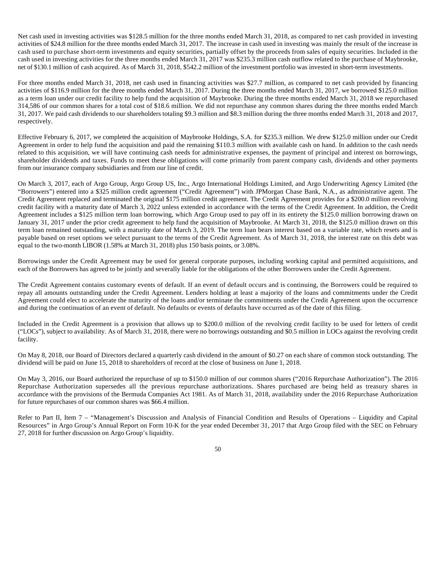Net cash used in investing activities was \$128.5 million for the three months ended March 31, 2018, as compared to net cash provided in investing activities of \$24.8 million for the three months ended March 31, 2017. The increase in cash used in investing was mainly the result of the increase in cash used to purchase short-term investments and equity securities, partially offset by the proceeds from sales of equity securities. Included in the cash used in investing activities for the three months ended March 31, 2017 was \$235.3 million cash outflow related to the purchase of Maybrooke, net of \$130.1 million of cash acquired. As of March 31, 2018, \$542.2 million of the investment portfolio was invested in short-term investments.

For three months ended March 31, 2018, net cash used in financing activities was \$27.7 million, as compared to net cash provided by financing activities of \$116.9 million for the three months ended March 31, 2017. During the three months ended March 31, 2017, we borrowed \$125.0 million as a term loan under our credit facility to help fund the acquisition of Maybrooke. During the three months ended March 31, 2018 we repurchased 314,586 of our common shares for a total cost of \$18.6 million. We did not repurchase any common shares during the three months ended March 31, 2017. We paid cash dividends to our shareholders totaling \$9.3 million and \$8.3 million during the three months ended March 31, 2018 and 2017, respectively.

Effective February 6, 2017, we completed the acquisition of Maybrooke Holdings, S.A. for \$235.3 million. We drew \$125.0 million under our Credit Agreement in order to help fund the acquisition and paid the remaining \$110.3 million with available cash on hand. In addition to the cash needs related to this acquisition, we will have continuing cash needs for administrative expenses, the payment of principal and interest on borrowings, shareholder dividends and taxes. Funds to meet these obligations will come primarily from parent company cash, dividends and other payments from our insurance company subsidiaries and from our line of credit.

On March 3, 2017, each of Argo Group, Argo Group US, Inc., Argo International Holdings Limited, and Argo Underwriting Agency Limited (the "Borrowers") entered into a \$325 million credit agreement ("Credit Agreement") with JPMorgan Chase Bank, N.A., as administrative agent. The Credit Agreement replaced and terminated the original \$175 million credit agreement. The Credit Agreement provides for a \$200.0 million revolving credit facility with a maturity date of March 3, 2022 unless extended in accordance with the terms of the Credit Agreement. In addition, the Credit Agreement includes a \$125 million term loan borrowing, which Argo Group used to pay off in its entirety the \$125.0 million borrowing drawn on January 31, 2017 under the prior credit agreement to help fund the acquisition of Maybrooke. At March 31, 2018, the \$125.0 million drawn on this term loan remained outstanding, with a maturity date of March 3, 2019. The term loan bears interest based on a variable rate, which resets and is payable based on reset options we select pursuant to the terms of the Credit Agreement. As of March 31, 2018, the interest rate on this debt was equal to the two-month LIBOR (1.58% at March 31, 2018) plus 150 basis points, or 3.08%.

Borrowings under the Credit Agreement may be used for general corporate purposes, including working capital and permitted acquisitions, and each of the Borrowers has agreed to be jointly and severally liable for the obligations of the other Borrowers under the Credit Agreement.

The Credit Agreement contains customary events of default. If an event of default occurs and is continuing, the Borrowers could be required to repay all amounts outstanding under the Credit Agreement. Lenders holding at least a majority of the loans and commitments under the Credit Agreement could elect to accelerate the maturity of the loans and/or terminate the commitments under the Credit Agreement upon the occurrence and during the continuation of an event of default. No defaults or events of defaults have occurred as of the date of this filing.

Included in the Credit Agreement is a provision that allows up to \$200.0 million of the revolving credit facility to be used for letters of credit ("LOCs"), subject to availability. As of March 31, 2018, there were no borrowings outstanding and \$0.5 million in LOCs against the revolving credit facility.

On May 8, 2018, our Board of Directors declared a quarterly cash dividend in the amount of \$0.27 on each share of common stock outstanding. The dividend will be paid on June 15, 2018 to shareholders of record at the close of business on June 1, 2018.

On May 3, 2016, our Board authorized the repurchase of up to \$150.0 million of our common shares ("2016 Repurchase Authorization"). The 2016 Repurchase Authorization supersedes all the previous repurchase authorizations. Shares purchased are being held as treasury shares in accordance with the provisions of the Bermuda Companies Act 1981. As of March 31, 2018, availability under the 2016 Repurchase Authorization for future repurchases of our common shares was \$66.4 million.

Refer to Part II, Item 7 – "Management's Discussion and Analysis of Financial Condition and Results of Operations – Liquidity and Capital Resources" in Argo Group's Annual Report on Form 10-K for the year ended December 31, 2017 that Argo Group filed with the SEC on February 27, 2018 for further discussion on Argo Group's liquidity.

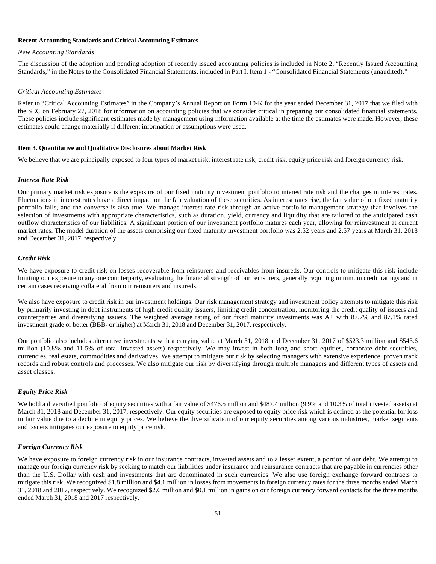#### **Recent Accounting Standards and Critical Accounting Estimates**

#### *New Accounting Standards*

The discussion of the adoption and pending adoption of recently issued accounting policies is included in Note 2, "Recently Issued Accounting Standards," in the Notes to the Consolidated Financial Statements, included in Part I, Item 1 - "Consolidated Financial Statements (unaudited)."

#### *Critical Accounting Estimates*

Refer to "Critical Accounting Estimates" in the Company's Annual Report on Form 10-K for the year ended December 31, 2017 that we filed with the SEC on February 27, 2018 for information on accounting policies that we consider critical in preparing our consolidated financial statements. These policies include significant estimates made by management using information available at the time the estimates were made. However, these estimates could change materially if different information or assumptions were used.

#### **Item 3. Quantitative and Qualitative Disclosures about Market Risk**

We believe that we are principally exposed to four types of market risk: interest rate risk, credit risk, equity price risk and foreign currency risk.

#### *Interest Rate Risk*

Our primary market risk exposure is the exposure of our fixed maturity investment portfolio to interest rate risk and the changes in interest rates. Fluctuations in interest rates have a direct impact on the fair valuation of these securities. As interest rates rise, the fair value of our fixed maturity portfolio falls, and the converse is also true. We manage interest rate risk through an active portfolio management strategy that involves the selection of investments with appropriate characteristics, such as duration, yield, currency and liquidity that are tailored to the anticipated cash outflow characteristics of our liabilities. A significant portion of our investment portfolio matures each year, allowing for reinvestment at current market rates. The model duration of the assets comprising our fixed maturity investment portfolio was 2.52 years and 2.57 years at March 31, 2018 and December 31, 2017, respectively.

## *Credit Risk*

We have exposure to credit risk on losses recoverable from reinsurers and receivables from insureds. Our controls to mitigate this risk include limiting our exposure to any one counterparty, evaluating the financial strength of our reinsurers, generally requiring minimum credit ratings and in certain cases receiving collateral from our reinsurers and insureds.

We also have exposure to credit risk in our investment holdings. Our risk management strategy and investment policy attempts to mitigate this risk by primarily investing in debt instruments of high credit quality issuers, limiting credit concentration, monitoring the credit quality of issuers and counterparties and diversifying issuers. The weighted average rating of our fixed maturity investments was A+ with 87.7% and 87.1% rated investment grade or better (BBB- or higher) at March 31, 2018 and December 31, 2017, respectively.

Our portfolio also includes alternative investments with a carrying value at March 31, 2018 and December 31, 2017 of \$523.3 million and \$543.6 million (10.8% and 11.5% of total invested assets) respectively. We may invest in both long and short equities, corporate debt securities, currencies, real estate, commodities and derivatives. We attempt to mitigate our risk by selecting managers with extensive experience, proven track records and robust controls and processes. We also mitigate our risk by diversifying through multiple managers and different types of assets and asset classes.

## *Equity Price Risk*

We hold a diversified portfolio of equity securities with a fair value of \$476.5 million and \$487.4 million (9.9% and 10.3% of total invested assets) at March 31, 2018 and December 31, 2017, respectively. Our equity securities are exposed to equity price risk which is defined as the potential for loss in fair value due to a decline in equity prices. We believe the diversification of our equity securities among various industries, market segments and issuers mitigates our exposure to equity price risk.

## *Foreign Currency Risk*

We have exposure to foreign currency risk in our insurance contracts, invested assets and to a lesser extent, a portion of our debt. We attempt to manage our foreign currency risk by seeking to match our liabilities under insurance and reinsurance contracts that are payable in currencies other than the U.S. Dollar with cash and investments that are denominated in such currencies. We also use foreign exchange forward contracts to mitigate this risk. We recognized \$1.8 million and \$4.1 million in losses from movements in foreign currency rates for the three months ended March 31, 2018 and 2017, respectively. We recognized \$2.6 million and \$0.1 million in gains on our foreign currency forward contacts for the three months ended March 31, 2018 and 2017 respectively.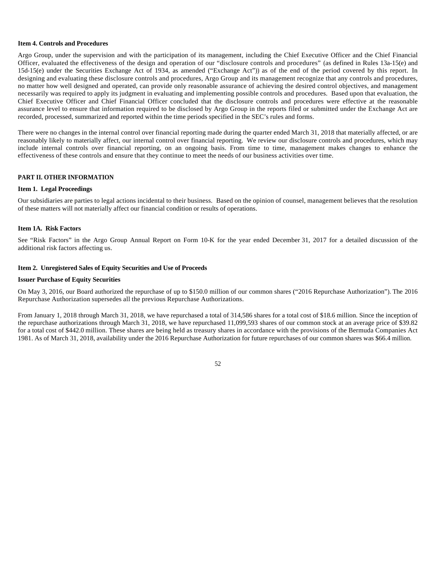#### **Item 4. Controls and Procedures**

Argo Group, under the supervision and with the participation of its management, including the Chief Executive Officer and the Chief Financial Officer, evaluated the effectiveness of the design and operation of our "disclosure controls and procedures" (as defined in Rules 13a-15(e) and 15d-15(e) under the Securities Exchange Act of 1934, as amended ("Exchange Act")) as of the end of the period covered by this report. In designing and evaluating these disclosure controls and procedures, Argo Group and its management recognize that any controls and procedures, no matter how well designed and operated, can provide only reasonable assurance of achieving the desired control objectives, and management necessarily was required to apply its judgment in evaluating and implementing possible controls and procedures. Based upon that evaluation, the Chief Executive Officer and Chief Financial Officer concluded that the disclosure controls and procedures were effective at the reasonable assurance level to ensure that information required to be disclosed by Argo Group in the reports filed or submitted under the Exchange Act are recorded, processed, summarized and reported within the time periods specified in the SEC's rules and forms.

There were no changes in the internal control over financial reporting made during the quarter ended March 31, 2018 that materially affected, or are reasonably likely to materially affect, our internal control over financial reporting. We review our disclosure controls and procedures, which may include internal controls over financial reporting, on an ongoing basis. From time to time, management makes changes to enhance the effectiveness of these controls and ensure that they continue to meet the needs of our business activities over time.

#### **PART II. OTHER INFORMATION**

#### **Item 1. Legal Proceedings**

Our subsidiaries are parties to legal actions incidental to their business. Based on the opinion of counsel, management believes that the resolution of these matters will not materially affect our financial condition or results of operations.

## **Item 1A. Risk Factors**

See "Risk Factors" in the Argo Group Annual Report on Form 10-K for the year ended December 31, 2017 for a detailed discussion of the additional risk factors affecting us.

#### **Item 2. Unregistered Sales of Equity Securities and Use of Proceeds**

#### **Issuer Purchase of Equity Securities**

On May 3, 2016, our Board authorized the repurchase of up to \$150.0 million of our common shares ("2016 Repurchase Authorization"). The 2016 Repurchase Authorization supersedes all the previous Repurchase Authorizations.

From January 1, 2018 through March 31, 2018, we have repurchased a total of 314,586 shares for a total cost of \$18.6 million. Since the inception of the repurchase authorizations through March 31, 2018, we have repurchased 11,099,593 shares of our common stock at an average price of \$39.82 for a total cost of \$442.0 million. These shares are being held as treasury shares in accordance with the provisions of the Bermuda Companies Act 1981. As of March 31, 2018, availability under the 2016 Repurchase Authorization for future repurchases of our common shares was \$66.4 million.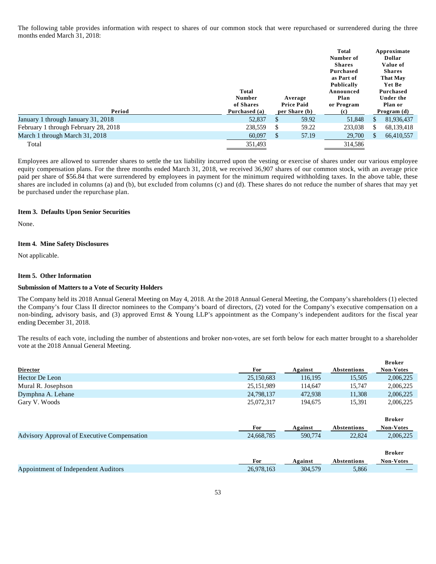The following table provides information with respect to shares of our common stock that were repurchased or surrendered during the three months ended March 31, 2018:

| Period                               | <b>Total</b><br><b>Number</b><br>of Shares<br>Purchased (a) |     | Average<br><b>Price Paid</b><br>per Share (b) | <b>Total</b><br>Number of<br><b>Shares</b><br>Purchased<br>as Part of<br>Publically<br>Announced<br>Plan<br>or Program |              | Approximate<br>Dollar<br>Value of<br><b>Shares</b><br><b>That May</b><br>Yet Be<br>Purchased<br>Under the<br>Plan or<br>Program $(d)$ |
|--------------------------------------|-------------------------------------------------------------|-----|-----------------------------------------------|------------------------------------------------------------------------------------------------------------------------|--------------|---------------------------------------------------------------------------------------------------------------------------------------|
|                                      |                                                             |     |                                               | (c)                                                                                                                    |              |                                                                                                                                       |
| January 1 through January 31, 2018   | 52,837                                                      | \$. | 59.92                                         | 51,848                                                                                                                 | <sup>S</sup> | 81,936,437                                                                                                                            |
| February 1 through February 28, 2018 | 238,559                                                     | \$. | 59.22                                         | 233,038                                                                                                                | S.           | 68,139,418                                                                                                                            |
| March 1 through March 31, 2018       | 60,097                                                      | S   | 57.19                                         | 29,700                                                                                                                 | S.           | 66,410,557                                                                                                                            |
| Total                                | 351,493                                                     |     |                                               | 314.586                                                                                                                |              |                                                                                                                                       |

Employees are allowed to surrender shares to settle the tax liability incurred upon the vesting or exercise of shares under our various employee equity compensation plans. For the three months ended March 31, 2018, we received 36,907 shares of our common stock, with an average price paid per share of \$56.84 that were surrendered by employees in payment for the minimum required withholding taxes. In the above table, these shares are included in columns (a) and (b), but excluded from columns (c) and (d). These shares do not reduce the number of shares that may yet be purchased under the repurchase plan.

#### **Item 3. Defaults Upon Senior Securities**

None.

#### **Item 4. Mine Safety Disclosures**

Not applicable.

#### **Item 5. Other Information**

#### **Submission of Matters to a Vote of Security Holders**

The Company held its 2018 Annual General Meeting on May 4, 2018. At the 2018 Annual General Meeting, the Company's shareholders (1) elected the Company's four Class II director nominees to the Company's board of directors, (2) voted for the Company's executive compensation on a non-binding, advisory basis, and (3) approved Ernst & Young LLP's appointment as the Company's independent auditors for the fiscal year ending December 31, 2018.

The results of each vote, including the number of abstentions and broker non-votes, are set forth below for each matter brought to a shareholder vote at the 2018 Annual General Meeting.

|                                                    |            |         |                    | <b>Broker</b>    |
|----------------------------------------------------|------------|---------|--------------------|------------------|
| <b>Director</b>                                    | For        | Against | Abstentions        | <b>Non-Votes</b> |
| Hector De Leon                                     | 25,150,683 | 116,195 | 15,505             | 2,006,225        |
| Mural R. Josephson                                 | 25,151,989 | 114.647 | 15.747             | 2,006,225        |
| Dymphna A. Lehane                                  | 24,798,137 | 472,938 | 11,308             | 2,006,225        |
| Gary V. Woods                                      | 25,072,317 | 194,675 | 15,391             | 2,006,225        |
|                                                    |            |         |                    | <b>Broker</b>    |
|                                                    | For        | Against | <b>Abstentions</b> | <b>Non-Votes</b> |
| <b>Advisory Approval of Executive Compensation</b> | 24,668,785 | 590,774 | 22,824             | 2,006,225        |
|                                                    |            |         |                    |                  |
|                                                    |            |         |                    | <b>Broker</b>    |
|                                                    | <b>For</b> | Against | Abstentions        | <b>Non-Votes</b> |
| Appointment of Independent Auditors                | 26.978.163 | 304,579 | 5,866              |                  |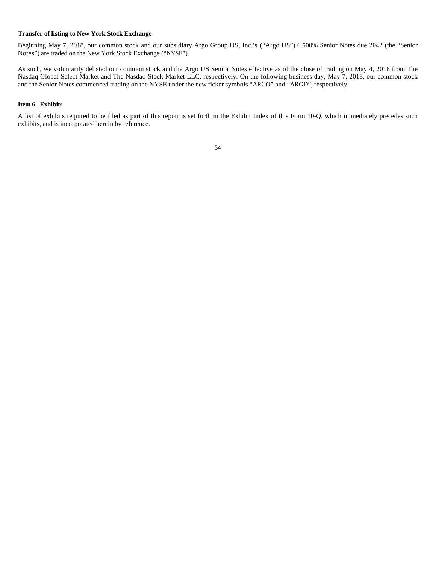#### **Transfer of listing to New York Stock Exchange**

Beginning May 7, 2018, our common stock and our subsidiary Argo Group US, Inc.'s ("Argo US") 6.500% Senior Notes due 2042 (the "Senior Notes") are traded on the New York Stock Exchange ("NYSE").

As such, we voluntarily delisted our common stock and the Argo US Senior Notes effective as of the close of trading on May 4, 2018 from The Nasdaq Global Select Market and The Nasdaq Stock Market LLC, respectively. On the following business day, May 7, 2018, our common stock and the Senior Notes commenced trading on the NYSE under the new ticker symbols "ARGO" and "ARGD", respectively.

#### **Item 6. Exhibits**

A list of exhibits required to be filed as part of this report is set forth in the Exhibit Index of this Form 10-Q, which immediately precedes such exhibits, and is incorporated herein by reference.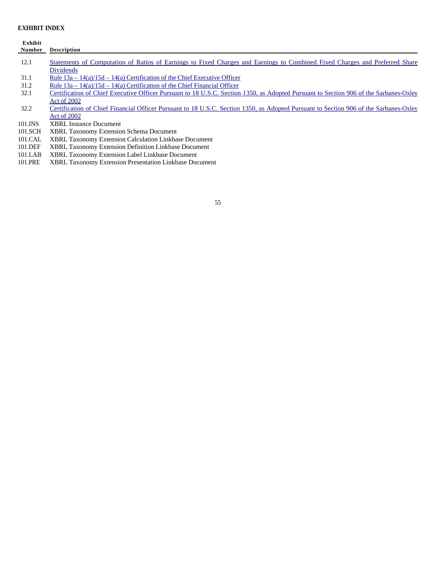## **EXHIBIT INDEX**

| Exhibit |                                                                                                                                                 |
|---------|-------------------------------------------------------------------------------------------------------------------------------------------------|
| Number  | <b>Description</b>                                                                                                                              |
| 12.1    | Statements of Computation of Ratios of Earnings to Fixed Charges and Earnings to Combined Fixed Charges and Preferred Share<br><b>Dividends</b> |
| 31.1    | Rule $13a - 14(a)/15d - 14(a)$ Certification of the Chief Executive Officer                                                                     |
| 31.2    | Rule $13a - 14(a)/15d - 14(a)$ Certification of the Chief Financial Officer                                                                     |
| 32.1    | Certification of Chief Executive Officer Pursuant to 18 U.S.C. Section 1350, as Adopted Pursuant to Section 906 of the Sarbanes-Oxley           |
|         | Act of 2002                                                                                                                                     |
| 32.2    | Certification of Chief Financial Officer Pursuant to 18 U.S.C. Section 1350, as Adopted Pursuant to Section 906 of the Sarbanes-Oxley           |
|         | Act of 2002                                                                                                                                     |
| 101.INS | <b>XBRL</b> Instance Document                                                                                                                   |
| 101.SCH | <b>XBRL Taxonomy Extension Schema Document</b>                                                                                                  |
| 101.CAL | <b>XBRL Taxonomy Extension Calculation Linkbase Document</b>                                                                                    |
| 101.DEF | <b>XBRL Taxonomy Extension Definition Linkbase Document</b>                                                                                     |

- 101.LAB XBRL Taxonomy Extension Label Linkbase Document
- 101.PRE XBRL Taxonomy Extension Presentation Linkbase Document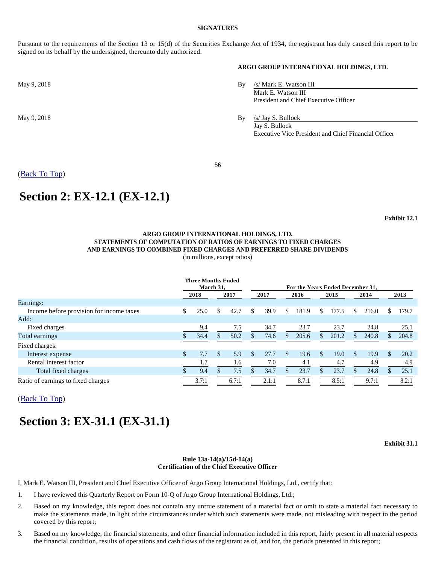#### **SIGNATURES**

Pursuant to the requirements of the Section 13 or 15(d) of the Securities Exchange Act of 1934, the registrant has duly caused this report to be signed on its behalf by the undersigned, thereunto duly authorized.

## **ARGO GROUP INTERNATIONAL HOLDINGS, LTD.**

May 9, 2018 By /s/ Mark E. Watson III Mark E. Watson III President and Chief Executive Officer

May 9, 2018 By /s/ Jay S. Bullock Jay S. Bullock Executive Vice President and Chief Financial Officer

(Back To Top)

## **Section 2: EX-12.1 (EX-12.1)**

**Exhibit 12.1**

## **ARGO GROUP INTERNATIONAL HOLDINGS, LTD. STATEMENTS OF COMPUTATION OF RATIOS OF EARNINGS TO FIXED CHARGES AND EARNINGS TO COMBINED FIXED CHARGES AND PREFERRED SHARE DIVIDENDS**

(in millions, except ratios)

|                                          | <b>Three Months Ended</b><br>March 31, |       |      |       | For the Years Ended December 31, |       |               |       |      |       |      |       |      |       |
|------------------------------------------|----------------------------------------|-------|------|-------|----------------------------------|-------|---------------|-------|------|-------|------|-------|------|-------|
|                                          | 2018                                   |       | 2017 |       | 2017                             |       | 2016          |       | 2015 |       | 2014 |       | 2013 |       |
| Earnings:                                |                                        |       |      |       |                                  |       |               |       |      |       |      |       |      |       |
| Income before provision for income taxes | \$                                     | 25.0  | \$   | 42.7  | S                                | 39.9  | \$            | 181.9 | S.   | 177.5 | S    | 216.0 | S.   | 179.7 |
| Add:                                     |                                        |       |      |       |                                  |       |               |       |      |       |      |       |      |       |
| Fixed charges                            |                                        | 9.4   |      | 7.5   |                                  | 34.7  |               | 23.7  |      | 23.7  |      | 24.8  |      | 25.1  |
| Total earnings                           |                                        | 34.4  |      | 50.2  |                                  | 74.6  |               | 205.6 | S.   | 201.2 |      | 240.8 |      | 204.8 |
| Fixed charges:                           |                                        |       |      |       |                                  |       |               |       |      |       |      |       |      |       |
| Interest expense                         | \$                                     | 7.7   | \$.  | 5.9   | S                                | 27.7  | <sup>\$</sup> | 19.6  | \$.  | 19.0  | \$.  | 19.9  | \$.  | 20.2  |
| Rental interest factor                   |                                        | 1.7   |      | 1.6   |                                  | 7.0   |               | 4.1   |      | 4.7   |      | 4.9   |      | 4.9   |
| Total fixed charges                      |                                        | 9.4   |      | 7.5   |                                  | 34.7  |               | 23.7  |      | 23.7  |      | 24.8  |      | 25.1  |
| Ratio of earnings to fixed charges       |                                        | 3.7:1 |      | 6.7:1 |                                  | 2.1:1 |               | 8.7:1 |      | 8.5:1 |      | 9.7:1 |      | 8.2:1 |

(Back To Top)

# **Section 3: EX-31.1 (EX-31.1)**

**Exhibit 31.1**

#### **Rule 13a-14(a)/15d-14(a) Certification of the Chief Executive Officer**

I, Mark E. Watson III, President and Chief Executive Officer of Argo Group International Holdings, Ltd., certify that:

- 1. I have reviewed this Quarterly Report on Form 10-Q of Argo Group International Holdings, Ltd.;
- 2. Based on my knowledge, this report does not contain any untrue statement of a material fact or omit to state a material fact necessary to make the statements made, in light of the circumstances under which such statements were made, not misleading with respect to the period covered by this report;
- 3. Based on my knowledge, the financial statements, and other financial information included in this report, fairly present in all material respects the financial condition, results of operations and cash flows of the registrant as of, and for, the periods presented in this report;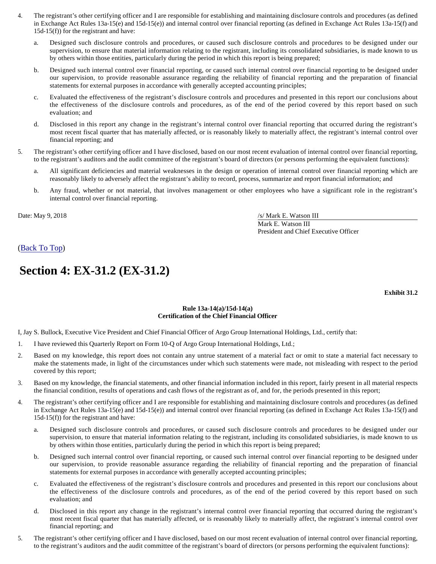- 4. The registrant's other certifying officer and I are responsible for establishing and maintaining disclosure controls and procedures (as defined in Exchange Act Rules 13a-15(e) and 15d-15(e)) and internal control over financial reporting (as defined in Exchange Act Rules 13a-15(f) and 15d-15(f)) for the registrant and have:
	- a. Designed such disclosure controls and procedures, or caused such disclosure controls and procedures to be designed under our supervision, to ensure that material information relating to the registrant, including its consolidated subsidiaries, is made known to us by others within those entities, particularly during the period in which this report is being prepared;
	- b. Designed such internal control over financial reporting, or caused such internal control over financial reporting to be designed under our supervision, to provide reasonable assurance regarding the reliability of financial reporting and the preparation of financial statements for external purposes in accordance with generally accepted accounting principles;
	- c. Evaluated the effectiveness of the registrant's disclosure controls and procedures and presented in this report our conclusions about the effectiveness of the disclosure controls and procedures, as of the end of the period covered by this report based on such evaluation; and
	- d. Disclosed in this report any change in the registrant's internal control over financial reporting that occurred during the registrant's most recent fiscal quarter that has materially affected, or is reasonably likely to materially affect, the registrant's internal control over financial reporting; and
- 5. The registrant's other certifying officer and I have disclosed, based on our most recent evaluation of internal control over financial reporting, to the registrant's auditors and the audit committee of the registrant's board of directors (or persons performing the equivalent functions):
	- a. All significant deficiencies and material weaknesses in the design or operation of internal control over financial reporting which are reasonably likely to adversely affect the registrant's ability to record, process, summarize and report financial information; and
	- b. Any fraud, whether or not material, that involves management or other employees who have a significant role in the registrant's internal control over financial reporting.

Date: May 9, 2018 /s/ Mark E. Watson III Mark E. Watson III President and Chief Executive Officer

(Back To Top)

# **Section 4: EX-31.2 (EX-31.2)**

**Exhibit 31.2**

## **Rule 13a-14(a)/15d-14(a) Certification of the Chief Financial Officer**

I, Jay S. Bullock, Executive Vice President and Chief Financial Officer of Argo Group International Holdings, Ltd., certify that:

- 1. I have reviewed this Quarterly Report on Form 10-Q of Argo Group International Holdings, Ltd.;
- 2. Based on my knowledge, this report does not contain any untrue statement of a material fact or omit to state a material fact necessary to make the statements made, in light of the circumstances under which such statements were made, not misleading with respect to the period covered by this report;
- 3. Based on my knowledge, the financial statements, and other financial information included in this report, fairly present in all material respects the financial condition, results of operations and cash flows of the registrant as of, and for, the periods presented in this report;
- 4. The registrant's other certifying officer and I are responsible for establishing and maintaining disclosure controls and procedures (as defined in Exchange Act Rules 13a-15(e) and 15d-15(e)) and internal control over financial reporting (as defined in Exchange Act Rules 13a-15(f) and 15d-15(f)) for the registrant and have:
	- a. Designed such disclosure controls and procedures, or caused such disclosure controls and procedures to be designed under our supervision, to ensure that material information relating to the registrant, including its consolidated subsidiaries, is made known to us by others within those entities, particularly during the period in which this report is being prepared;
	- b. Designed such internal control over financial reporting, or caused such internal control over financial reporting to be designed under our supervision, to provide reasonable assurance regarding the reliability of financial reporting and the preparation of financial statements for external purposes in accordance with generally accepted accounting principles;
	- c. Evaluated the effectiveness of the registrant's disclosure controls and procedures and presented in this report our conclusions about the effectiveness of the disclosure controls and procedures, as of the end of the period covered by this report based on such evaluation; and
	- d. Disclosed in this report any change in the registrant's internal control over financial reporting that occurred during the registrant's most recent fiscal quarter that has materially affected, or is reasonably likely to materially affect, the registrant's internal control over financial reporting; and
- 5. The registrant's other certifying officer and I have disclosed, based on our most recent evaluation of internal control over financial reporting, to the registrant's auditors and the audit committee of the registrant's board of directors (or persons performing the equivalent functions):